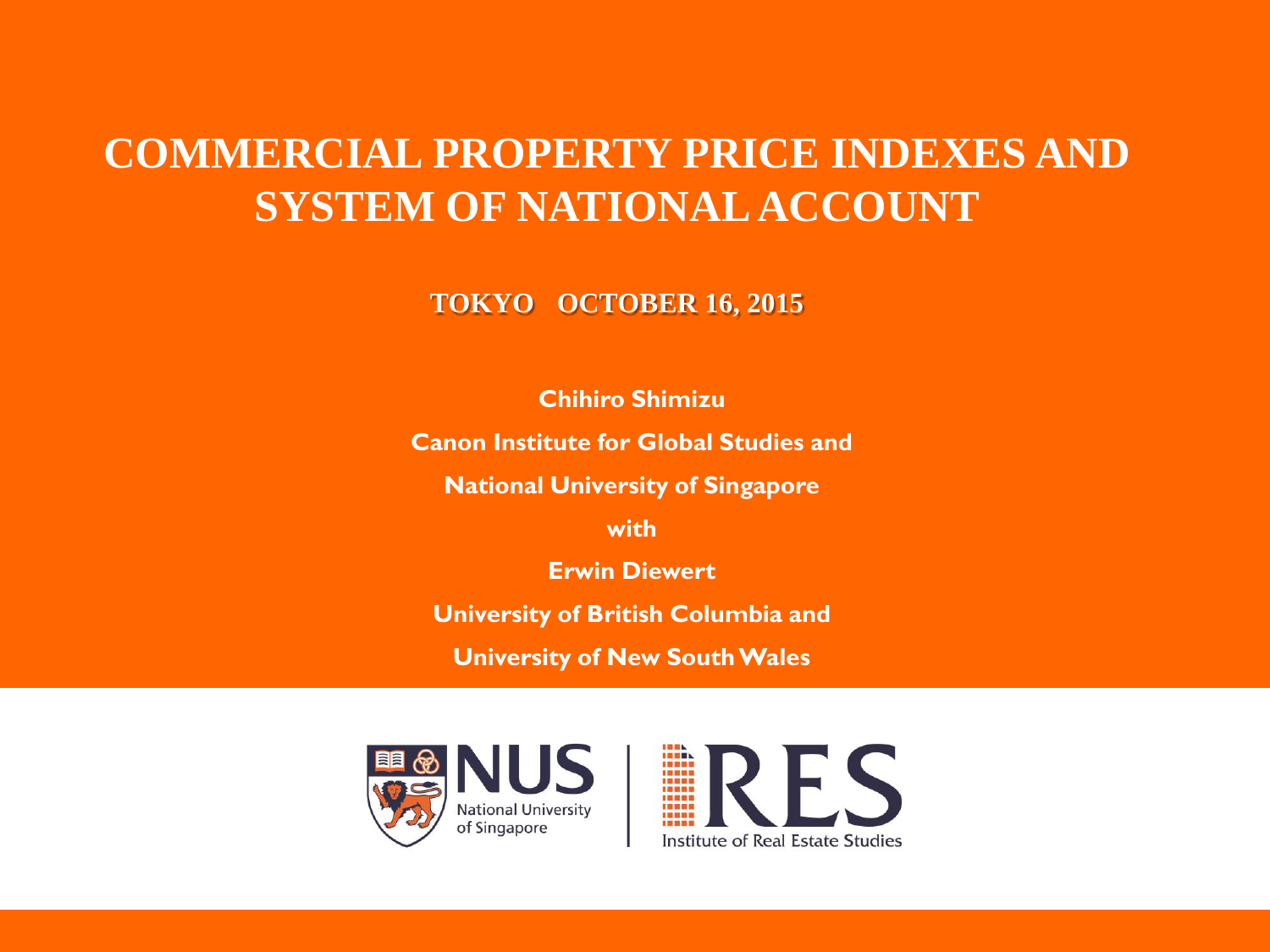#### **COMMERCIAL PROPERTY PRICE INDEXES AND SYSTEM OF NATIONAL ACCOUNT**

**TOKYO OCTOBER 16, 2015**

**Chihiro Shimizu**

**Canon Institute for Global Studies and** 

**National University of Singapore** 

**with**

**Erwin Diewert**

**University of British Columbia and**

**University of New South Wales**



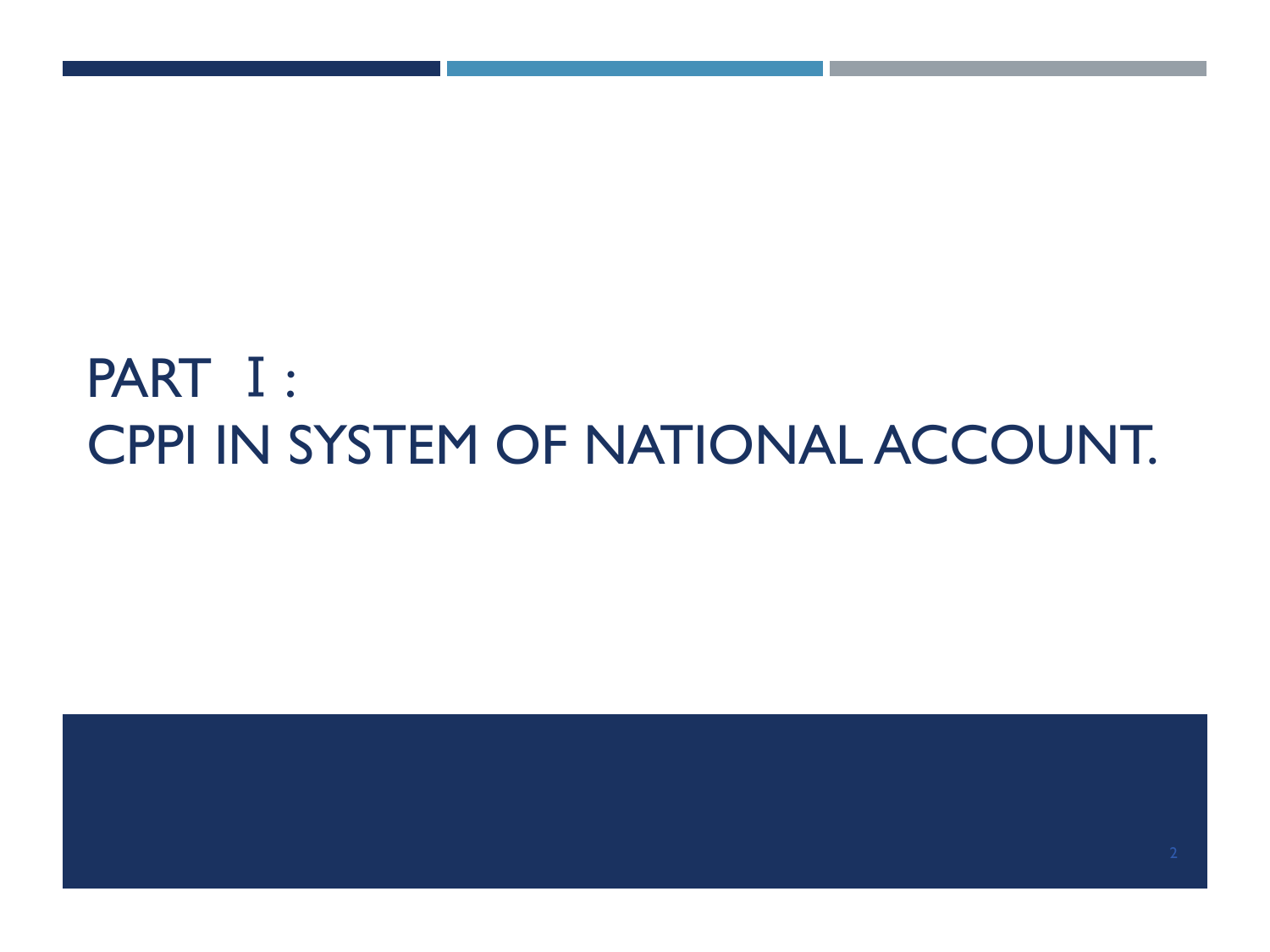# PART Ⅰ: CPPI IN SYSTEM OF NATIONAL ACCOUNT.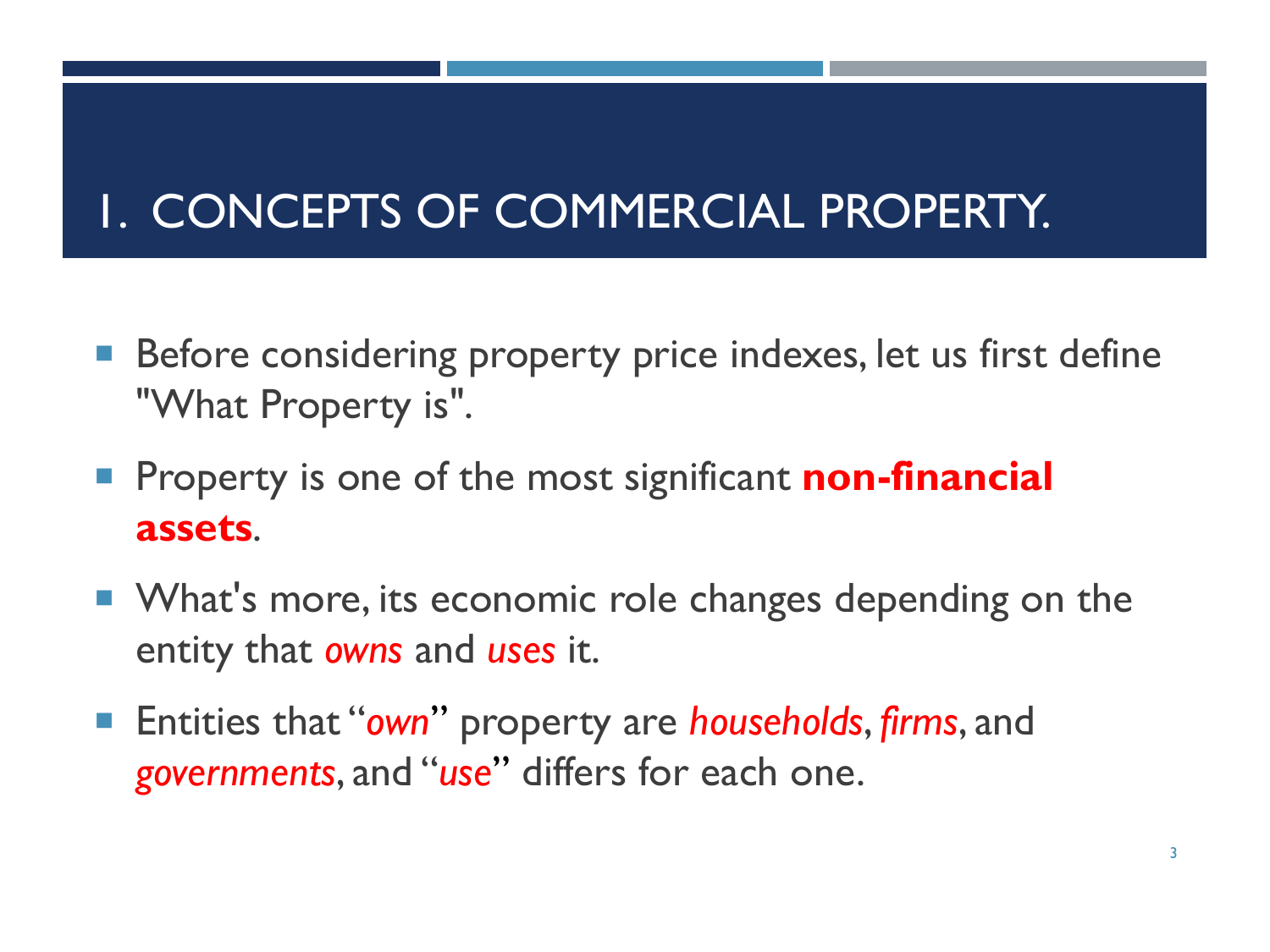# 1. CONCEPTS OF COMMERCIAL PROPERTY.

- Before considering property price indexes, let us first define "What Property is".
- **Property is one of the most significant non-financial assets**.
- **Number 1** What's more, its economic role changes depending on the entity that *owns* and *uses* it.
- Entities that "*own*" property are *households*, *firms*, and *governments*, and "*use*" differs for each one.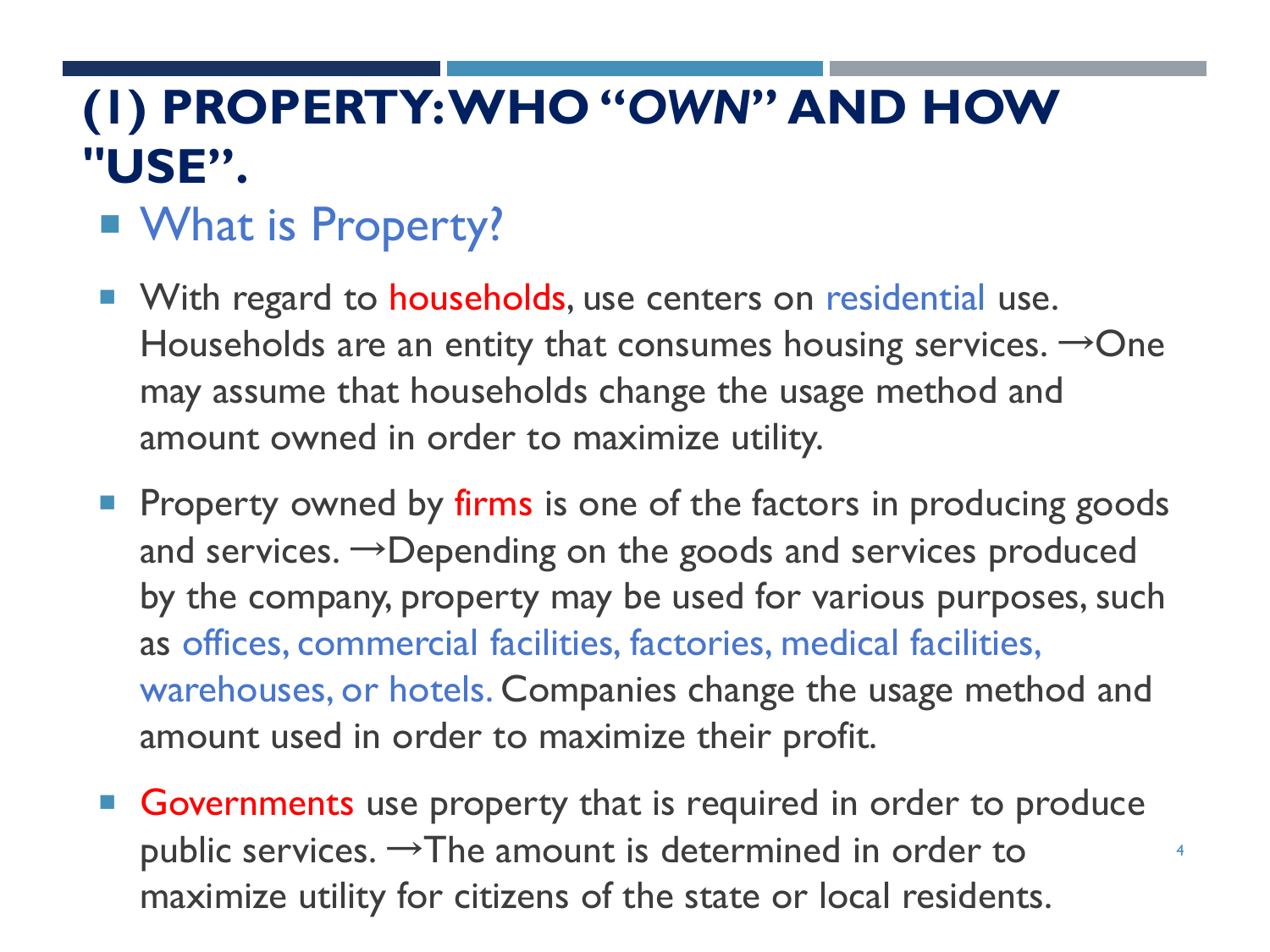# **(1) PROPERTY: WHO "***OWN***" AND HOW "USE".**

#### ■ What is Property?

- **Notable 10 Vith regard to households, use centers on residential use.** Households are an entity that consumes housing services.  $\rightarrow$  One may assume that households change the usage method and amount owned in order to maximize utility.
- **Property owned by firms is one of the factors in producing goods** and services.  $\rightarrow$ Depending on the goods and services produced by the company, property may be used for various purposes, such as offices, commercial facilities, factories, medical facilities, warehouses, or hotels. Companies change the usage method and amount used in order to maximize their profit.
- Governments use property that is required in order to produce public services.  $\rightarrow$  The amount is determined in order to maximize utility for citizens of the state or local residents.

4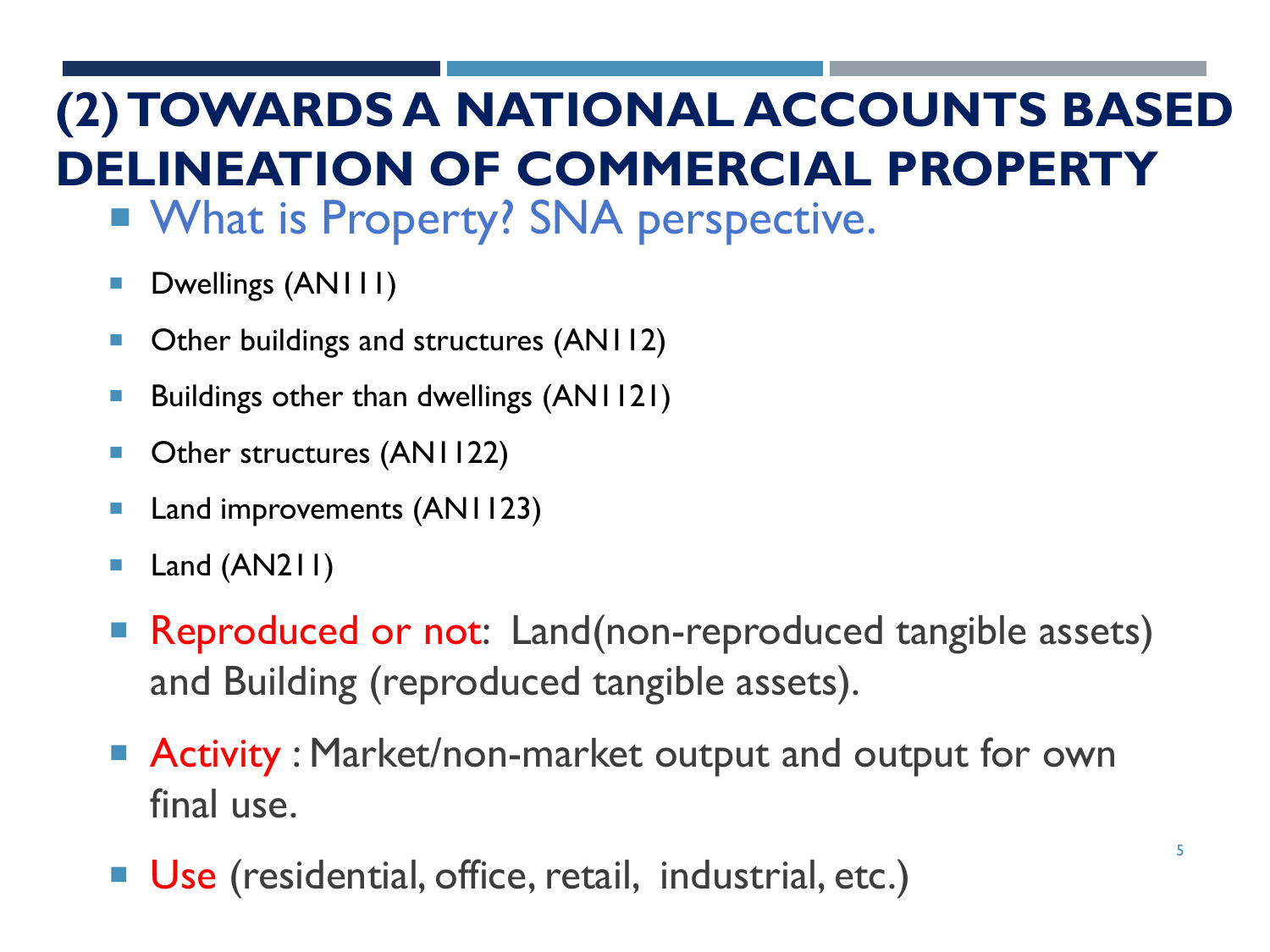# **(2) TOWARDS A NATIONAL ACCOUNTS BASED DELINEATION OF COMMERCIAL PROPERTY**

- **NAT IS Property? SNA perspective.**
- **Dwellings (AN111)**
- Other buildings and structures (AN112)
- Buildings other than dwellings (AN1121)
- Other structures (AN1122)
- Land improvements (AN1123)
- Land (AN211)
- Reproduced or not: Land(non-reproduced tangible assets) and Building (reproduced tangible assets).
- **Activity : Market/non-market output and output for own** final use.
- Use (residential, office, retail, industrial, etc.)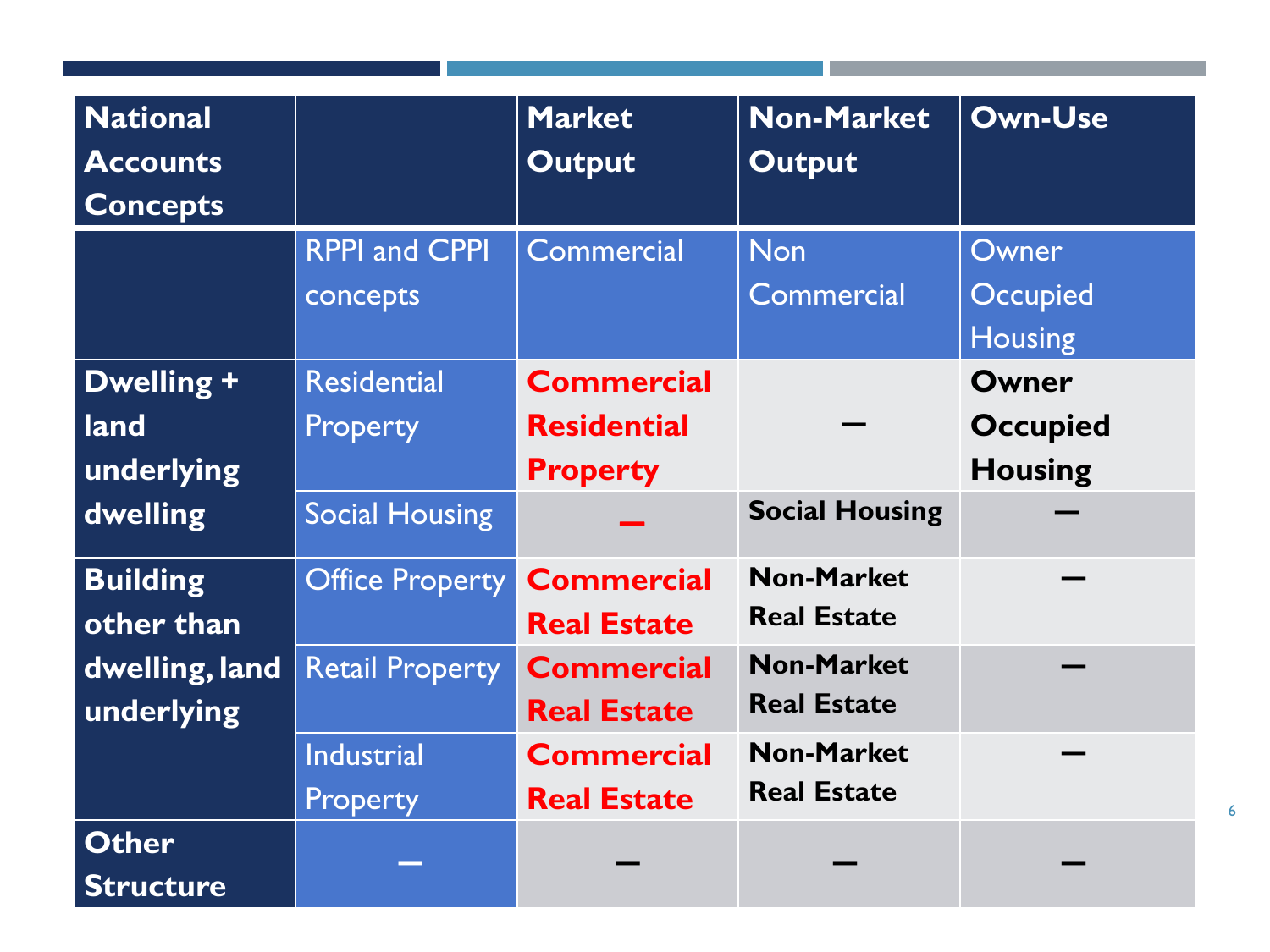| <b>National</b>  |                        | <b>Market</b>      | <b>Non-Market</b>     | <b>Own-Use</b>  |
|------------------|------------------------|--------------------|-----------------------|-----------------|
| <b>Accounts</b>  |                        | <b>Output</b>      | <b>Output</b>         |                 |
| <b>Concepts</b>  |                        |                    |                       |                 |
|                  | <b>RPPI and CPPI</b>   | <b>Commercial</b>  | <b>Non</b>            | Owner           |
|                  | concepts               |                    | <b>Commercial</b>     | <b>Occupied</b> |
|                  |                        |                    |                       | <b>Housing</b>  |
| Dwelling +       | <b>Residential</b>     | <b>Commercial</b>  |                       | Owner           |
| land             | <b>Property</b>        | <b>Residential</b> |                       | <b>Occupied</b> |
| underlying       |                        | <b>Property</b>    |                       | <b>Housing</b>  |
| dwelling         | <b>Social Housing</b>  |                    | <b>Social Housing</b> |                 |
| <b>Building</b>  | <b>Office Property</b> | <b>Commercial</b>  | <b>Non-Market</b>     |                 |
| other than       |                        | <b>Real Estate</b> | <b>Real Estate</b>    |                 |
| dwelling, land   | <b>Retail Property</b> | <b>Commercial</b>  | <b>Non-Market</b>     |                 |
| underlying       |                        | <b>Real Estate</b> | <b>Real Estate</b>    |                 |
|                  | <b>Industrial</b>      | <b>Commercial</b>  | <b>Non-Market</b>     |                 |
|                  | Property               | <b>Real Estate</b> | <b>Real Estate</b>    |                 |
| <b>Other</b>     |                        |                    |                       |                 |
| <b>Structure</b> |                        |                    |                       |                 |

6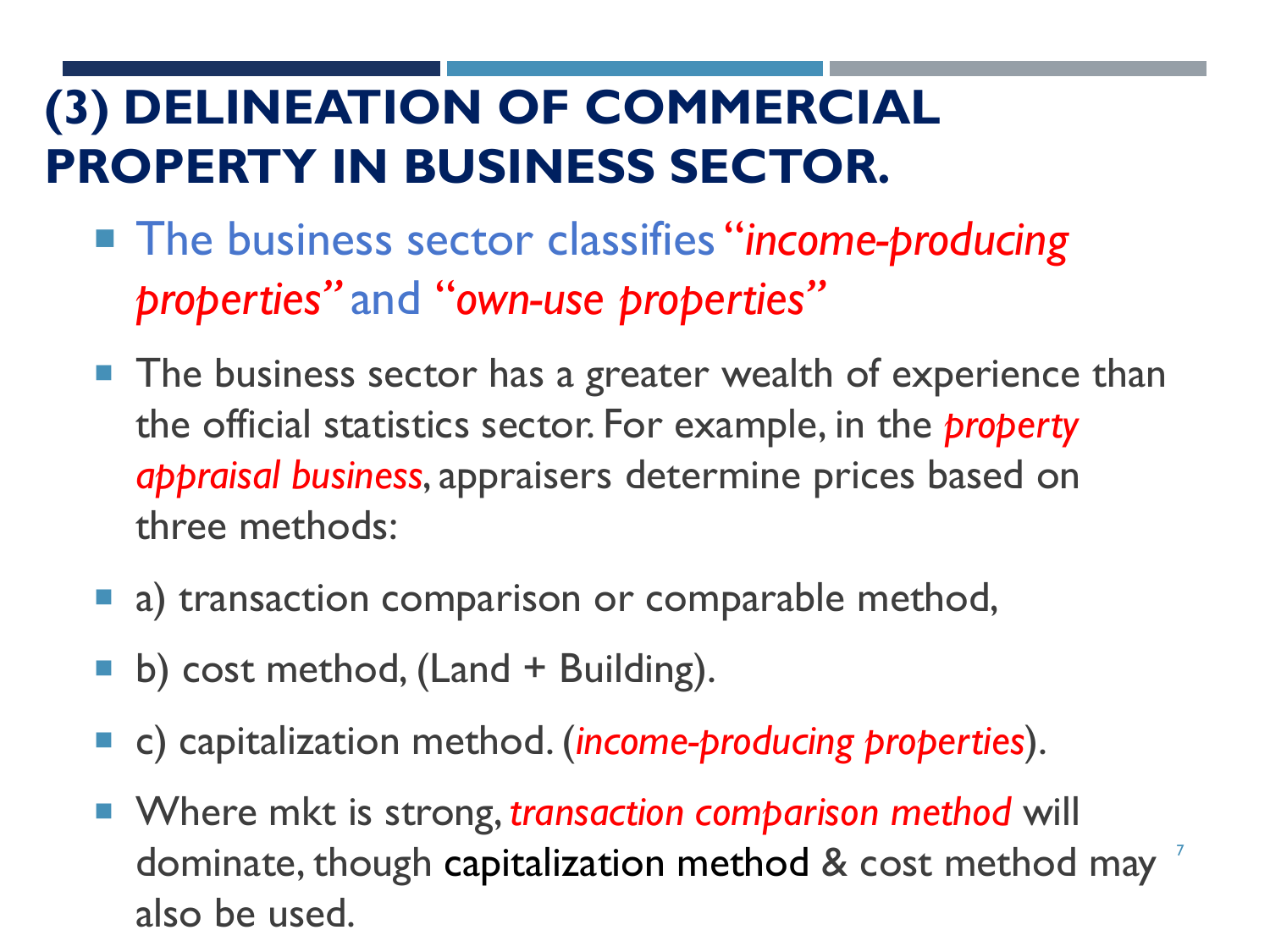# **(3) DELINEATION OF COMMERCIAL PROPERTY IN BUSINESS SECTOR.**

- The business sector classifies "*income-producing properties"* and "*own-use properties"*
- **The business sector has a greater wealth of experience than** the official statistics sector. For example, in the *property appraisal business*, appraisers determine prices based on three methods:
- a) transaction comparison or comparable method,
- $\blacksquare$  b) cost method, (Land + Building).
- c) capitalization method. (*income-producing properties*).
- dominate, though capitalization method & cost method may <sup>7</sup> ■ Where mkt is strong, *transaction comparison method* will also be used.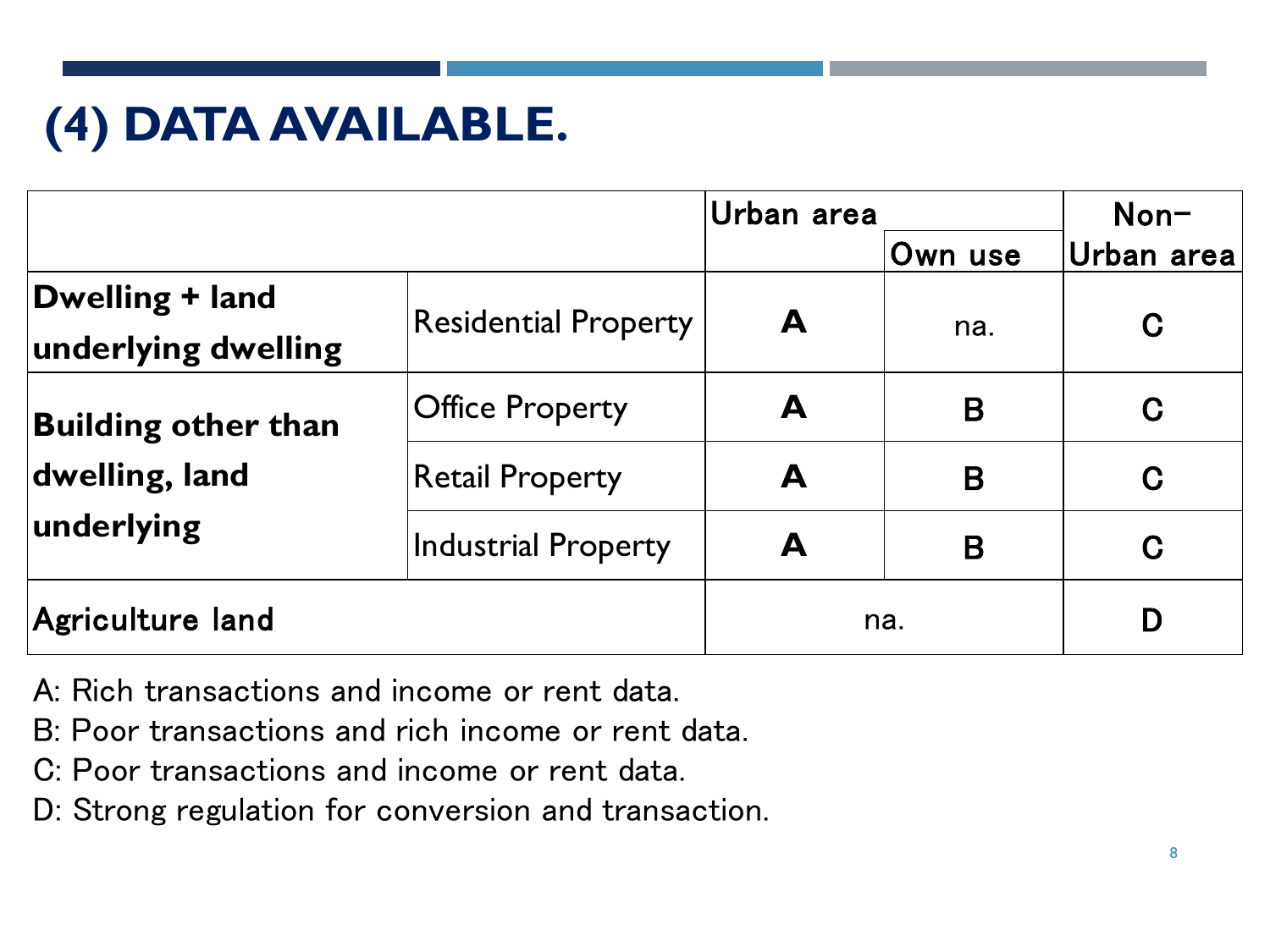# **(4) DATA AVAILABLE.**

|                                        |                             | Urban area |         | Non-       |
|----------------------------------------|-----------------------------|------------|---------|------------|
|                                        |                             |            | Own use | Urban area |
| Dwelling + land<br>underlying dwelling | <b>Residential Property</b> | A          | na.     | C          |
| <b>Building other than</b>             | <b>Office Property</b>      | A          | B       | C          |
| dwelling, land                         | <b>Retail Property</b>      | A          | B       | C          |
| underlying                             | Industrial Property         | A          | B       | C          |
| Agriculture land                       |                             |            | na.     |            |

- A: Rich transactions and income or rent data.
- B: Poor transactions and rich income or rent data.
- C: Poor transactions and income or rent data.
- D: Strong regulation for conversion and transaction.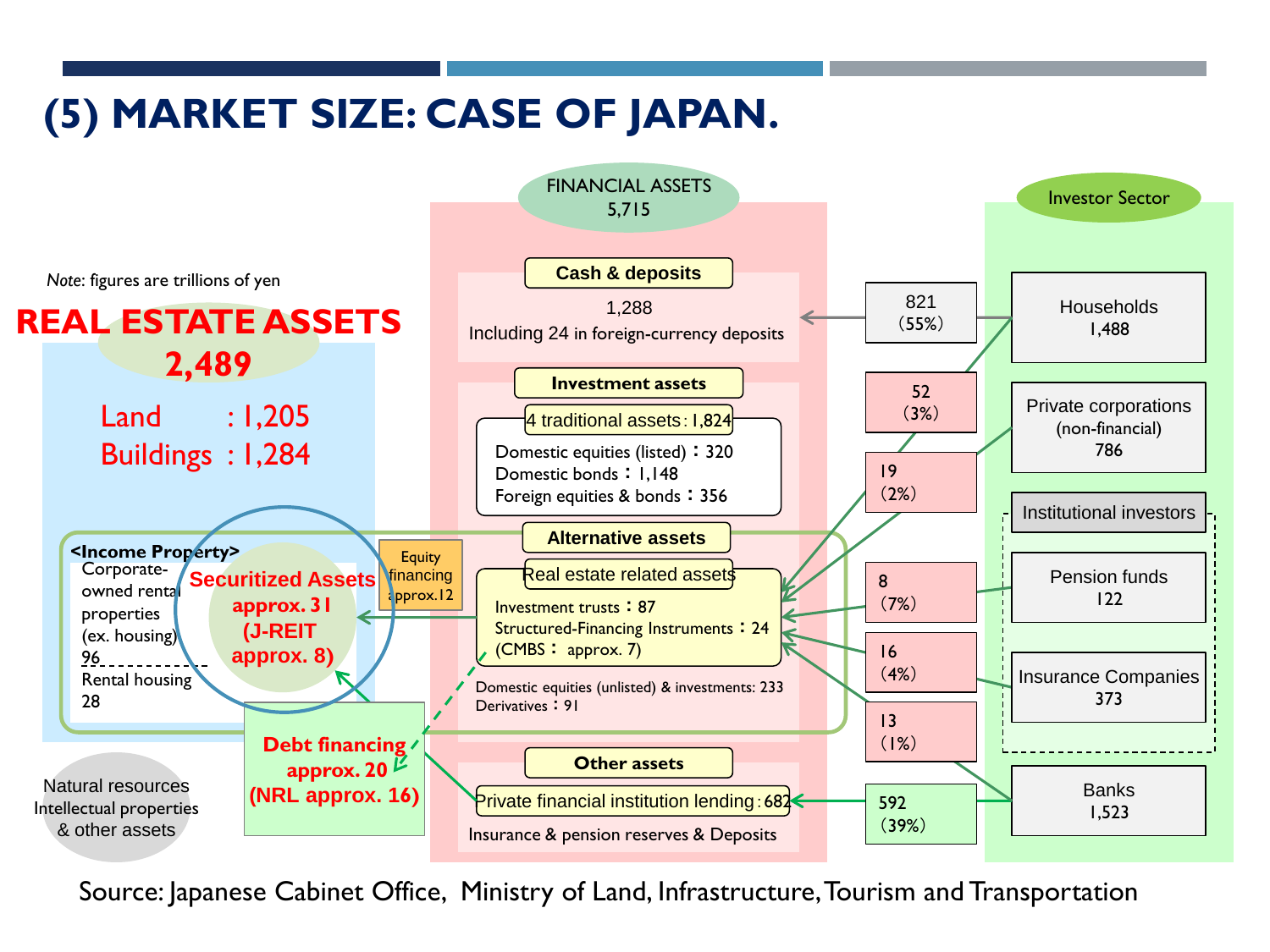#### **(5) MARKET SIZE: CASE OF JAPAN.**



Source: Japanese Cabinet Office, Ministry of Land, Infrastructure, Tourism and Transportation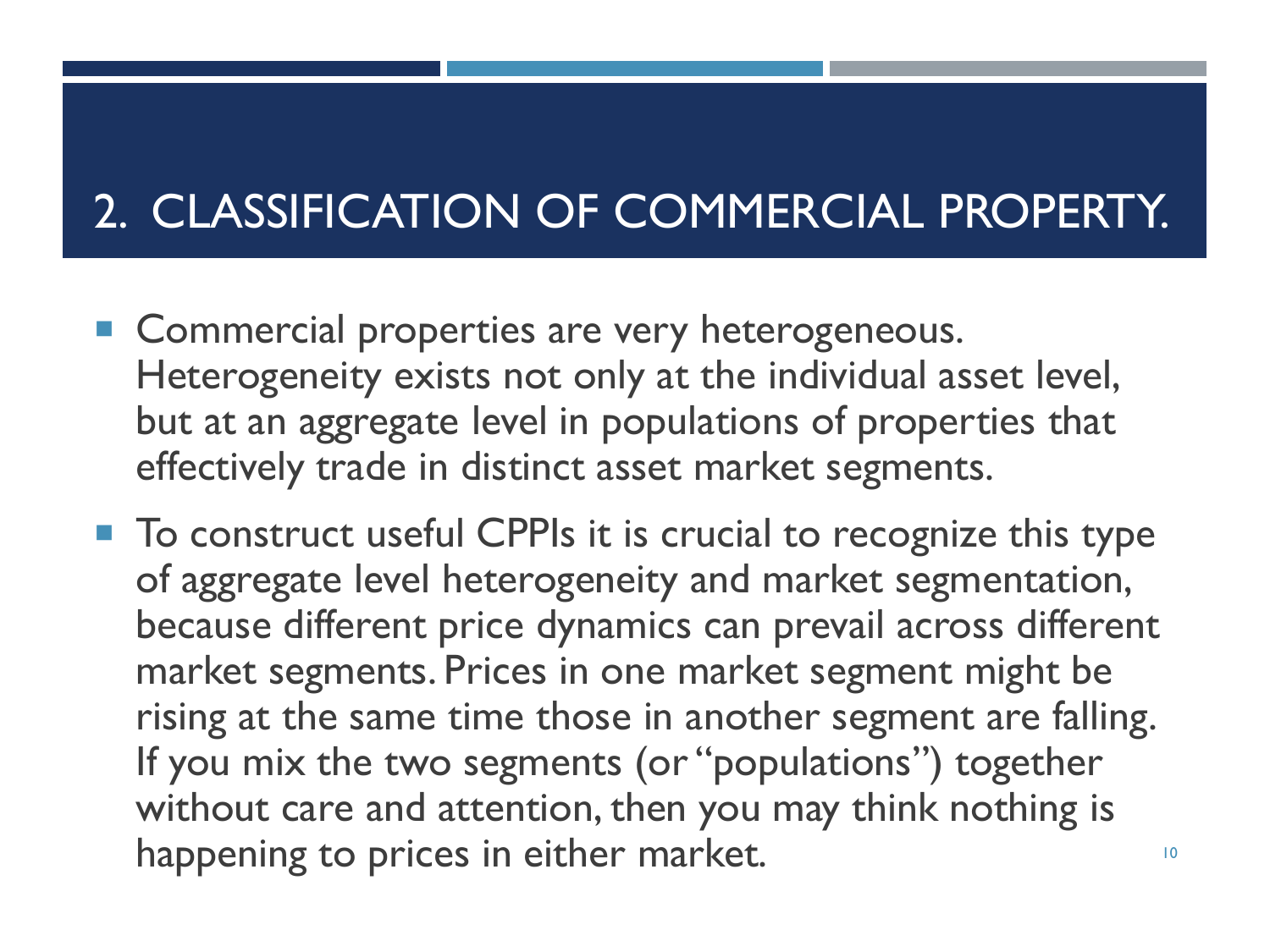# 2. CLASSIFICATION OF COMMERCIAL PROPERTY.

- Commercial properties are very heterogeneous. Heterogeneity exists not only at the individual asset level, but at an aggregate level in populations of properties that effectively trade in distinct asset market segments.
- To construct useful CPPIs it is crucial to recognize this type of aggregate level heterogeneity and market segmentation, because different price dynamics can prevail across different market segments. Prices in one market segment might be rising at the same time those in another segment are falling. If you mix the two segments (or "populations") together without care and attention, then you may think nothing is happening to prices in either market. The mass of the control of the control of the control of the control of the control of the control of the control of the control of the control of the control of the control of the con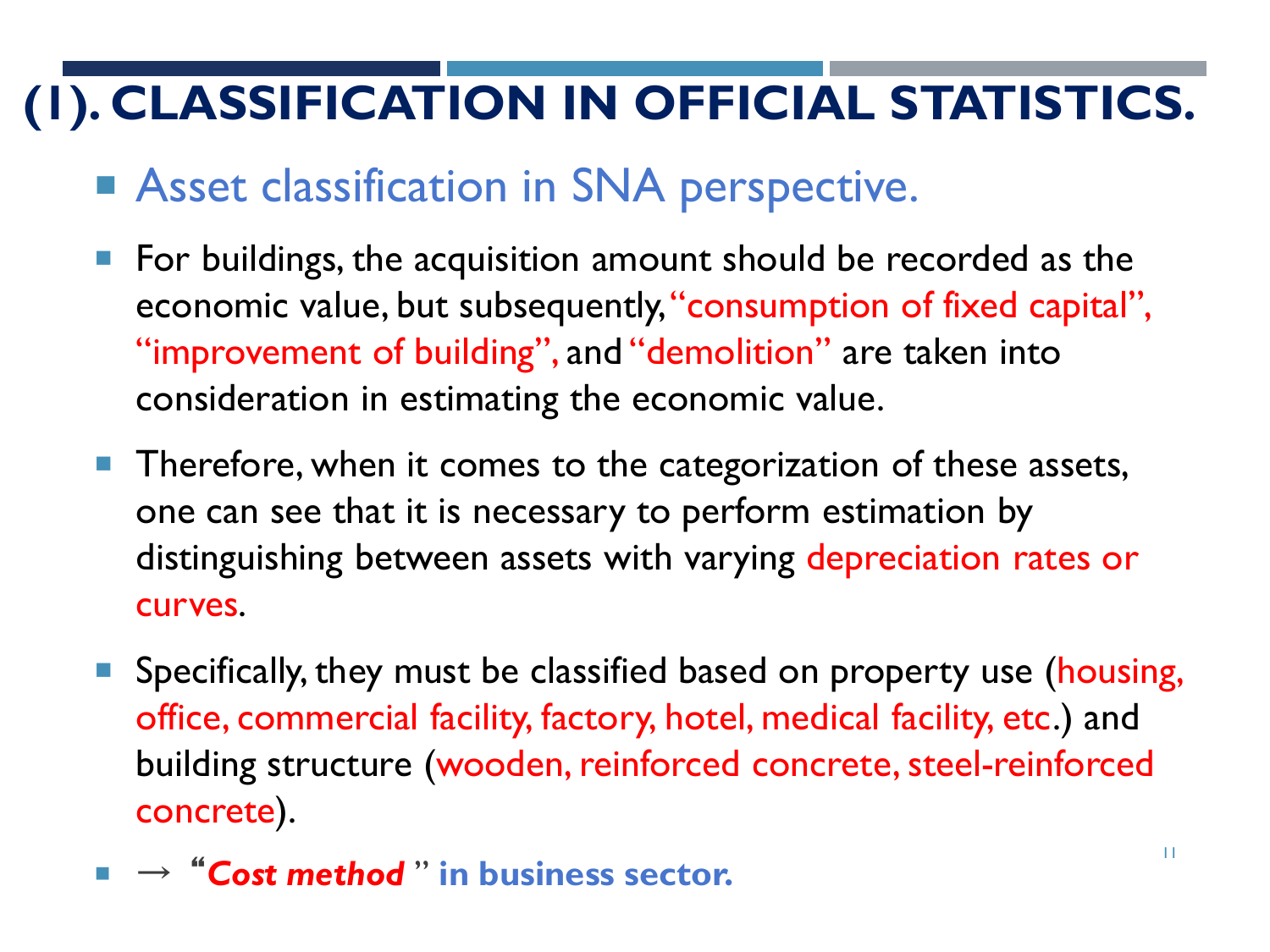# **(1). CLASSIFICATION IN OFFICIAL STATISTICS.**

#### ■ Asset classification in SNA perspective.

- For buildings, the acquisition amount should be recorded as the economic value, but subsequently, "consumption of fixed capital", "improvement of building", and "demolition" are taken into consideration in estimating the economic value.
- **Therefore, when it comes to the categorization of these assets,** one can see that it is necessary to perform estimation by distinguishing between assets with varying depreciation rates or curves.
- Specifically, they must be classified based on property use (housing, office, commercial facility, factory, hotel, medical facility, etc.) and building structure (wooden, reinforced concrete, steel-reinforced concrete).
- → "Cost method" in business sector.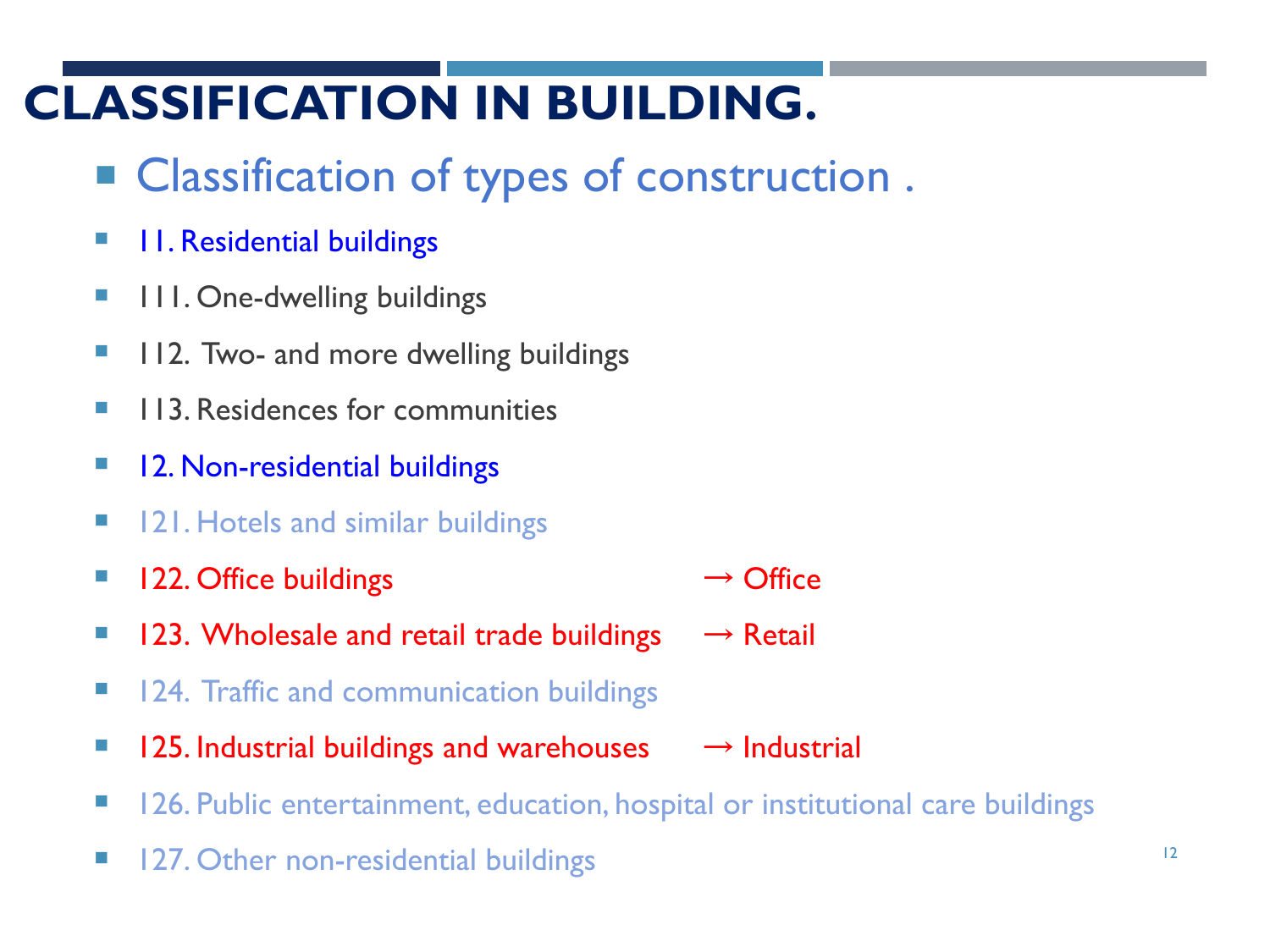# **CLASSIFICATION IN BUILDING.**

- Classification of types of construction.
- **11. Residential buildings**
- **111. One-dwelling buildings**
- **112. Two- and more dwelling buildings**
- **113. Residences for communities**
- **12. Non-residential buildings**
- **121. Hotels and similar buildings**
- $\blacksquare$  122. Office buildings  $\rightarrow$  Office
- $\blacksquare$  123. Wholesale and retail trade buildings  $\rightarrow$  Retail
- **124. Traffic and communication buildings**
- $\blacksquare$  125. Industrial buildings and warehouses  $\rightarrow$  Industrial
- **126. Public entertainment, education, hospital or institutional care buildings**
- **127. Other non-residential buildings**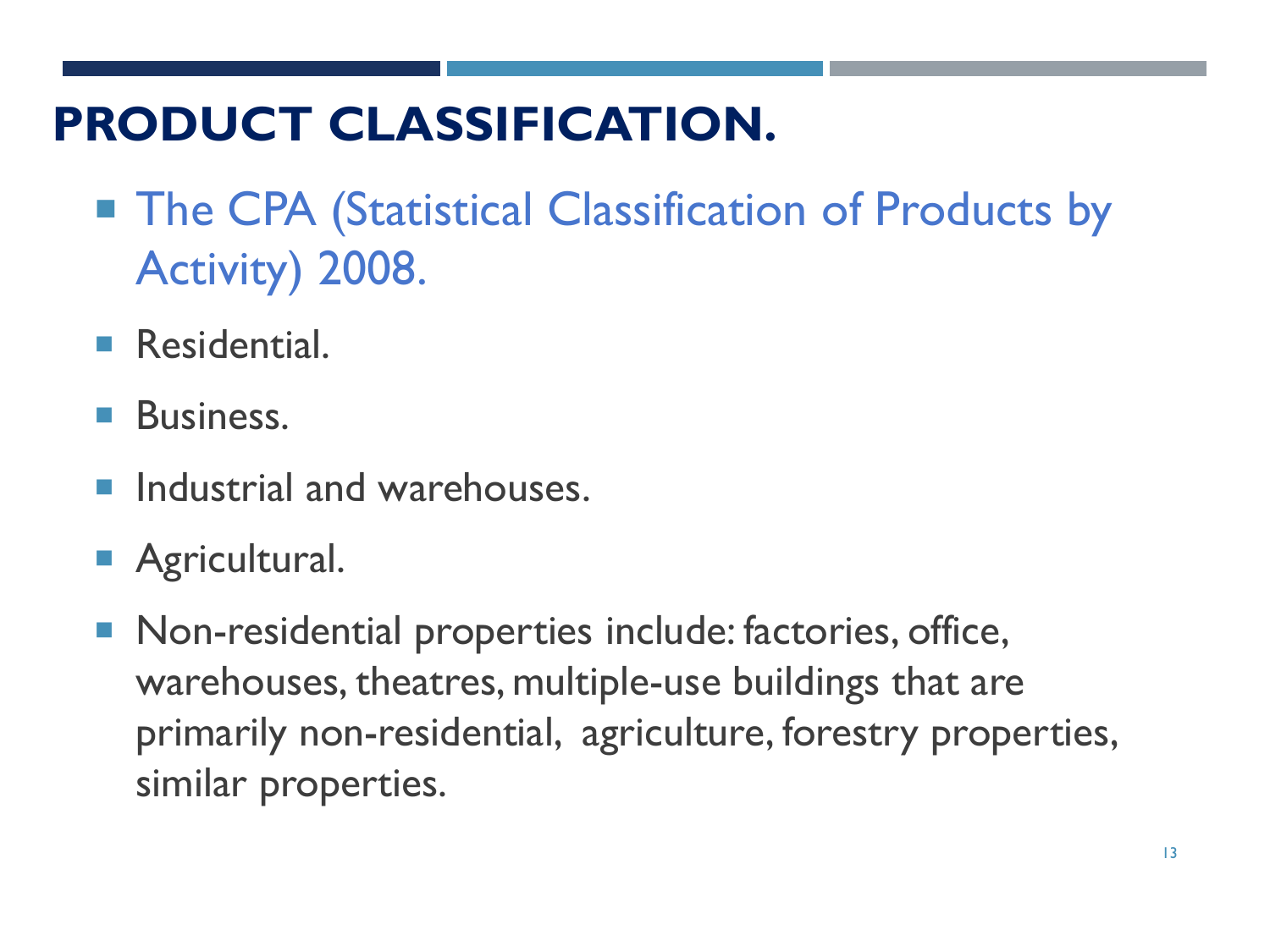# **PRODUCT CLASSIFICATION.**

- The CPA (Statistical Classification of Products by Activity) 2008.
- **Residential.**
- **Business.**
- **Industrial and warehouses.**
- **Agricultural.**
- **Non-residential properties include: factories, office,** warehouses, theatres, multiple-use buildings that are primarily non-residential, agriculture, forestry properties, similar properties.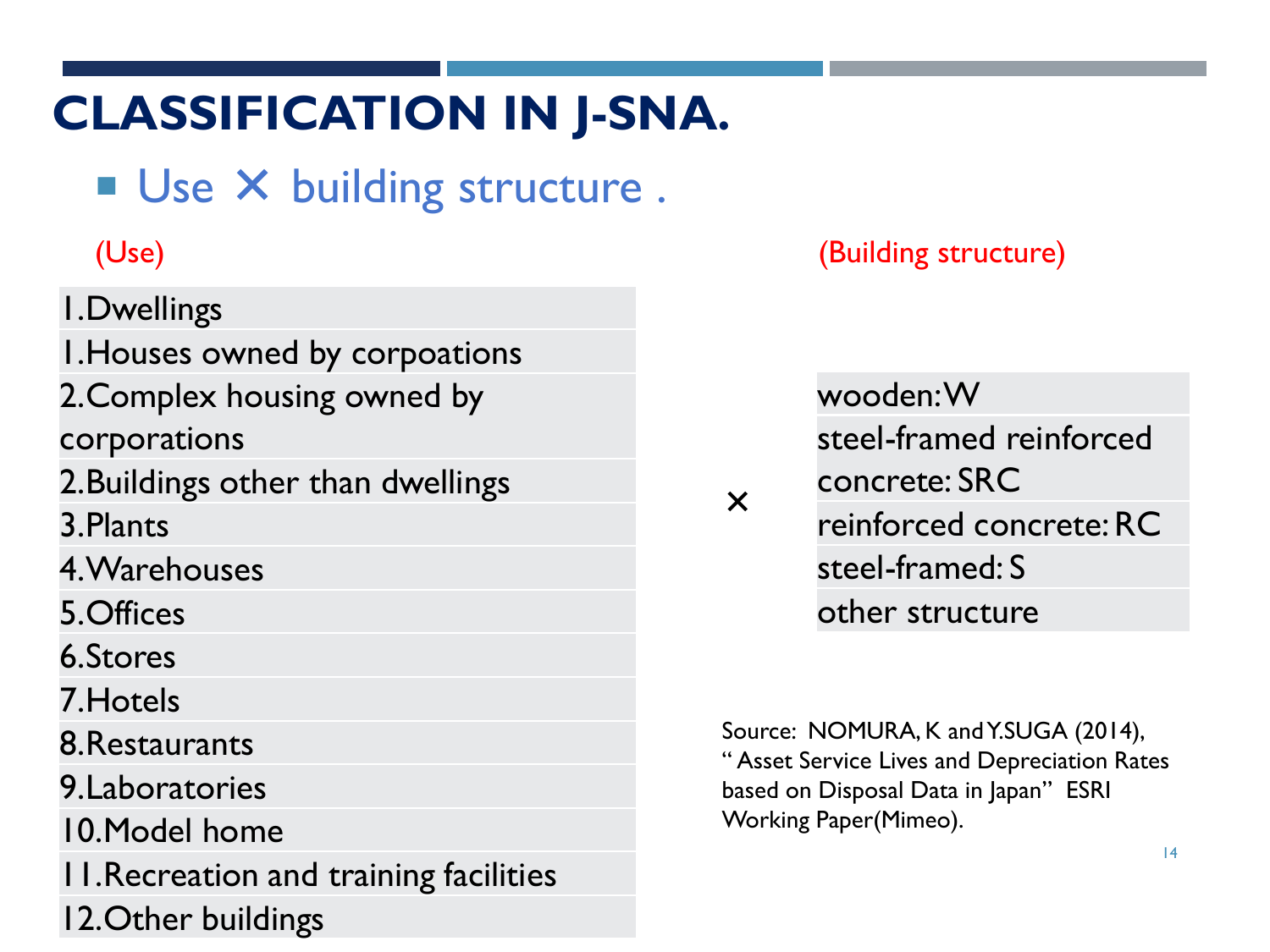# **CLASSIFICATION IN J-SNA.**

Use X building structure.

1.Dwellings 1.Houses owned by corpoations 2.Complex housing owned by corporations 2.Buildings other than dwellings 3.Plants 4.Warehouses 5.Offices 6.Stores 7.Hotels 8.Restaurants 9.Laboratories

10.Model home

11.Recreation and training facilities

12.Other buildings

(Use) (Building structure)

wooden: W steel-framed reinforced concrete: SRC reinforced concrete: RC steel-framed: S other structure

×

Source: NOMURA, K and Y.SUGA (2014), " Asset Service Lives and Depreciation Rates based on Disposal Data in Japan" ESRI Working Paper(Mimeo).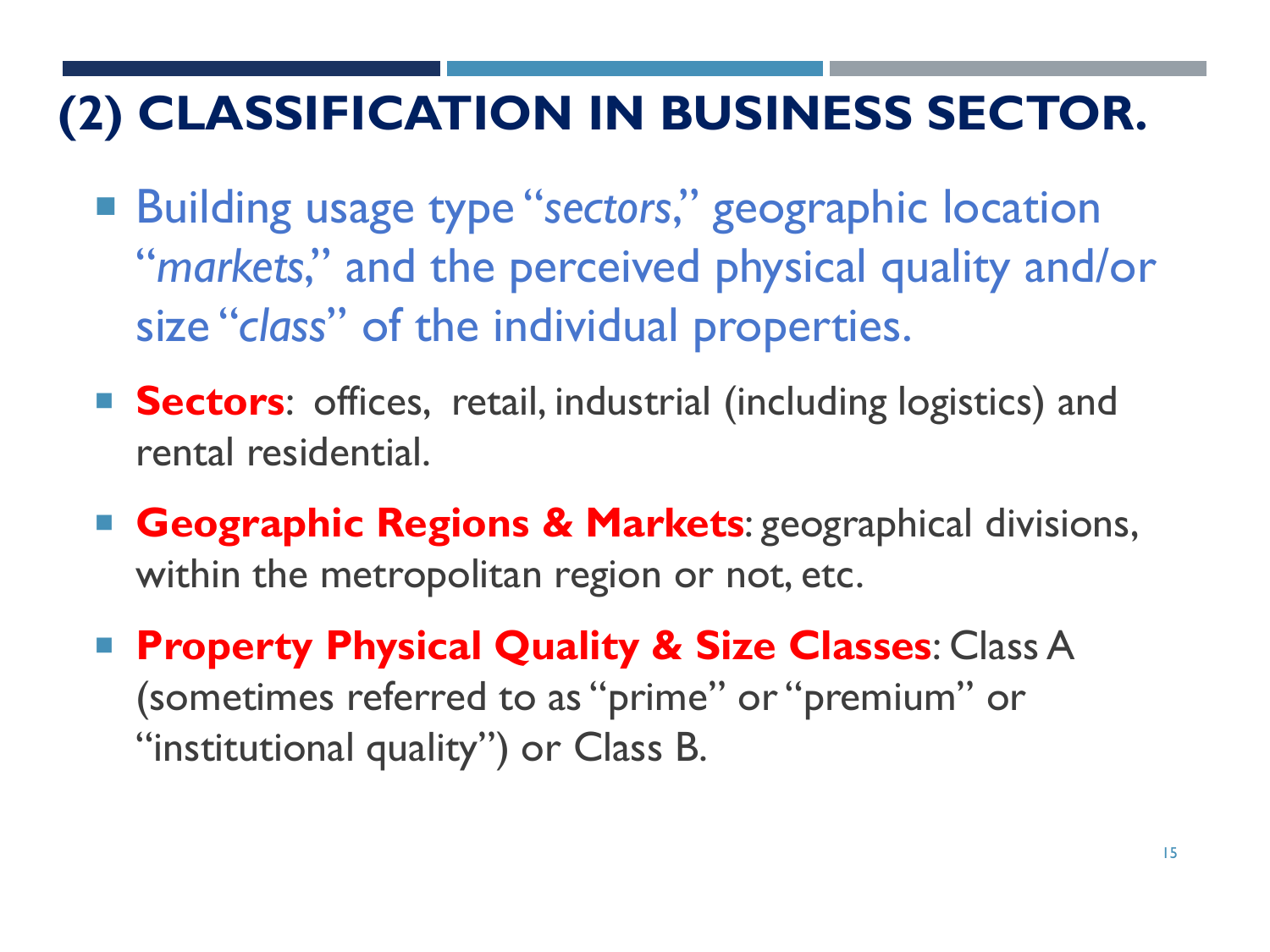# **(2) CLASSIFICATION IN BUSINESS SECTOR.**

- Building usage type "sectors," geographic location "*markets*," and the perceived physical quality and/or size "*class*" of the individual properties.
- **Sectors**: offices, retail, industrial (including logistics) and rental residential.
- **Geographic Regions & Markets**: geographical divisions, within the metropolitan region or not, etc.
- **Property Physical Quality & Size Classes: Class A** (sometimes referred to as "prime" or "premium" or "institutional quality") or Class B.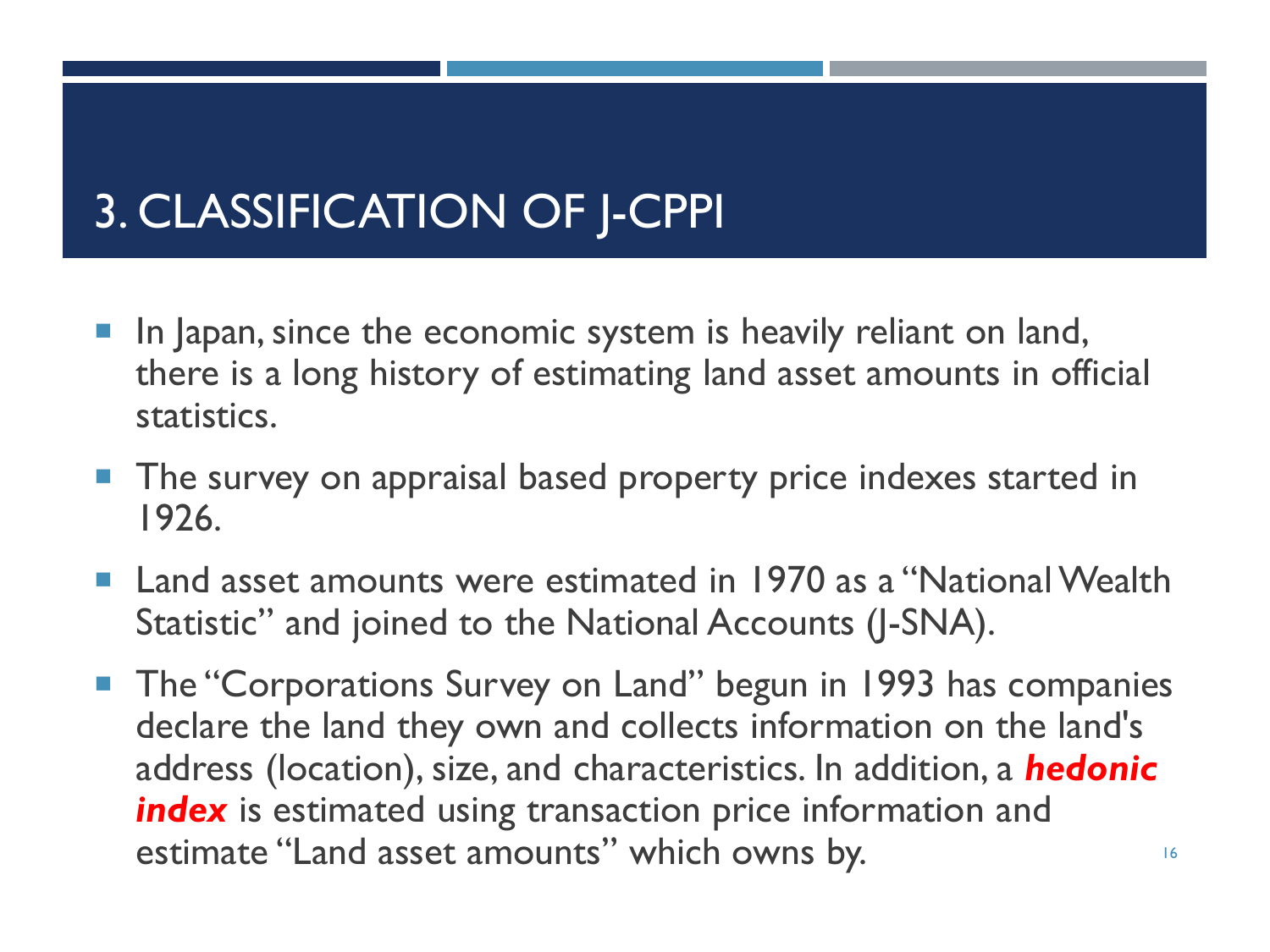# 3. CLASSIFICATION OF J-CPPI

- In Japan, since the economic system is heavily reliant on land, there is a long history of estimating land asset amounts in official statistics.
- **The survey on appraisal based property price indexes started in** 1926.
- Land asset amounts were estimated in 1970 as a "National Wealth Statistic" and joined to the National Accounts (J-SNA).
- 16 **The "Corporations Survey on Land" begun in 1993 has companies** declare the land they own and collects information on the land's address (location), size, and characteristics. In addition, a *hedonic index* is estimated using transaction price information and estimate "Land asset amounts" which owns by.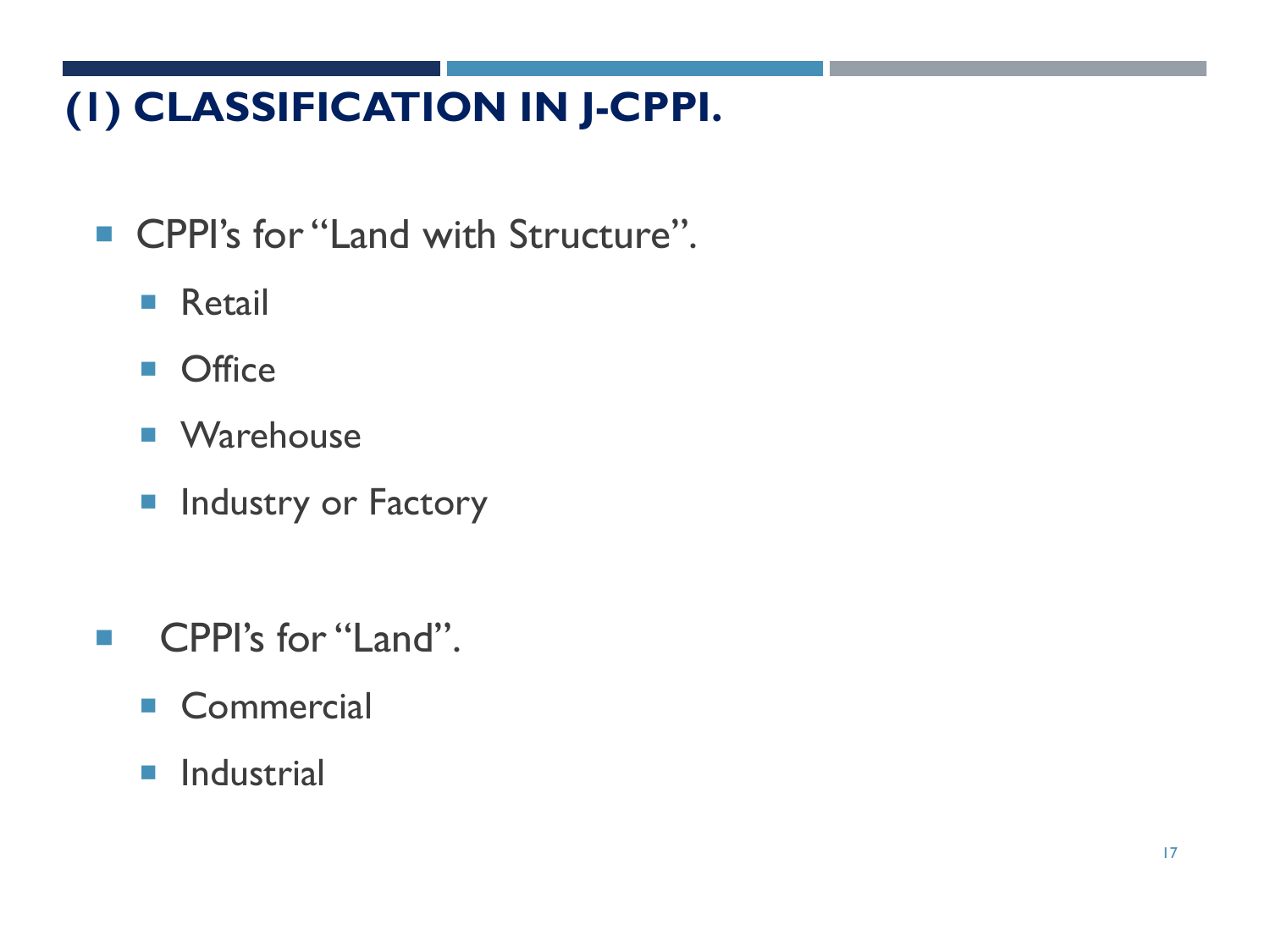#### **(1) CLASSIFICATION IN J-CPPI.**

- CPPI's for "Land with Structure".
	- **Retail**
	- **Office**
	- Warehouse
	- **Industry or Factory**
- **CPPI's for "Land".** 
	- Commercial
	- **Industrial**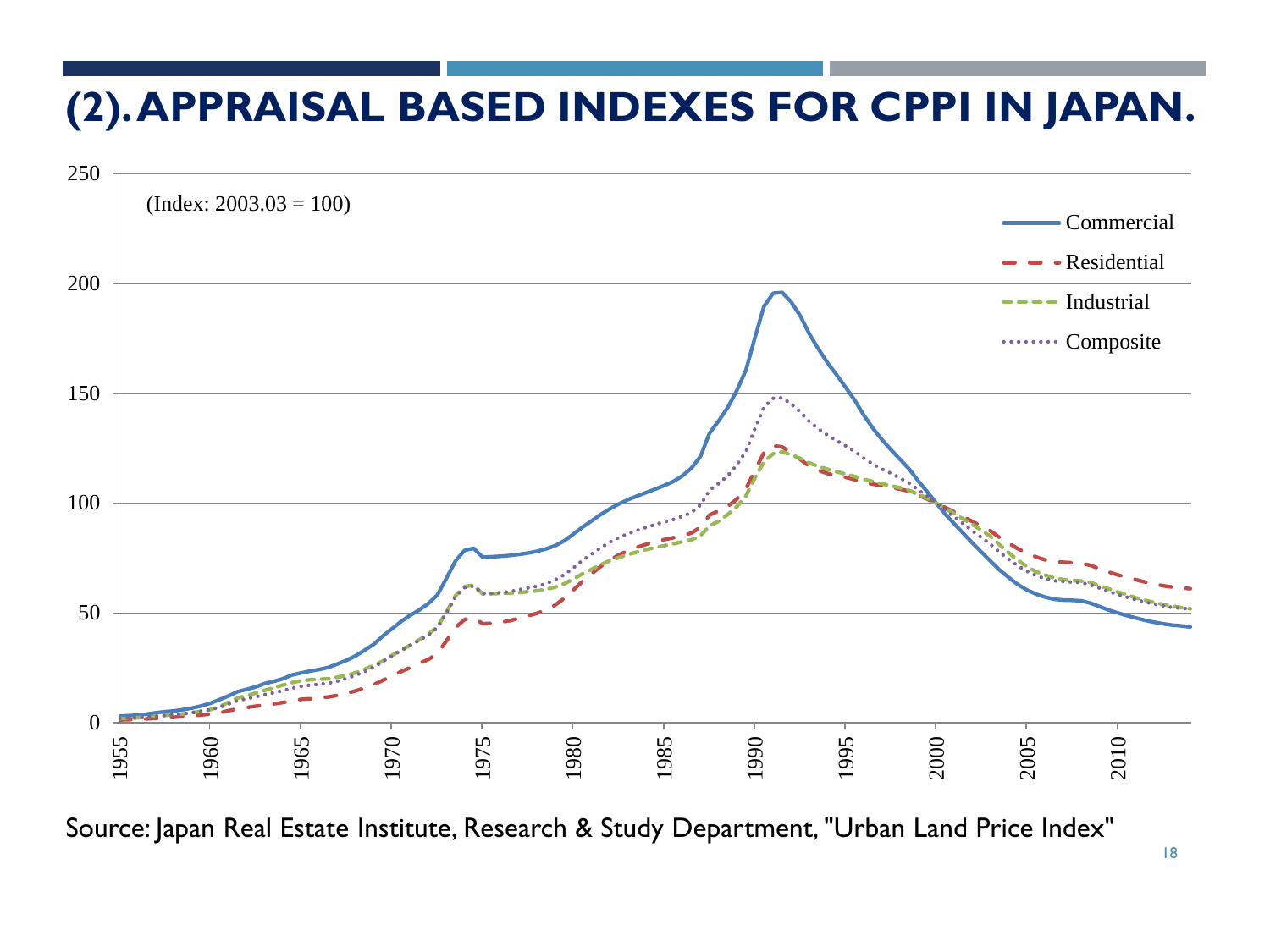#### **(2). APPRAISAL BASED INDEXES FOR CPPI IN JAPAN.**



Source: Japan Real Estate Institute, Research & Study Department, "Urban Land Price Index"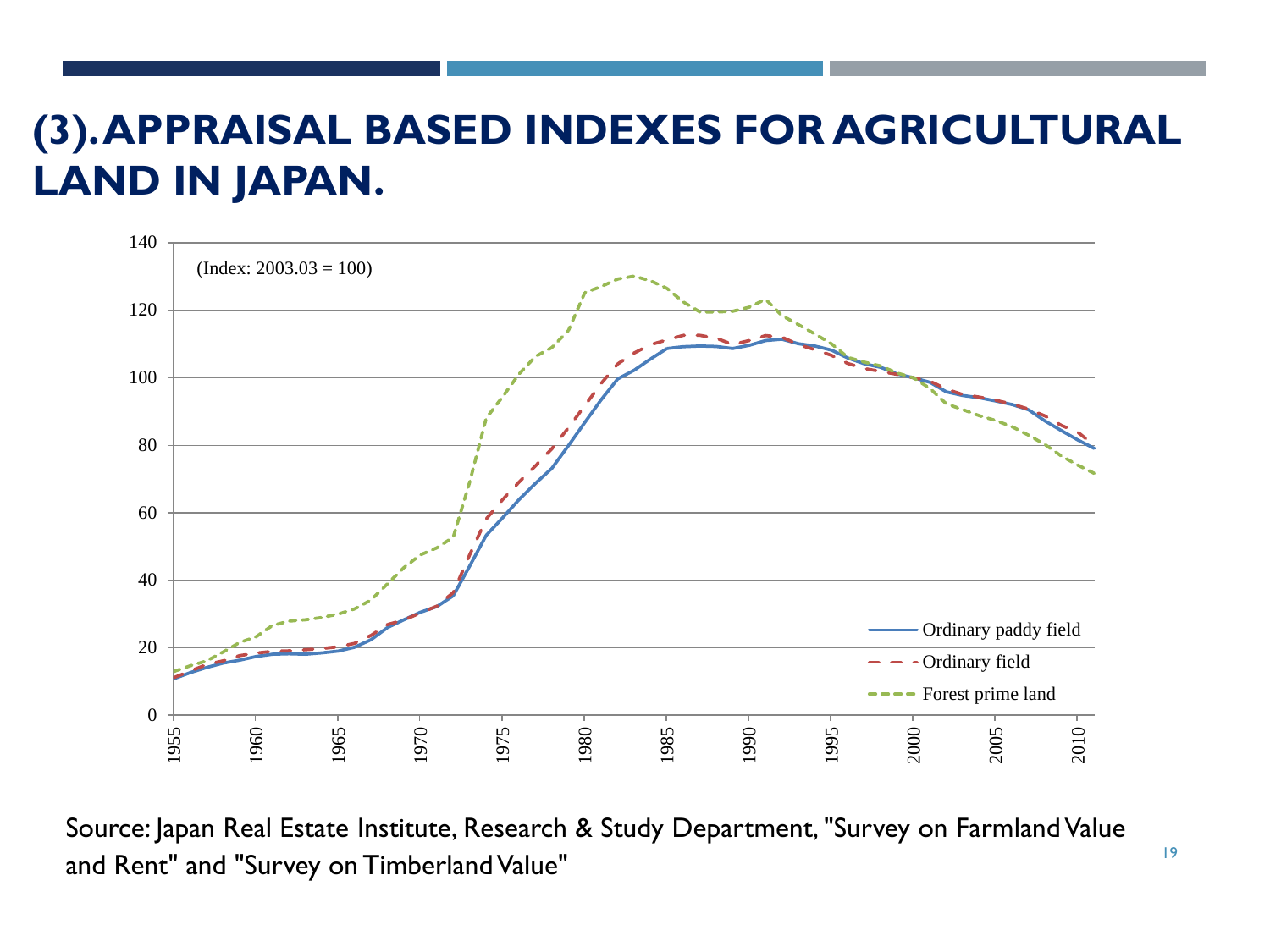#### **(3). APPRAISAL BASED INDEXES FOR AGRICULTURAL LAND IN JAPAN.**



Source: Japan Real Estate Institute, Research & Study Department, "Survey on Farmland Value and Rent" and "Survey on Timberland Value"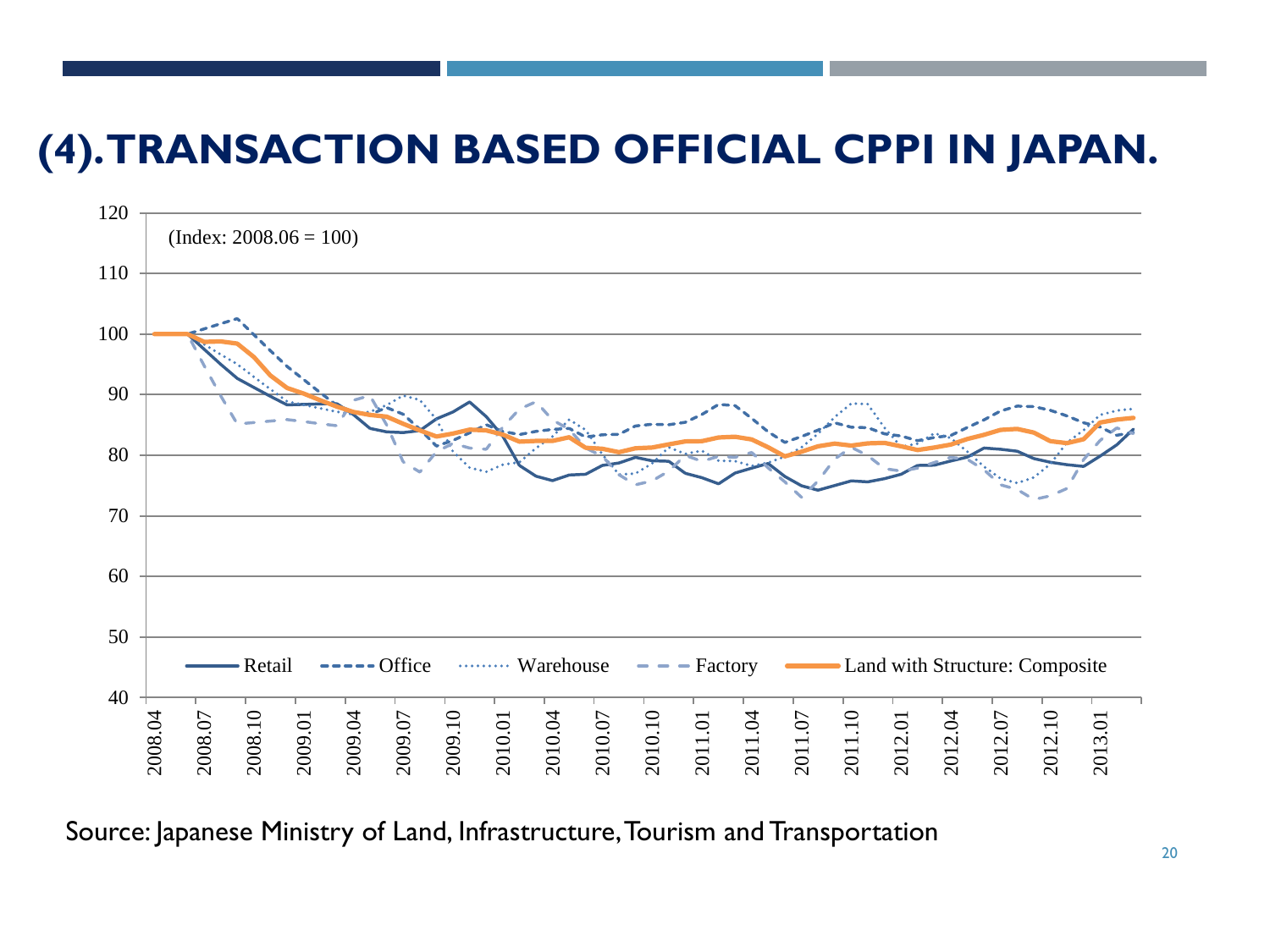#### **(4). TRANSACTION BASED OFFICIAL CPPI IN JAPAN.**



Source: Japanese Ministry of Land, Infrastructure, Tourism and Transportation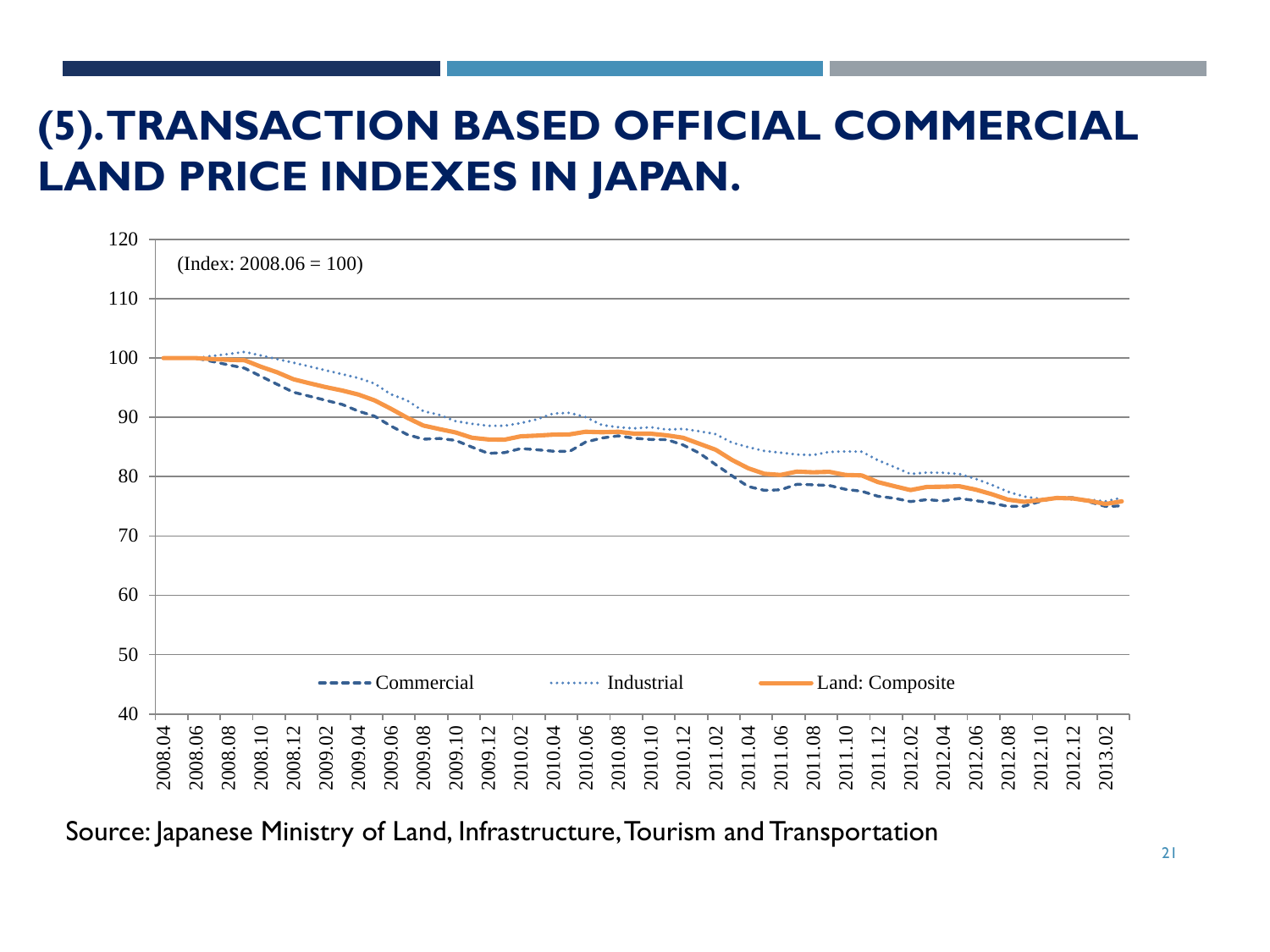#### **(5). TRANSACTION BASED OFFICIAL COMMERCIAL LAND PRICE INDEXES IN JAPAN.**



Source: Japanese Ministry of Land, Infrastructure, Tourism and Transportation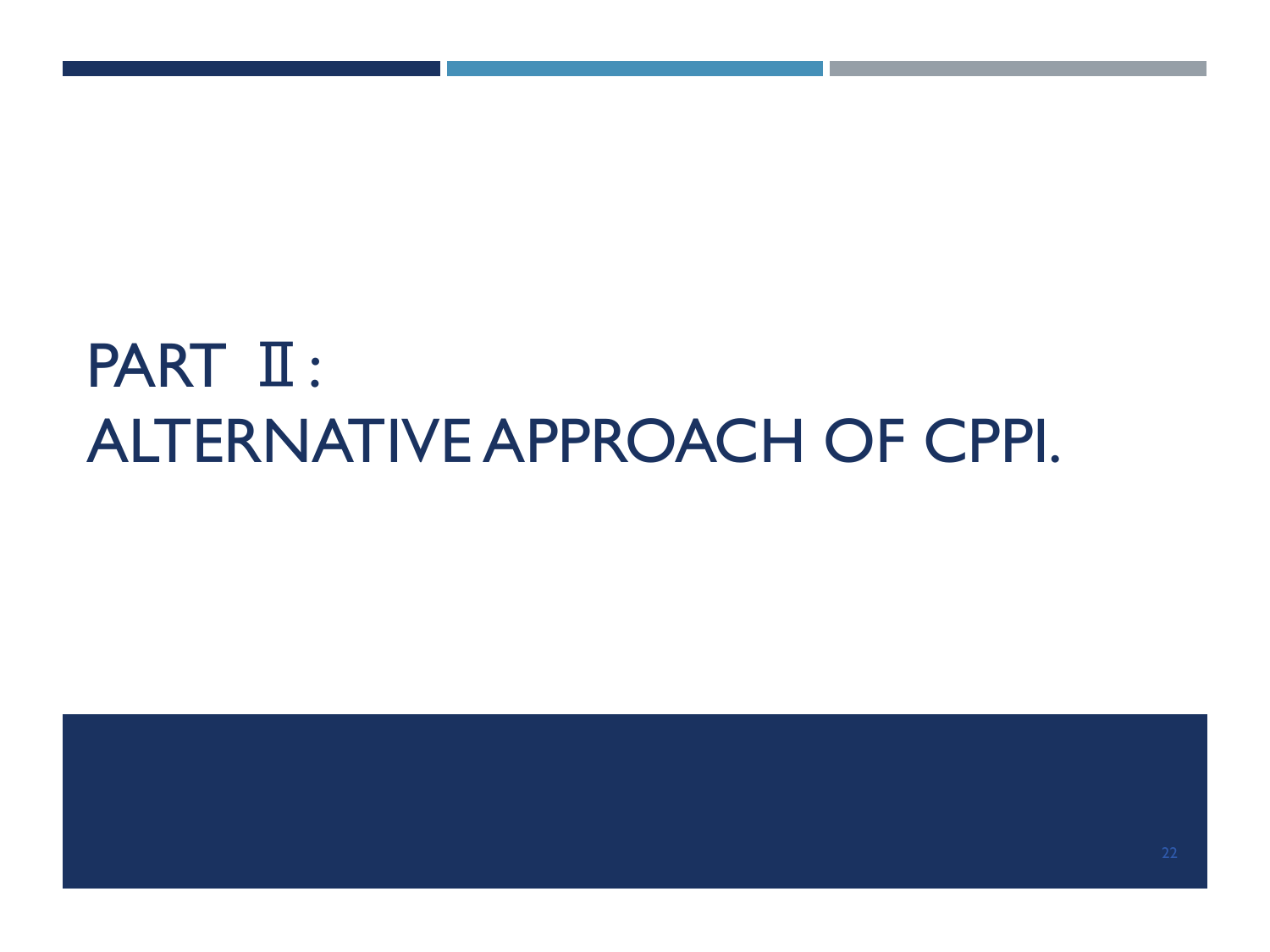# PART  $II$ : ALTERNATIVE APPROACH OF CPPI.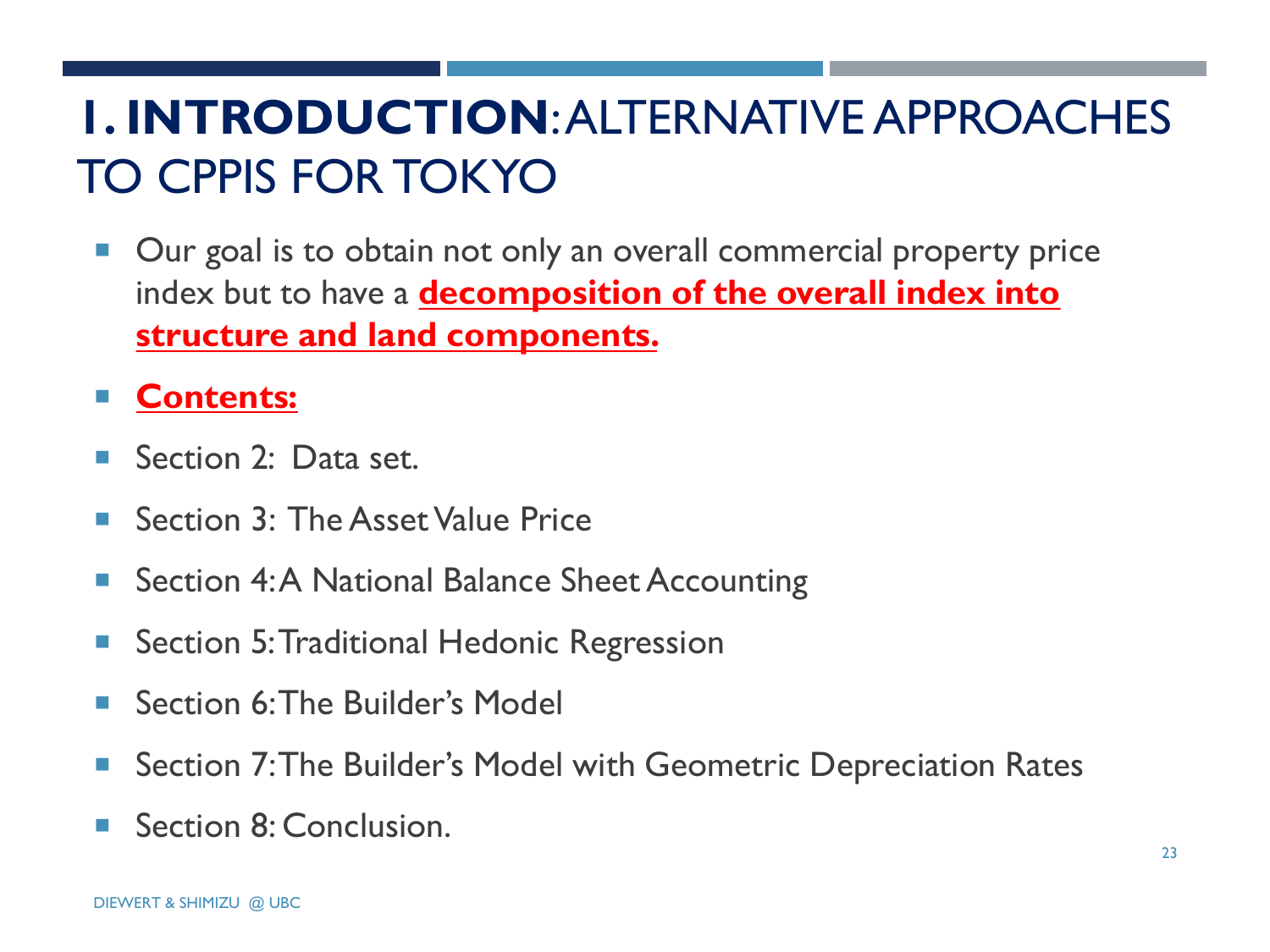# **1. INTRODUCTION**: ALTERNATIVE APPROACHES TO CPPIS FOR TOKYO

■ Our goal is to obtain not only an overall commercial property price index but to have a **decomposition of the overall index into structure and land components.** 

#### **Contents:**

- Section 2: Data set.
- Section 3: The Asset Value Price
- Section 4:A National Balance Sheet Accounting
- **Section 5: Traditional Hedonic Regression**
- Section 6: The Builder's Model
- Section 7: The Builder's Model with Geometric Depreciation Rates
- Section 8: Conclusion.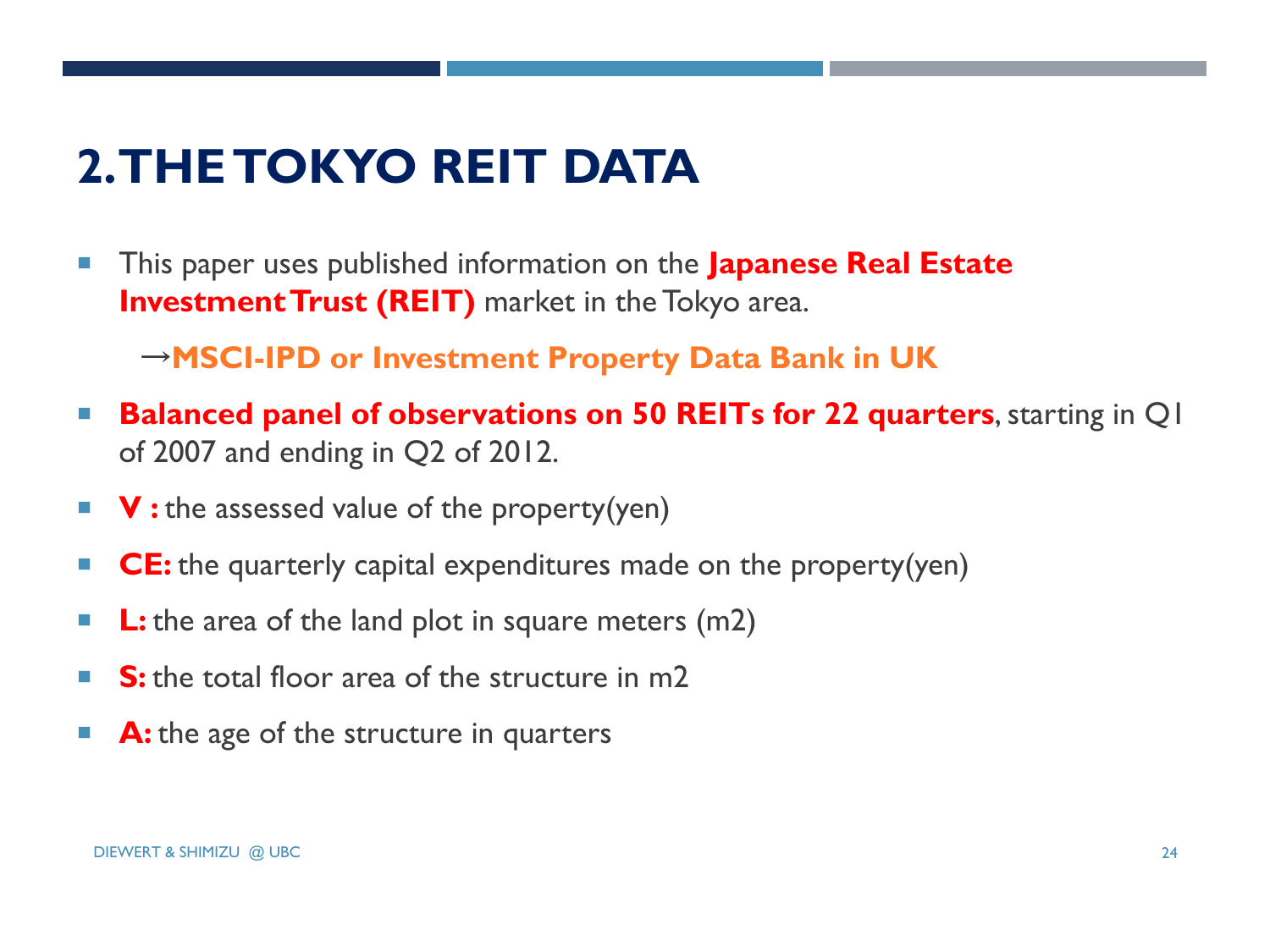# **2. THE TOKYO REIT DATA**

**This paper uses published information on the Japanese Real Estate Investment Trust (REIT)** market in the Tokyo area.

→**MSCI-IPD or Investment Property Data Bank in UK**

- **Balanced panel of observations on 50 REITs for 22 quarters**, starting in Q1 of 2007 and ending in Q2 of 2012.
- **V**: the assessed value of the property(yen)
- **CE:** the quarterly capital expenditures made on the property(yen)
- **L:** the area of the land plot in square meters (m2)
- S: the total floor area of the structure in m2
- **A:** the age of the structure in quarters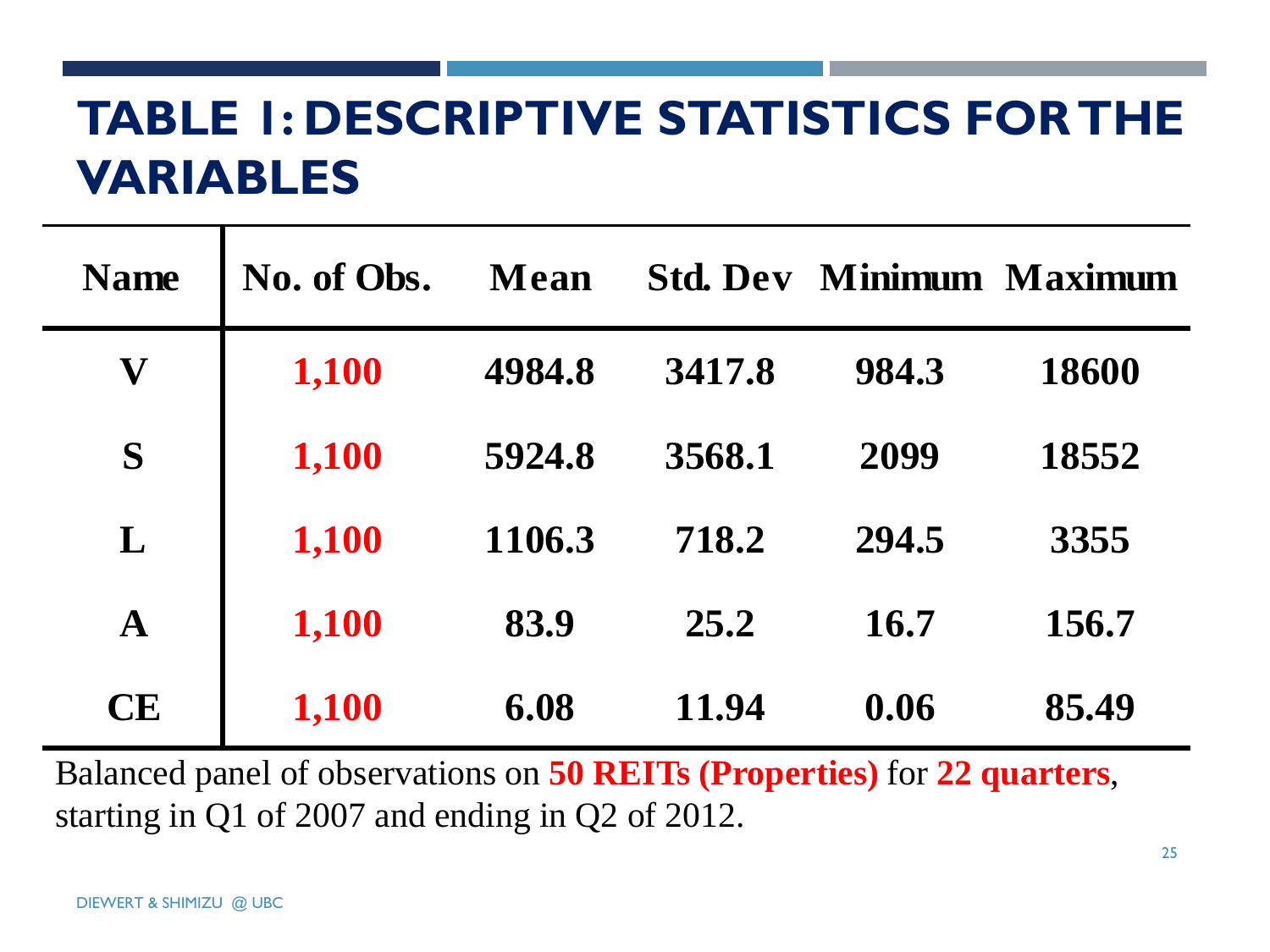# **TABLE 1: DESCRIPTIVE STATISTICS FOR THE VARIABLES**

| <b>Name</b>  | No. of Obs. | Mean   | <b>Std. Dev</b> |       | <b>Minimum Maximum</b> |
|--------------|-------------|--------|-----------------|-------|------------------------|
| V            | 1,100       | 4984.8 | 3417.8          | 984.3 | 18600                  |
| S            | 1,100       | 5924.8 | 3568.1          | 2099  | 18552                  |
| L            | 1,100       | 1106.3 | 718.2           | 294.5 | 3355                   |
| $\mathbf{A}$ | 1,100       | 83.9   | 25.2            | 16.7  | 156.7                  |
| <b>CE</b>    | 1,100       | 6.08   | 11.94           | 0.06  | 85.49                  |

Balanced panel of observations on **50 REITs (Properties)** for **22 quarters**, starting in Q1 of 2007 and ending in Q2 of 2012.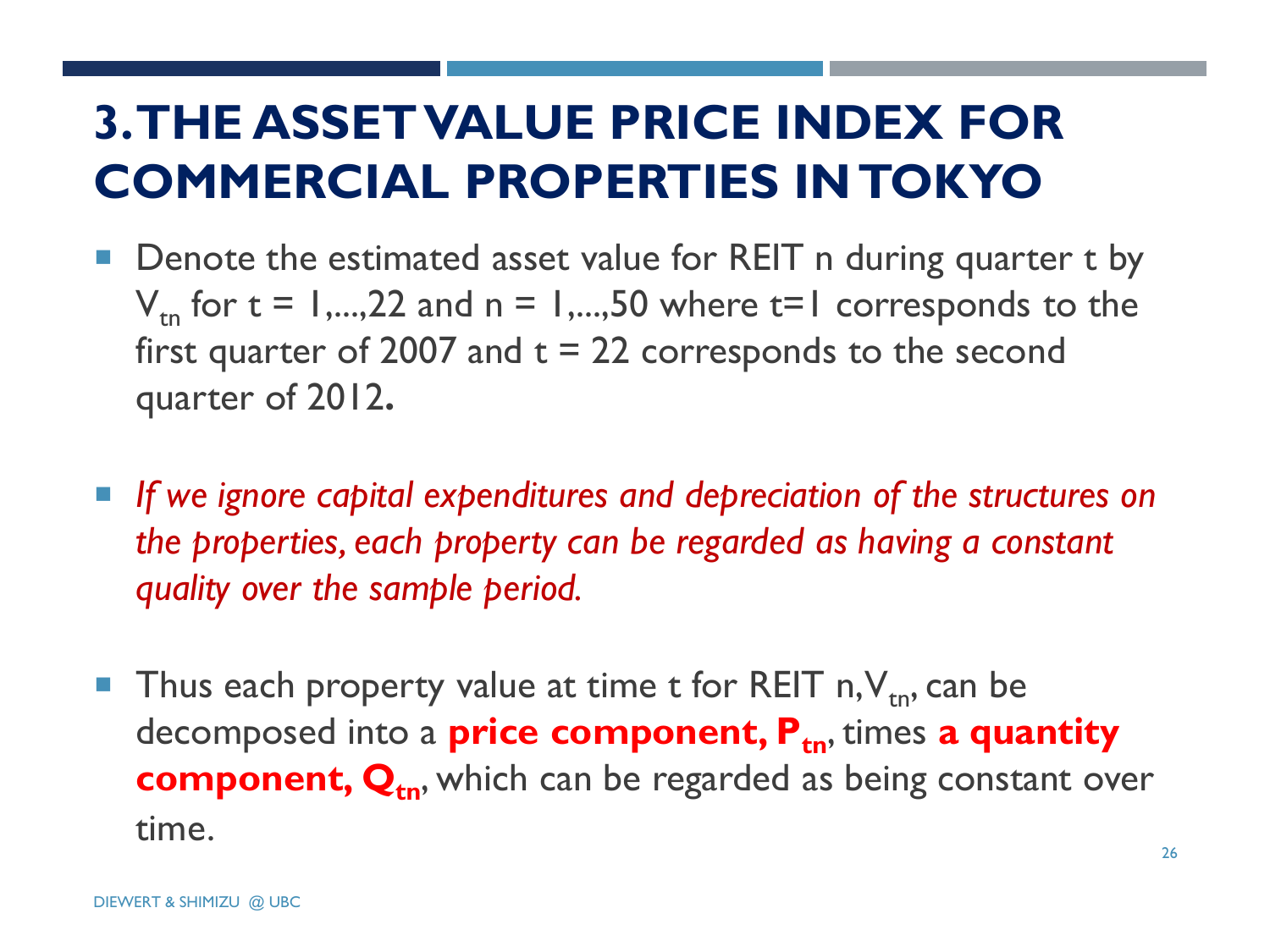# **3. THE ASSET VALUE PRICE INDEX FOR COMMERCIAL PROPERTIES IN TOKYO**

- Denote the estimated asset value for REIT n during quarter t by  $V_{\text{tn}}$  for t = 1,...,22 and n = 1,...,50 where t=1 corresponds to the first quarter of 2007 and  $t = 22$  corresponds to the second quarter of 2012**.**
- If we ignore capital expenditures and depreciation of the structures on *the properties, each property can be regarded as having a constant quality over the sample period.*
- Thus each property value at time t for REIT  $n, V_{tn}$ , can be decomposed into a **price component, Ptn**, times **a quantity component, Q**<sub>tn</sub>, which can be regarded as being constant over time.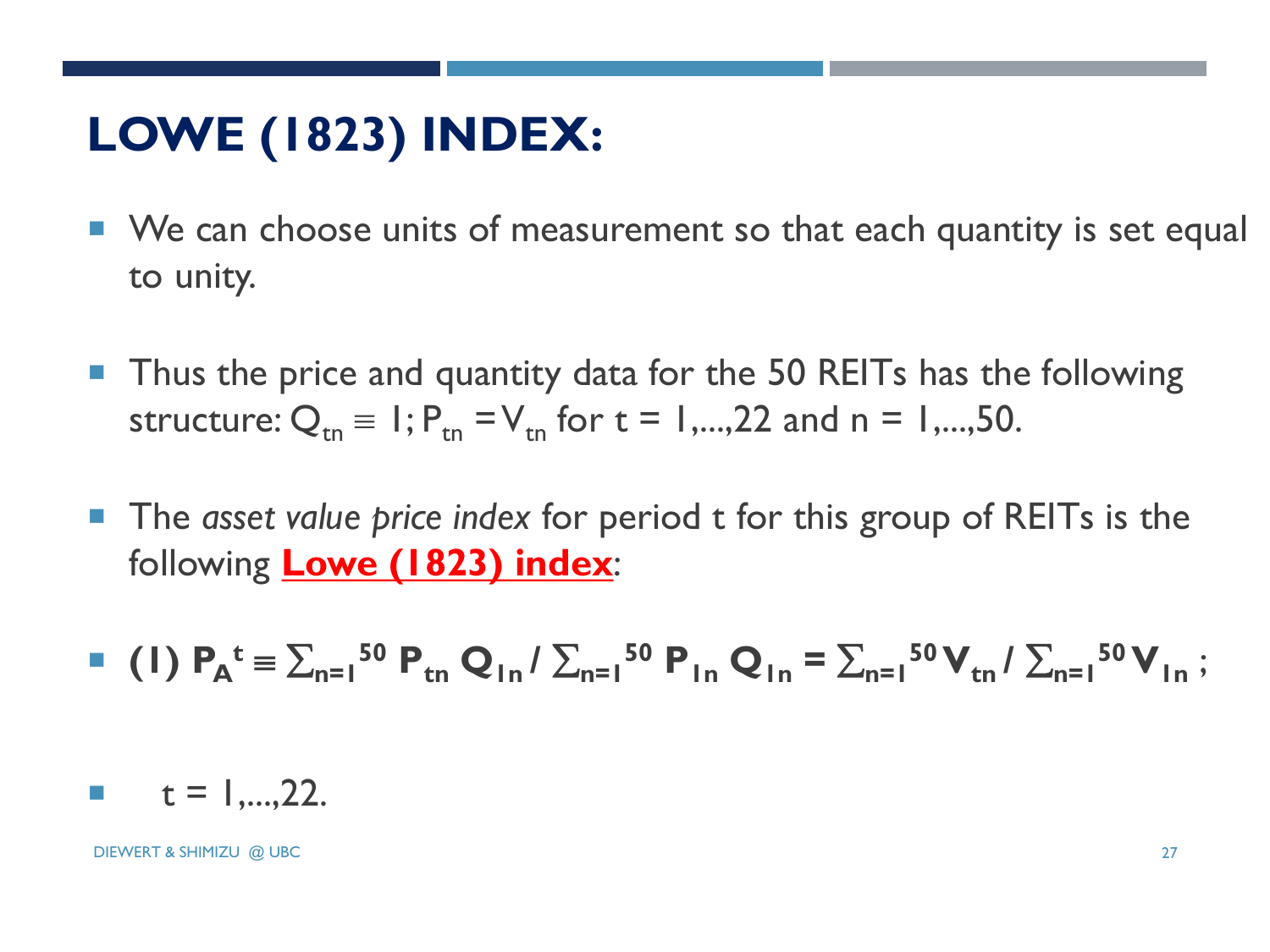# **LOWE (1823) INDEX:**

- We can choose units of measurement so that each quantity is set equal to unity.
- **Thus the price and quantity data for the 50 REITs has the following** structure:  $Q_{tn} = 1$ ;  $P_{tn} = V_{tn}$  for  $t = 1,...,22$  and  $n = 1,...,50$ .
- **The** *asset value price index* **for period t for this group of REITs is the** following **Lowe (1823) index**:

$$
\bullet \quad (1) \ P_{A}^{\ t} = \sum_{n=1}^{50} P_{tn} Q_{1n} / \sum_{n=1}^{50} P_{1n} Q_{1n} = \sum_{n=1}^{50} V_{tn} / \sum_{n=1}^{50} V_{1n} ;
$$

$$
t = 1,...,22.
$$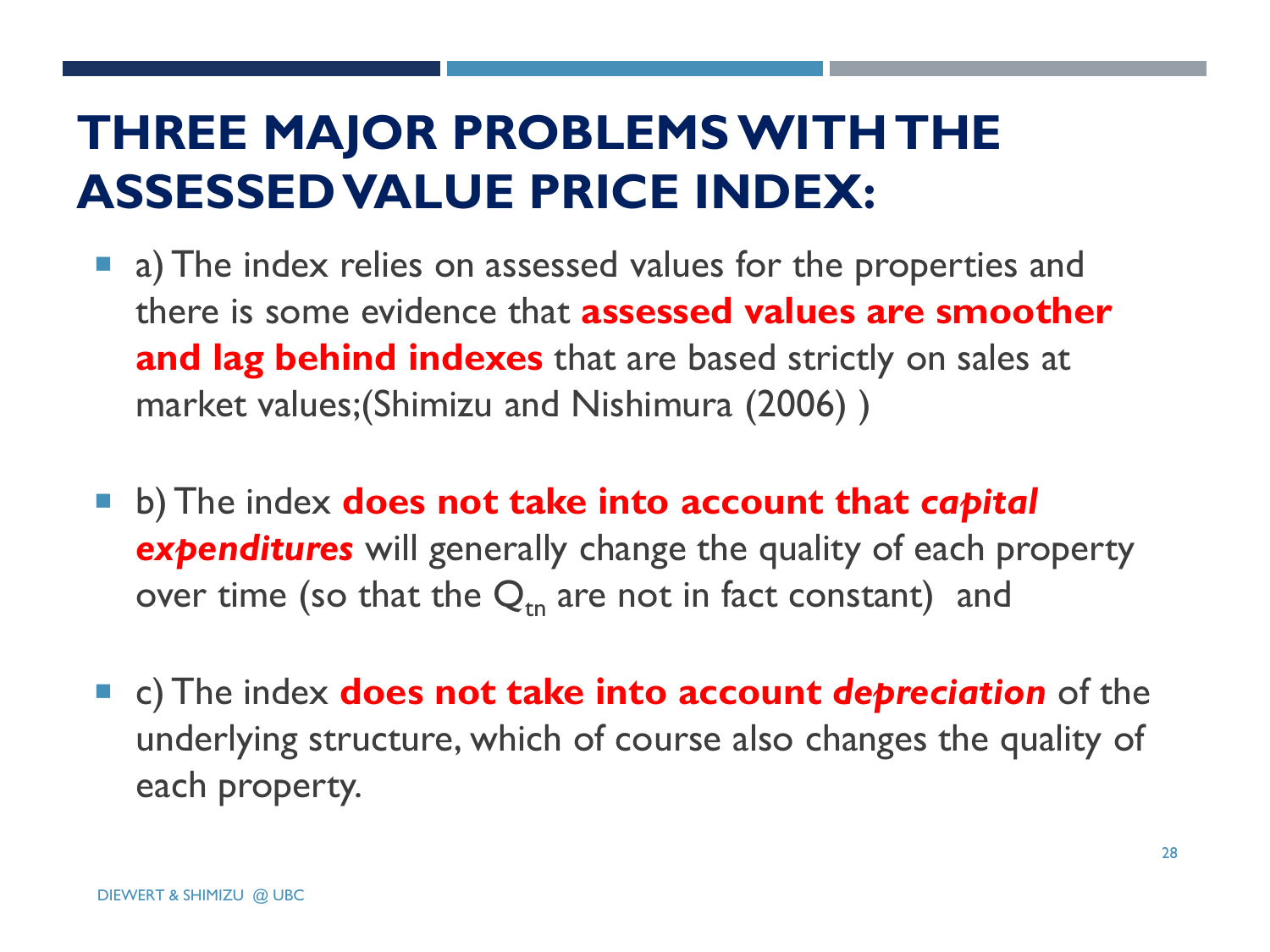## **THREE MAJOR PROBLEMS WITH THE ASSESSED VALUE PRICE INDEX:**

- **a** a) The index relies on assessed values for the properties and there is some evidence that **assessed values are smoother and lag behind indexes** that are based strictly on sales at market values;(Shimizu and Nishimura (2006) )
- **E** b) The index **does not take into account that** *capital expenditures* will generally change the quality of each property over time (so that the  $Q_{tn}$  are not in fact constant) and
- c) The index **does not take into account** *depreciation* of the underlying structure, which of course also changes the quality of each property.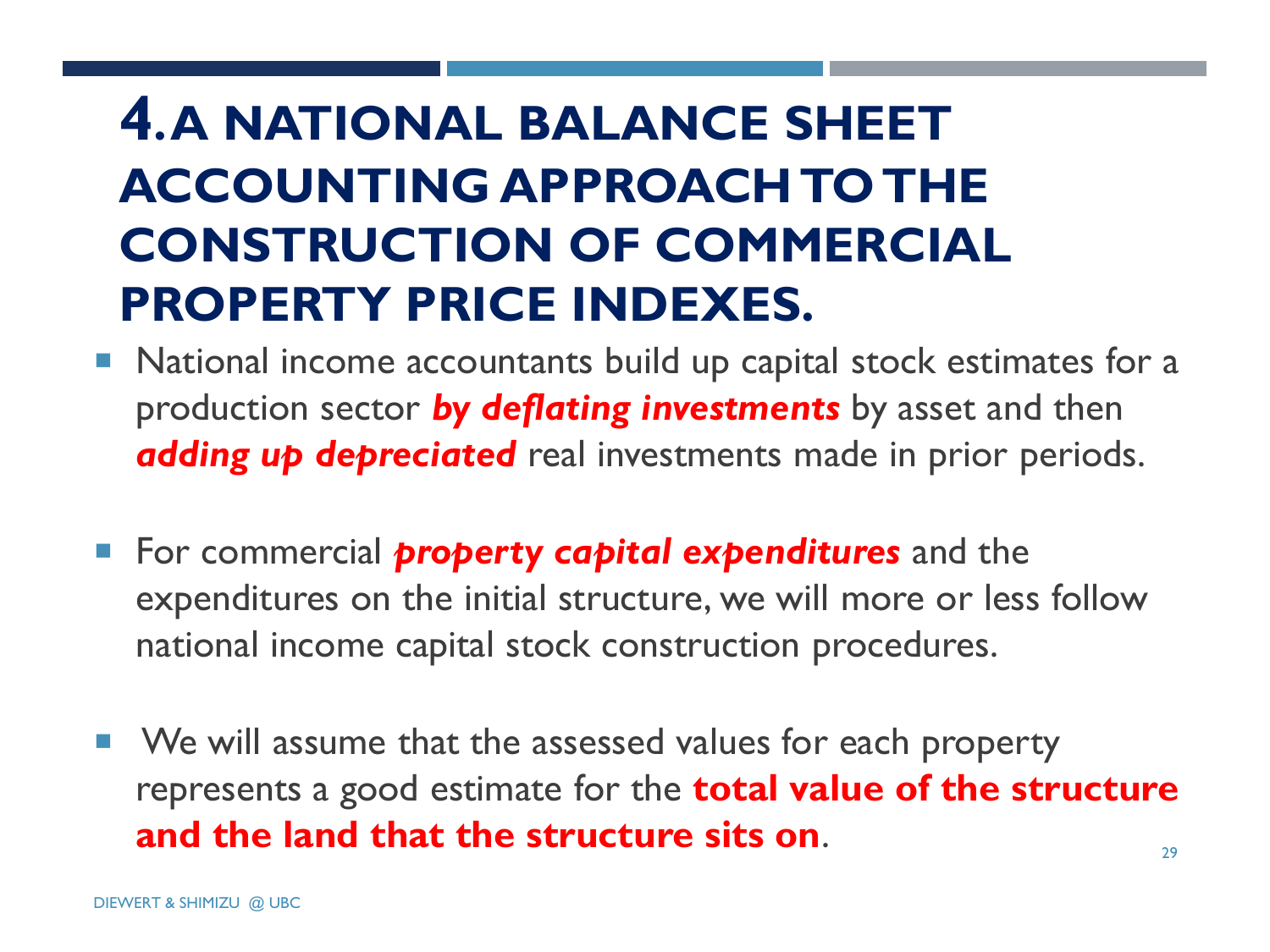# **4. A NATIONAL BALANCE SHEET ACCOUNTING APPROACH TO THE CONSTRUCTION OF COMMERCIAL PROPERTY PRICE INDEXES.**

- National income accountants build up capital stock estimates for a production sector *by deflating investments* by asset and then *adding up depreciated* real investments made in prior periods.
- **For commercial** *property capital expenditures* and the expenditures on the initial structure, we will more or less follow national income capital stock construction procedures.
- 29 ■ We will assume that the assessed values for each property represents a good estimate for the **total value of the structure and the land that the structure sits on**.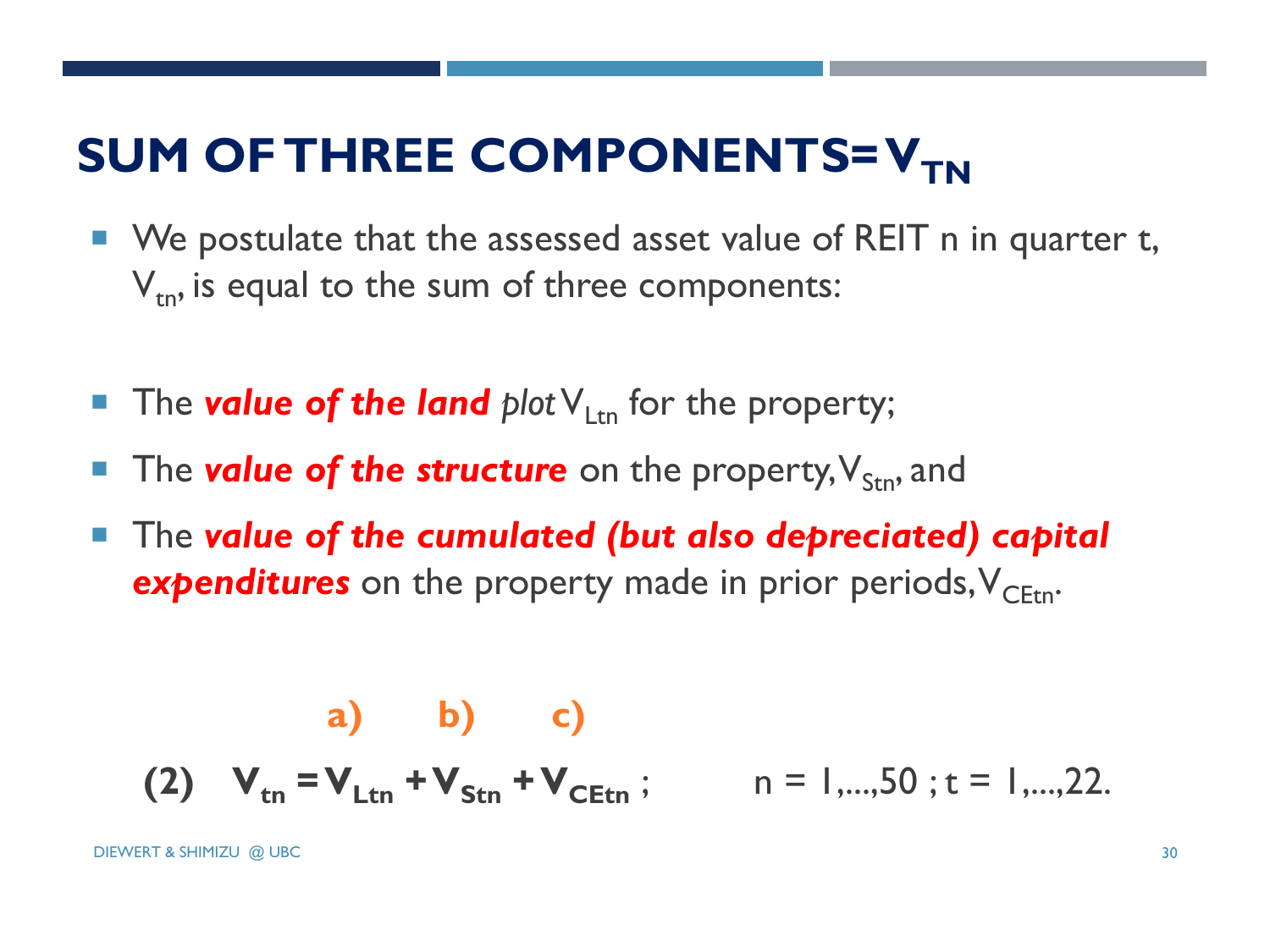# **SUM OF THREE COMPONENTS= V<sub>TN</sub>**

- We postulate that the assessed asset value of REIT n in quarter t,  $V_{\text{tn}}$ , is equal to the sum of three components:
- **The value of the land** plot  $V_{\text{Ltn}}$  for the property;
- The **value of the structure** on the property,  $V_{\rm Stn}$ , and
- The *value of the cumulated (but also depreciated) capital*  **expenditures** on the property made in prior periods,  $V_{CFtn}$ .

(a) b) c)  
(2) 
$$
V_{\text{tn}} = V_{\text{Ltn}} + V_{\text{Stn}} + V_{\text{CEtn}}
$$
;  $n = 1,...,50$ ; t = 1,...,22.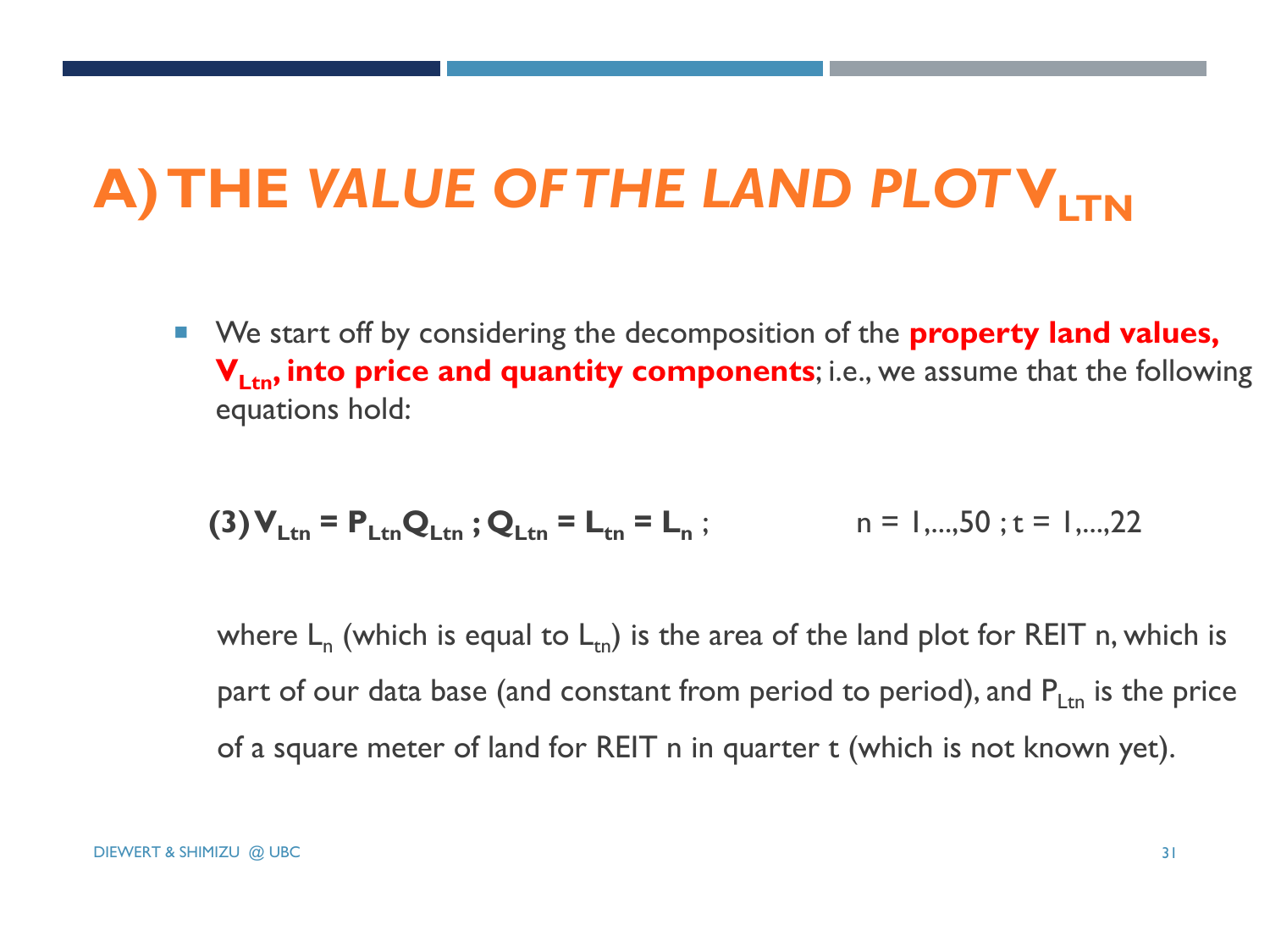# **A) THE** *VALUE OF THE LAND PLOT***VLTN**

■ We start off by considering the decomposition of the **property land values, V<sub>Ltn</sub>, into price and quantity components**; i.e., we assume that the following equations hold:

$$
(3) V_{\text{Ltn}} = P_{\text{Ltn}} Q_{\text{Ltn}}; Q_{\text{Ltn}} = L_{\text{tn}} = L_n; \qquad n = 1,...,50; t = 1,...,22
$$

where  $L_n$  (which is equal to  $L_{tn}$ ) is the area of the land plot for REIT n, which is part of our data base (and constant from period to period), and  $P_{Ltn}$  is the price of a square meter of land for REIT n in quarter t (which is not known yet).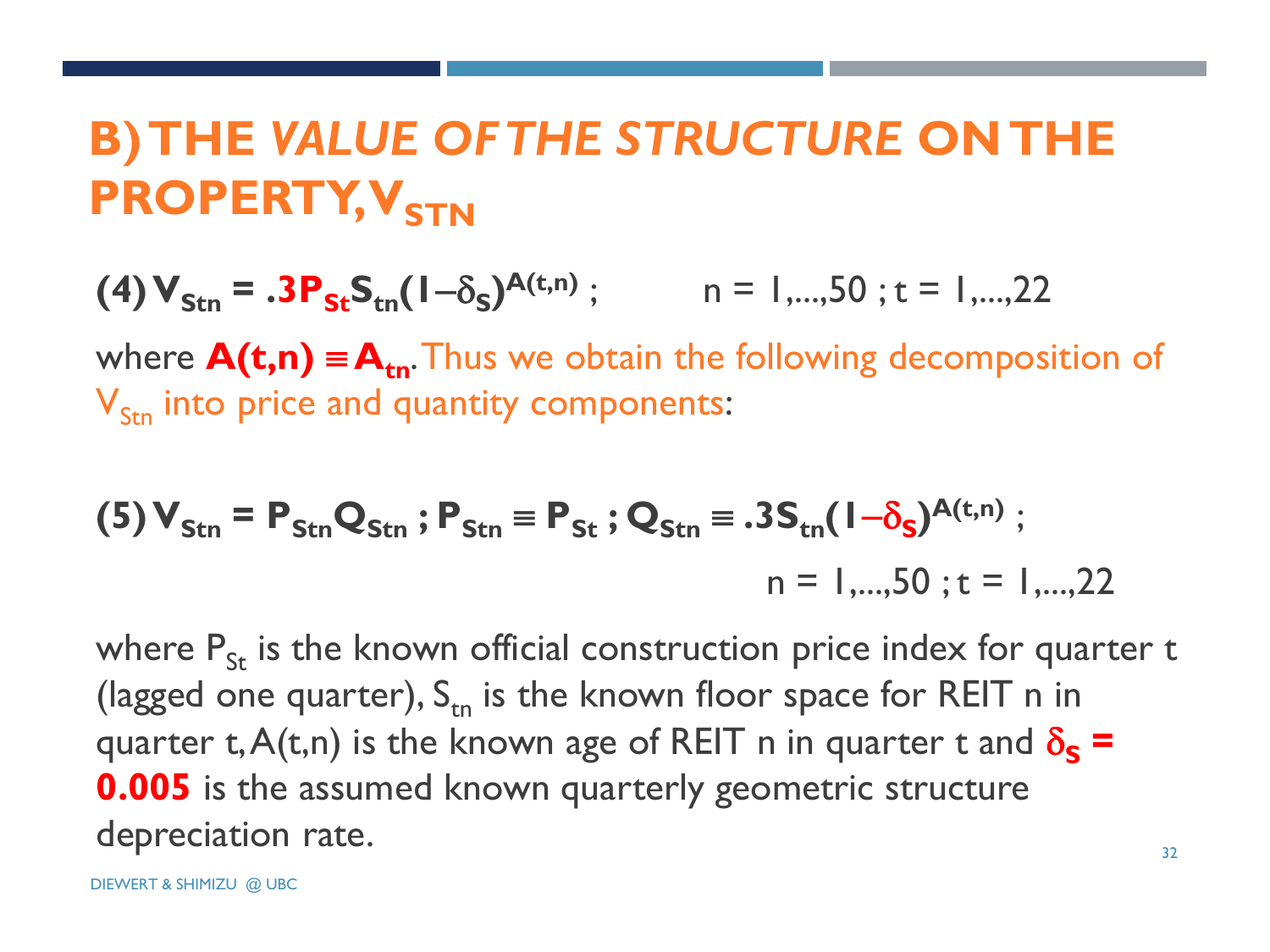# **B) THE** *VALUE OF THE STRUCTURE* **ON THE PROPERTY, V<sub>STN</sub>**

**(4)**  $V_{\text{Stn}} = .3P_{\text{St}}S_{\text{tn}}(1-\delta_{\text{S}})^{\text{A}(t,n)}$ ; n = 1,...,50; t = 1,...,22

where  $A(t,n) \equiv A_{tn}$ . Thus we obtain the following decomposition of  $V_{\rm Stn}$  into price and quantity components:

(5) 
$$
V_{\text{Stn}} = P_{\text{Stn}} Q_{\text{Stn}}
$$
;  $P_{\text{Stn}} = P_{\text{St}}$ ;  $Q_{\text{Stn}} = .3 S_{\text{tn}} (1 - \delta_{\text{s}})^{A(\text{t}, n)}$ ;  
n = 1,...,50; t = 1,...,22

where  $P_{\text{St}}$  is the known official construction price index for quarter t (lagged one quarter),  $S_{tn}$  is the known floor space for REIT n in quarter t,  $A(t,n)$  is the known age of REIT n in quarter t and  $\delta_{\varsigma}$  = **0.005** is the assumed known quarterly geometric structure depreciation rate.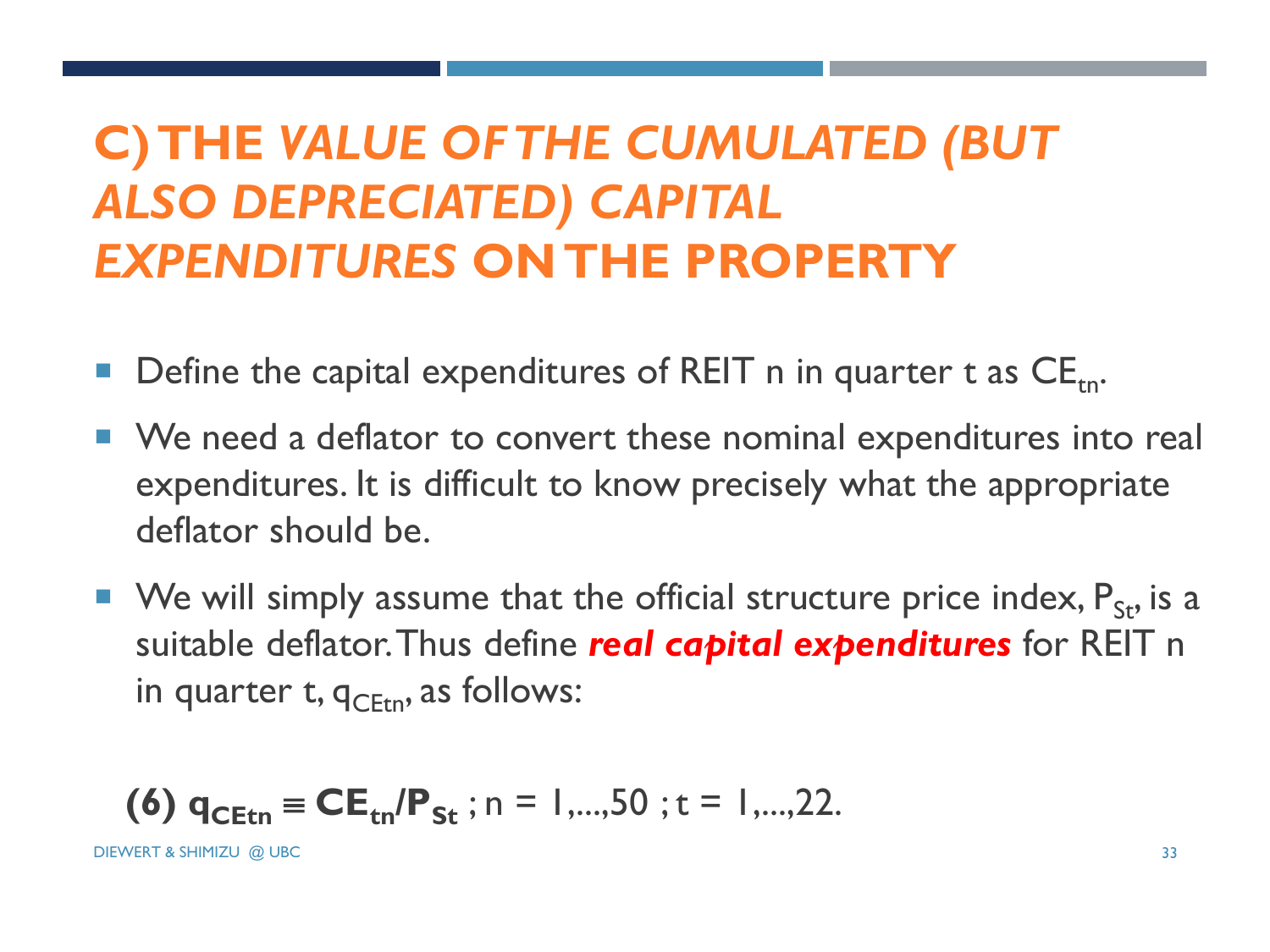# **C) THE** *VALUE OF THE CUMULATED (BUT ALSO DEPRECIATED) CAPITAL EXPENDITURES* **ON THE PROPERTY**

- Define the capital expenditures of REIT n in quarter t as  $CE$ <sub>tn</sub>.
- We need a deflator to convert these nominal expenditures into real expenditures. It is difficult to know precisely what the appropriate deflator should be.
- We will simply assume that the official structure price index,  $P_{St}$ , is a suitable deflator. Thus define *real capital expenditures* for REIT n in quarter t,  $q_{\text{CEm}}$ , as follows:

**(6)** 
$$
q_{\text{CEtn}} \equiv \text{CE}_{\text{tn}} / \text{P}_{\text{St}}; n = 1, \dots, 50; t = 1, \dots, 22.
$$

DIEWERT & SHIMIZU @ UBC 33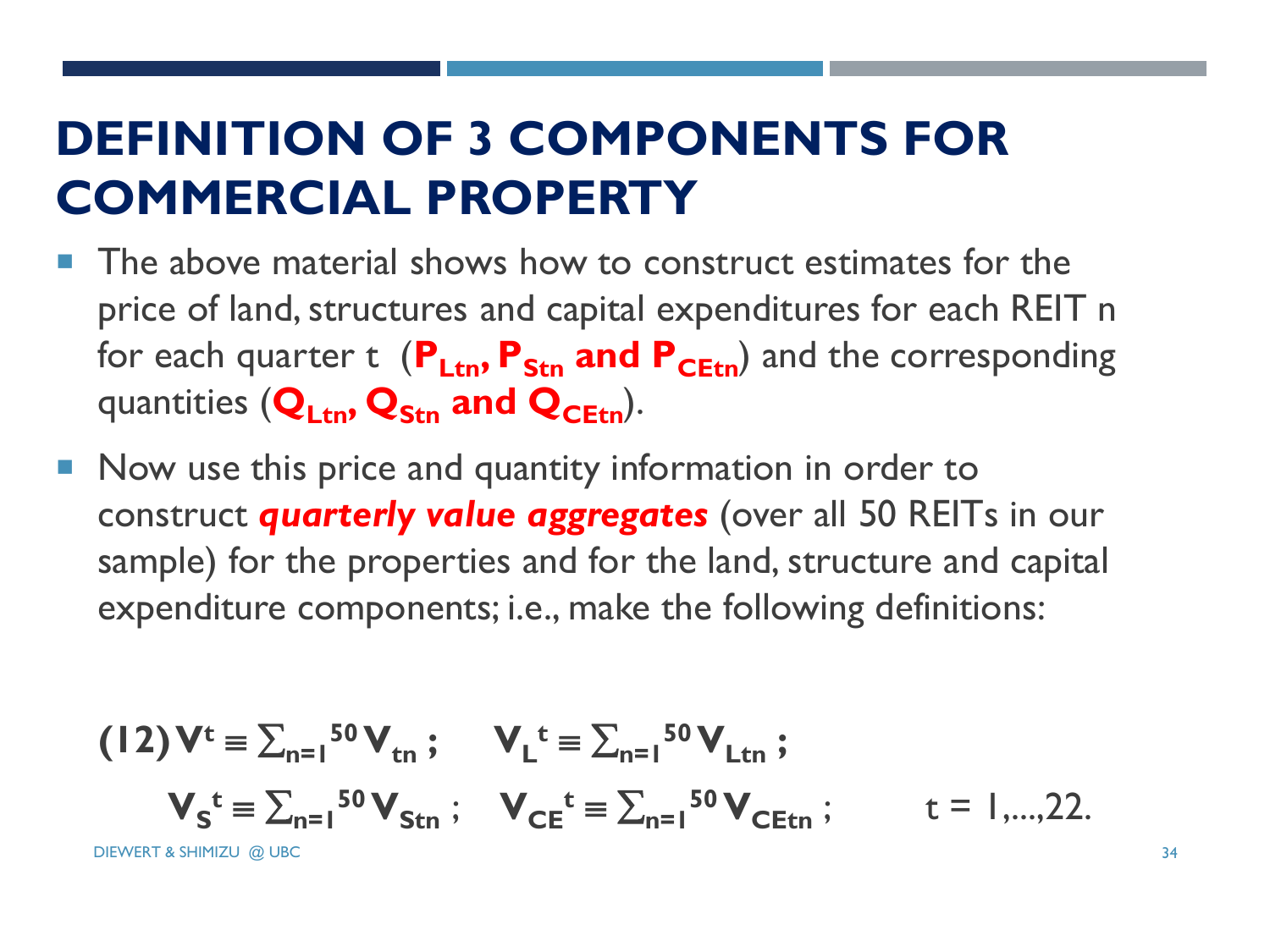# **DEFINITION OF 3 COMPONENTS FOR COMMERCIAL PROPERTY**

- The above material shows how to construct estimates for the price of land, structures and capital expenditures for each REIT n for each quarter t ( $P_{\text{Ltn}}$ ,  $P_{\text{Str}}$  and  $P_{\text{CEt}}$ ) and the corresponding quantities (**QLtn, QStn and QCEtn**).
- Now use this price and quantity information in order to construct *quarterly value aggregates* (over all 50 REITs in our sample) for the properties and for the land, structure and capital expenditure components; i.e., make the following definitions:

$$
(12) V^{t} = \sum_{n=1}^{50} V_{tn} ; \qquad V_{L}^{t} = \sum_{n=1}^{50} V_{Ltn} ;
$$

$$
V_{S}^{t} = \sum_{n=1}^{50} V_{Stn} ; \qquad V_{CE}^{t} = \sum_{n=1}^{50} V_{CEtn} ; \qquad t = 1,...,22.
$$

DIEWERT & SHIMIZU @ UBC 34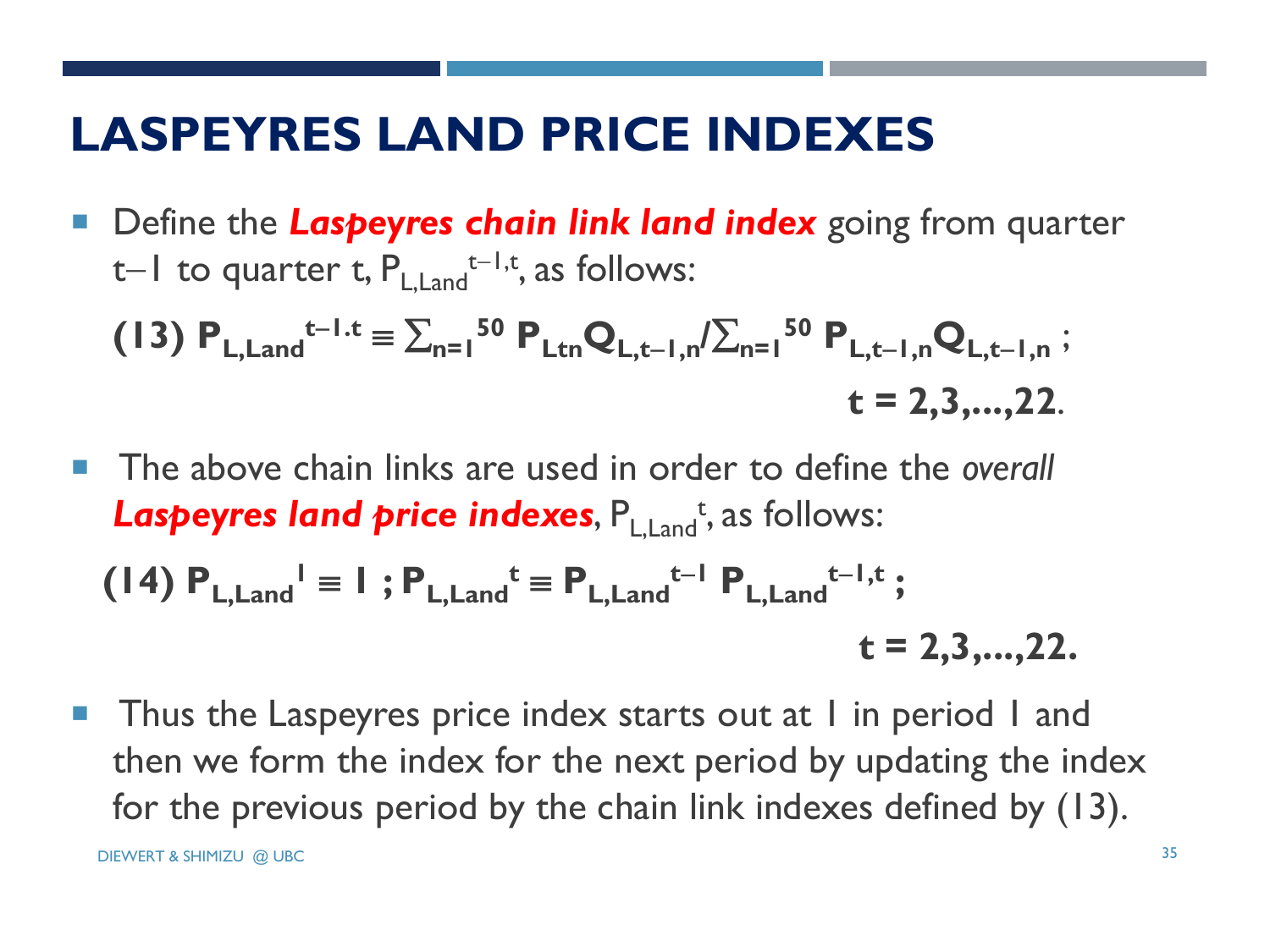#### **LASPEYRES LAND PRICE INDEXES**

■ Define the Laspeyres chain link land index going from quarter t $-1$  to quarter t,  $P_{L,\text{Land}}$ <sup>t $-1,t$ </sup>, as follows:

(13) 
$$
P_{L, Land}^{t-1,t} = \sum_{n=1}^{50} P_{Ltn} Q_{L,t-1,n} / \sum_{n=1}^{50} P_{L,t-1,n} Q_{L,t-1,n}
$$
;  
\n $t = 2,3,...,22.$ 

■ The above chain links are used in order to define the *overall* Laspeyres land price indexes, P<sub>L,Land</sub><sup>t</sup>, as follows:

(14) 
$$
P_{L, Land}^{\dagger} \equiv 1
$$
;  $P_{L,Land}^{\dagger} \equiv P_{L,Land}^{\dagger-1} P_{L, Land}^{\dagger-1, t}$ ;   
  $t = 2,3,...,22.$ 

**Thus the Laspeyres price index starts out at I in period I and** then we form the index for the next period by updating the index for the previous period by the chain link indexes defined by (13).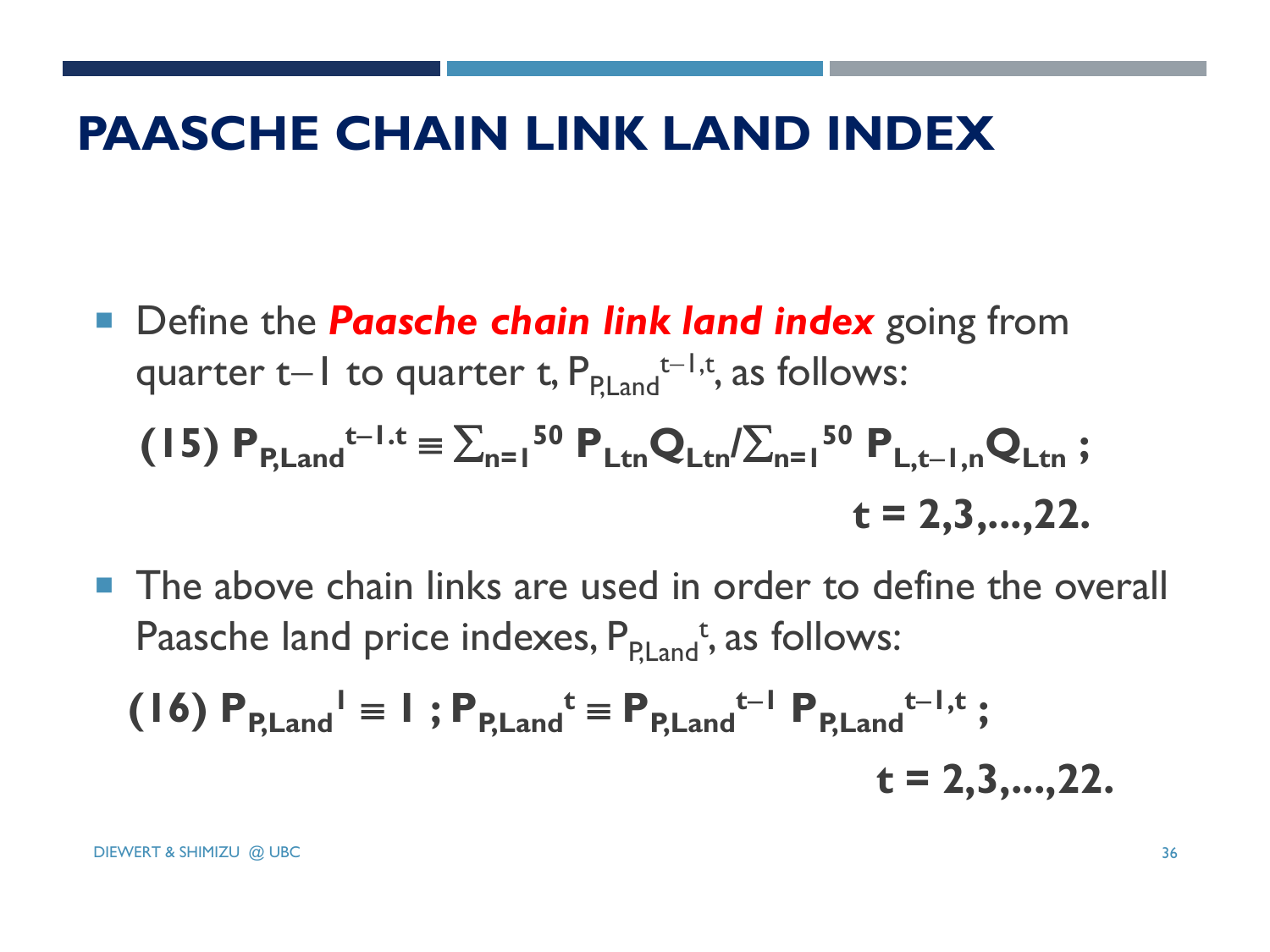#### **PAASCHE CHAIN LINK LAND INDEX**

**Define the** *Paasche chain link land index* **going from** quarter t-1 to quarter t,  $P_{P, Land}$ <sup>t-1,t</sup>, as follows:

(15) 
$$
P_{P,\text{Land}}^{t-1.t} \equiv \sum_{n=1}^{50} P_{\text{Ltn}} Q_{\text{Ltn}} / \sum_{n=1}^{50} P_{\text{L},t-1,n} Q_{\text{Ltn}}
$$
;  
  $t = 2,3,...,22.$ 

**The above chain links are used in order to define the overall** Paasche land price indexes, P<sub>P,Land</sub><sup>t</sup>, as follows:

(16) 
$$
P_{P,\text{Land}}^{\dagger} \equiv 1
$$
;  $P_{P,\text{Land}}^{\dagger} \equiv P_{P,\text{Land}}^{\dagger-1} P_{P,\text{Land}}^{\dagger-1,\text{t}}$ ;  
\n $t = 2,3,...,22.$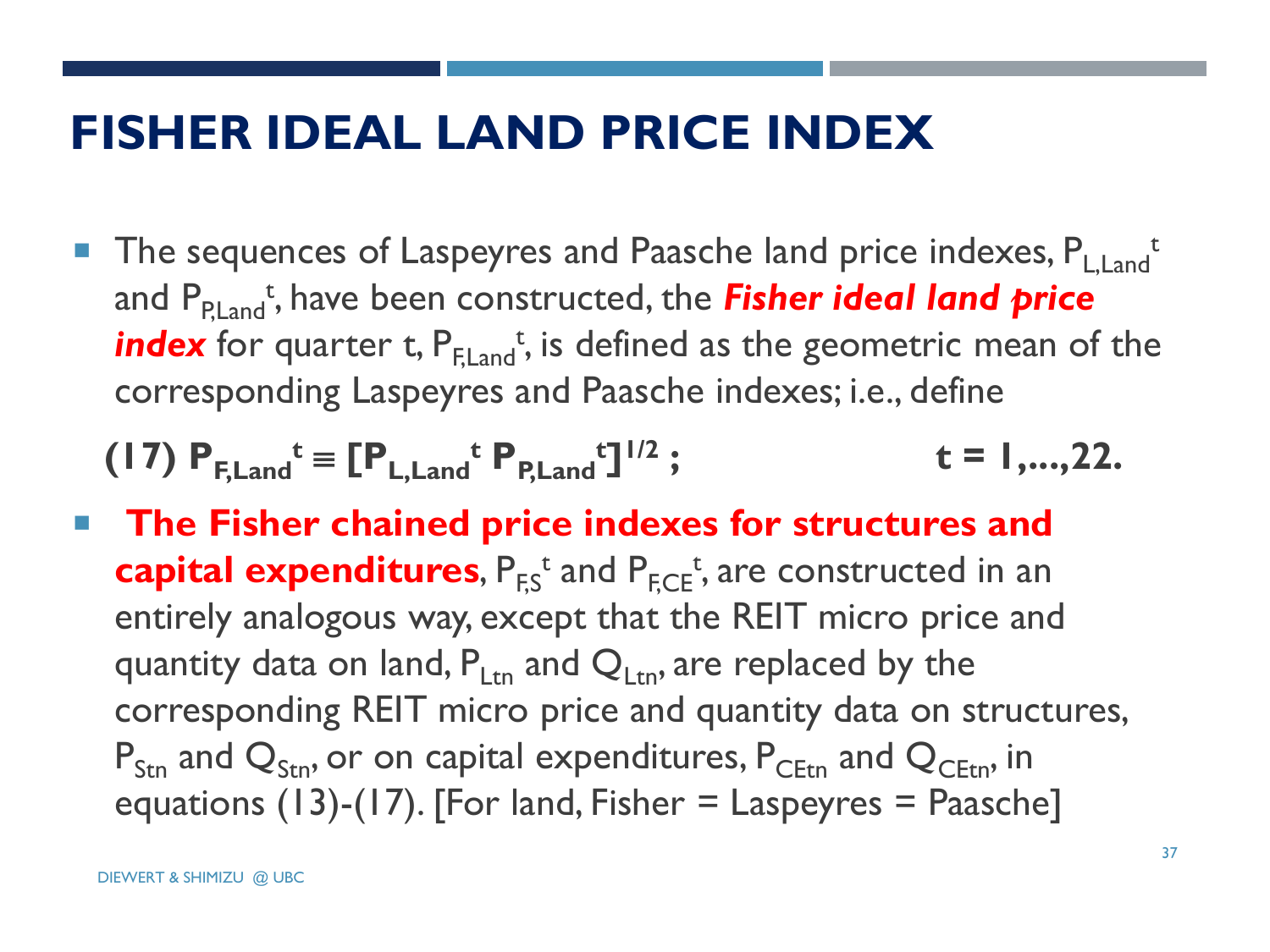#### **FISHER IDEAL LAND PRICE INDEX**

**The sequences of Laspeyres and Paasche land price indexes, PL,Land** and P<sub>P,Land</sub>t, have been constructed, the **Fisher ideal land price** index for quarter t,  $\mathsf{P}_{\mathsf{F},\mathsf{Land}}^{\mathsf{t}},$  is defined as the geometric mean of the corresponding Laspeyres and Paasche indexes; i.e., define

(17) 
$$
P_{F,Land}^t \equiv [P_{L,Land}^t P_{P,Land}^t]^{1/2}
$$
;  $t = 1,...,22$ .

 **The Fisher chained price indexes for structures and**  capital expenditures,  $P_{F,S}^t$  and  $P_{F,CE}^t$ , are constructed in an entirely analogous way, except that the REIT micro price and quantity data on land,  $P_{\text{Ltn}}$  and  $Q_{\text{Ltn}}$ , are replaced by the corresponding REIT micro price and quantity data on structures,  $P_{Str}$  and  $Q_{Str}$ , or on capital expenditures,  $P_{CFtn}$  and  $Q_{CFtn}$ , in equations (13)-(17). [For land, Fisher  $=$  Laspeyres  $=$  Paasche]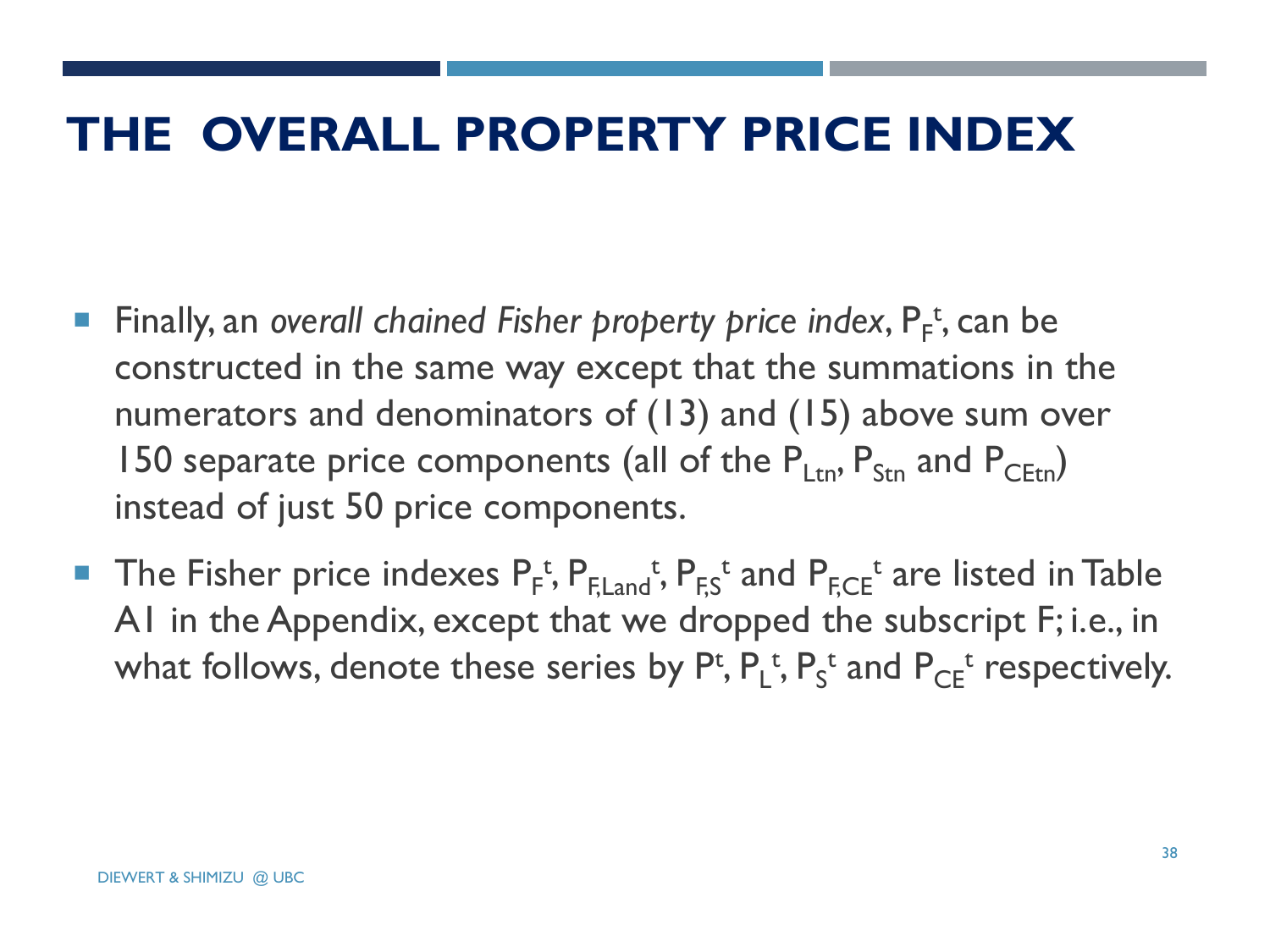#### **THE OVERALL PROPERTY PRICE INDEX**

- **Finally, an overall chained Fisher property price index, P<sub>F</sub><sup>t</sup>, can be** constructed in the same way except that the summations in the numerators and denominators of (13) and (15) above sum over 150 separate price components (all of the  $P_{Ltn}$ ,  $P_{Str}$  and  $P_{CFtn}$ ) instead of just 50 price components.
- **The Fisher price indexes**  $P_f^t$ **,**  $P_{F, Land}^t$ **,**  $P_{F,S}^t$  **and**  $P_{F,CE}^t$  **are listed in Table** A1 in the Appendix, except that we dropped the subscript F; i.e., in what follows, denote these series by  $P^t$ ,  $P_L^t$ ,  $P_S^t$  and  $P_{CE}^t$  respectively.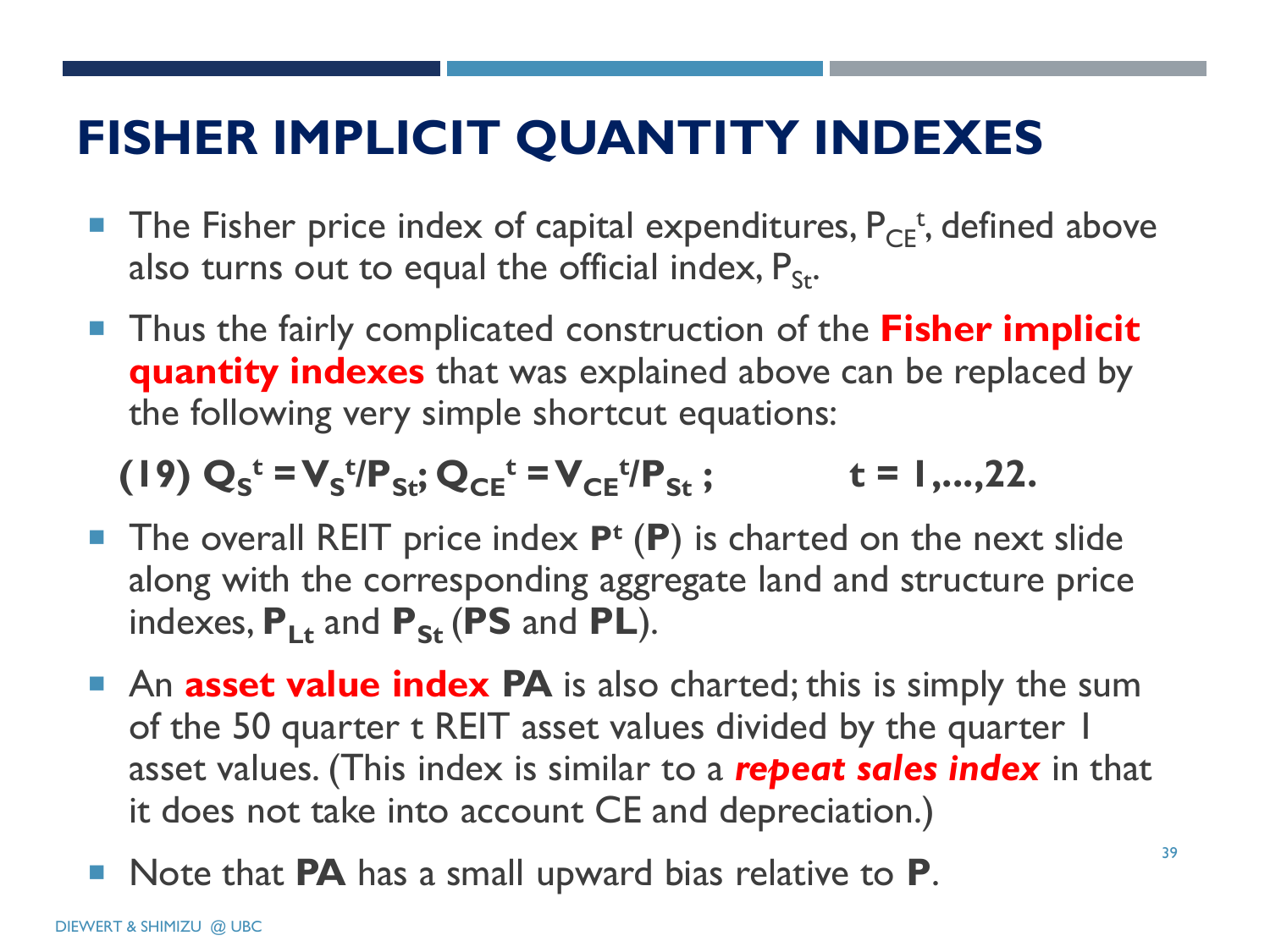# **FISHER IMPLICIT QUANTITY INDEXES**

- The Fisher price index of capital expenditures,  $P_{CE}^{t}$ , defined above also turns out to equal the official index,  $P_{St}$ .
- Thus the fairly complicated construction of the **Fisher implicit quantity indexes** that was explained above can be replaced by the following very simple shortcut equations:

 $(Q_5^t = V_s^t)P_{St}$ ;  $Q_{CE}^t = V_{CE}^t$  $\mathbf{t} = 1, \ldots, 22.$ 

- The overall REIT price index P<sup>t</sup> (P) is charted on the next slide along with the corresponding aggregate land and structure price indexes,  $P_{1t}$  and  $P_{St}$  (PS and PL).
- **An asset value index PA** is also charted; this is simply the sum of the 50 quarter t REIT asset values divided by the quarter 1 asset values. (This index is similar to a *repeat sales index* in that it does not take into account CE and depreciation.)
- Note that **PA** has a small upward bias relative to **P**.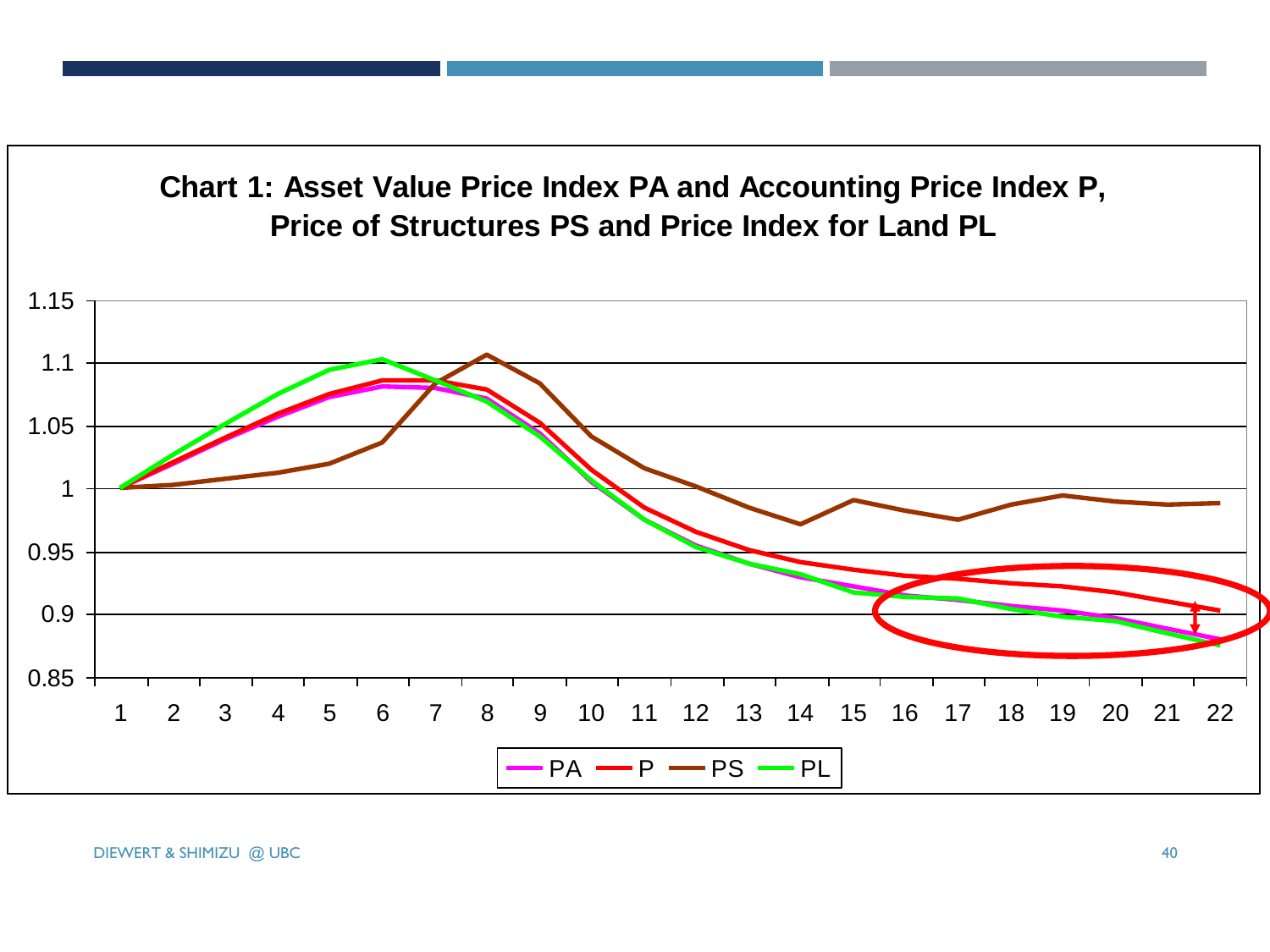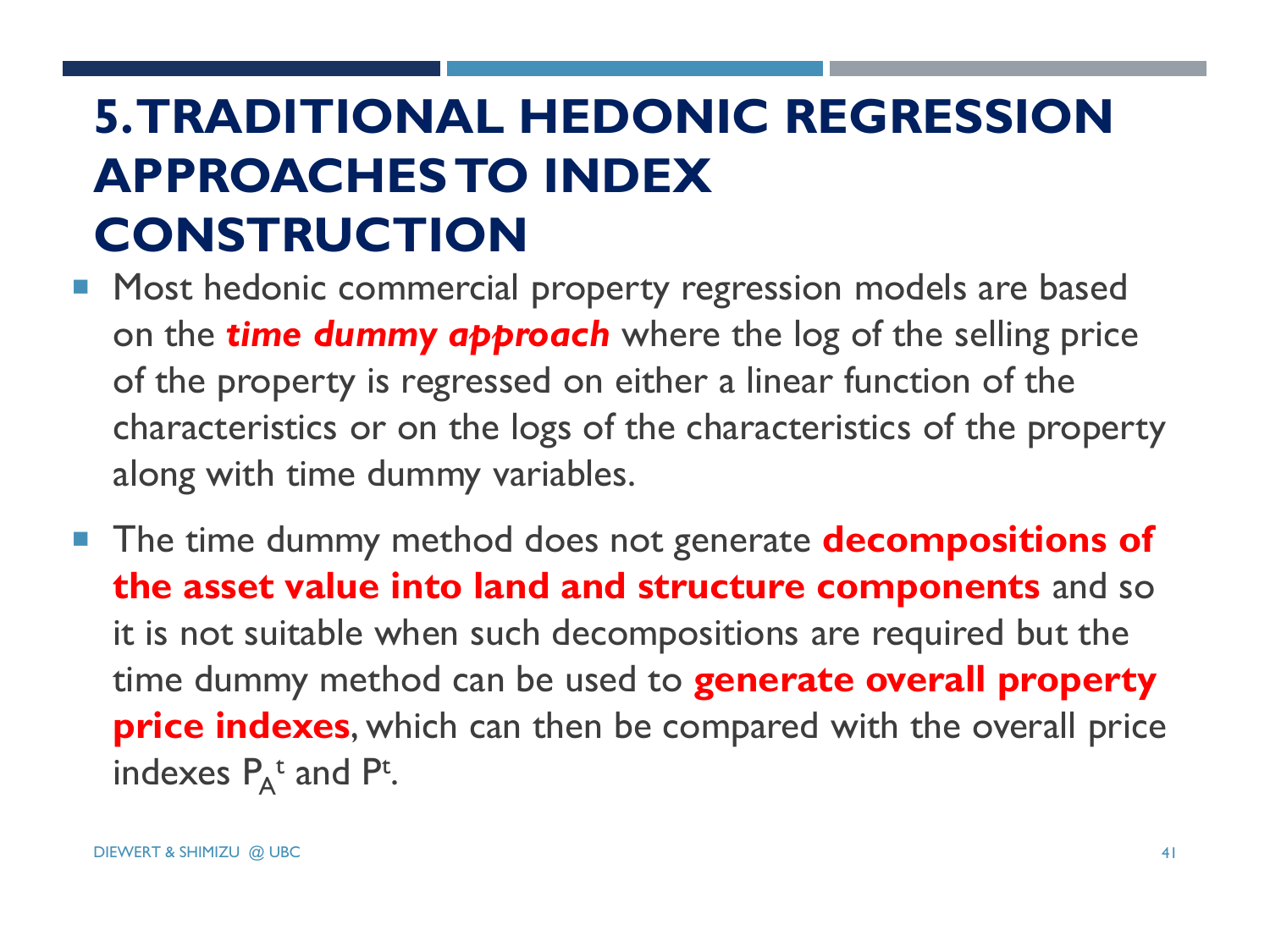# **5. TRADITIONAL HEDONIC REGRESSION APPROACHES TO INDEX CONSTRUCTION**

- **Most hedonic commercial property regression models are based** on the *time dummy approach* where the log of the selling price of the property is regressed on either a linear function of the characteristics or on the logs of the characteristics of the property along with time dummy variables.
- The time dummy method does not generate **decompositions of the asset value into land and structure components** and so it is not suitable when such decompositions are required but the time dummy method can be used to **generate overall property price indexes**, which can then be compared with the overall price indexes  $P_A^t$  and P<sup>t</sup>.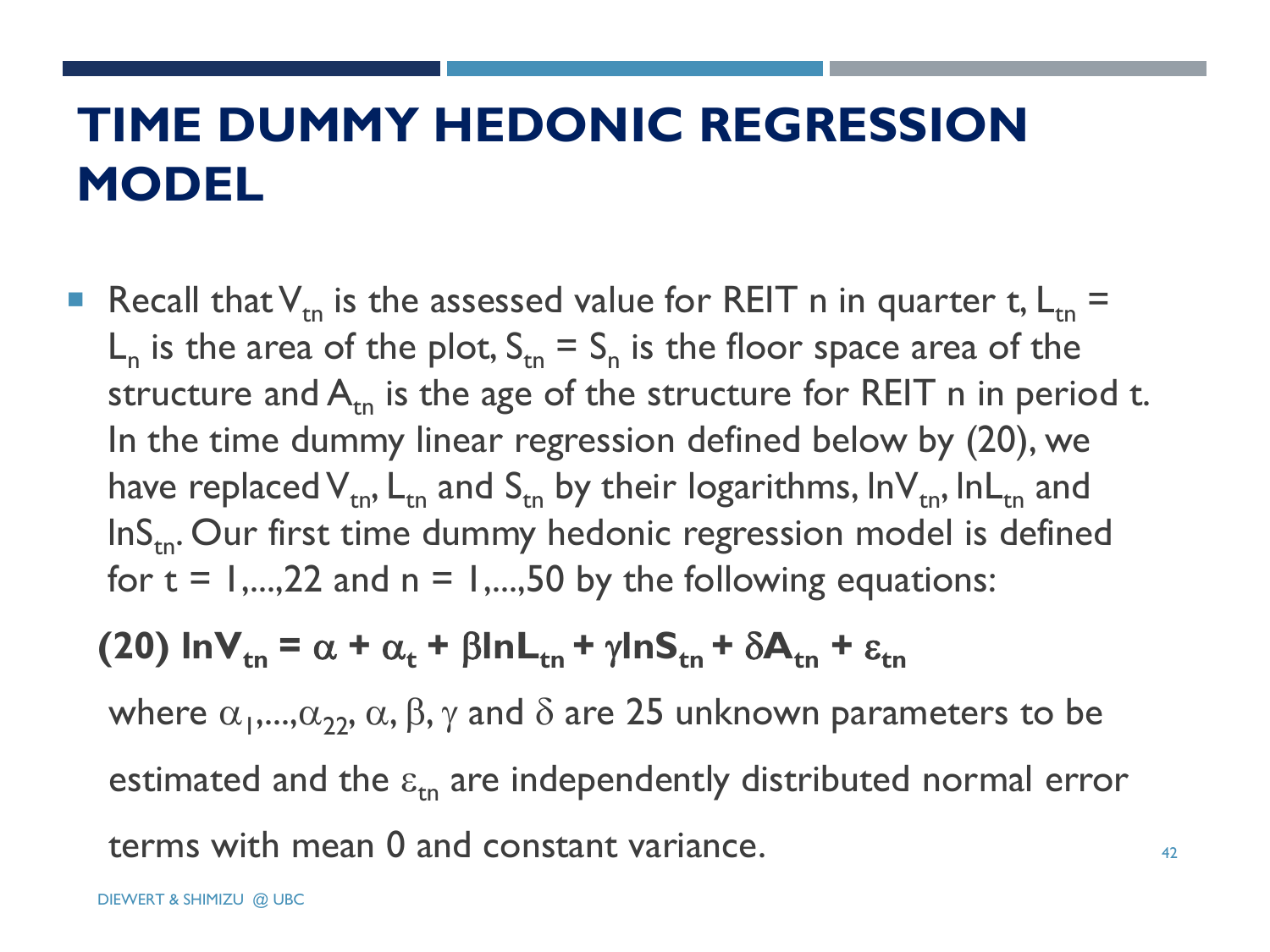# **TIME DUMMY HEDONIC REGRESSION MODEL**

Recall that  $V_{tn}$  is the assessed value for REIT n in quarter t,  $L_{tn}$  =  $L_n$  is the area of the plot,  $S_{tn} = S_n$  is the floor space area of the structure and  $A_{tn}$  is the age of the structure for REIT n in period t. In the time dummy linear regression defined below by (20), we have replaced  $V_{tn}$ ,  $L_{tn}$  and  $S_{tn}$  by their logarithms, lnV<sub>tn</sub>, lnL<sub>tn</sub> and  $\ln S$ <sub>tn</sub>. Our first time dummy hedonic regression model is defined for  $t = 1,...,22$  and  $n = 1,...,50$  by the following equations:

#### **(20)**  $\ln V_{tn} = \alpha + \alpha_t + \beta \ln L_{tn} + \gamma \ln S_{tn} + \delta A_{tn} + \epsilon_{tn}$

where  $\alpha_1$ ,..., $\alpha_{22}$ ,  $\alpha$ ,  $\beta$ ,  $\gamma$  and  $\delta$  are 25 unknown parameters to be estimated and the  $\varepsilon_{\rm m}$  are independently distributed normal error terms with mean 0 and constant variance.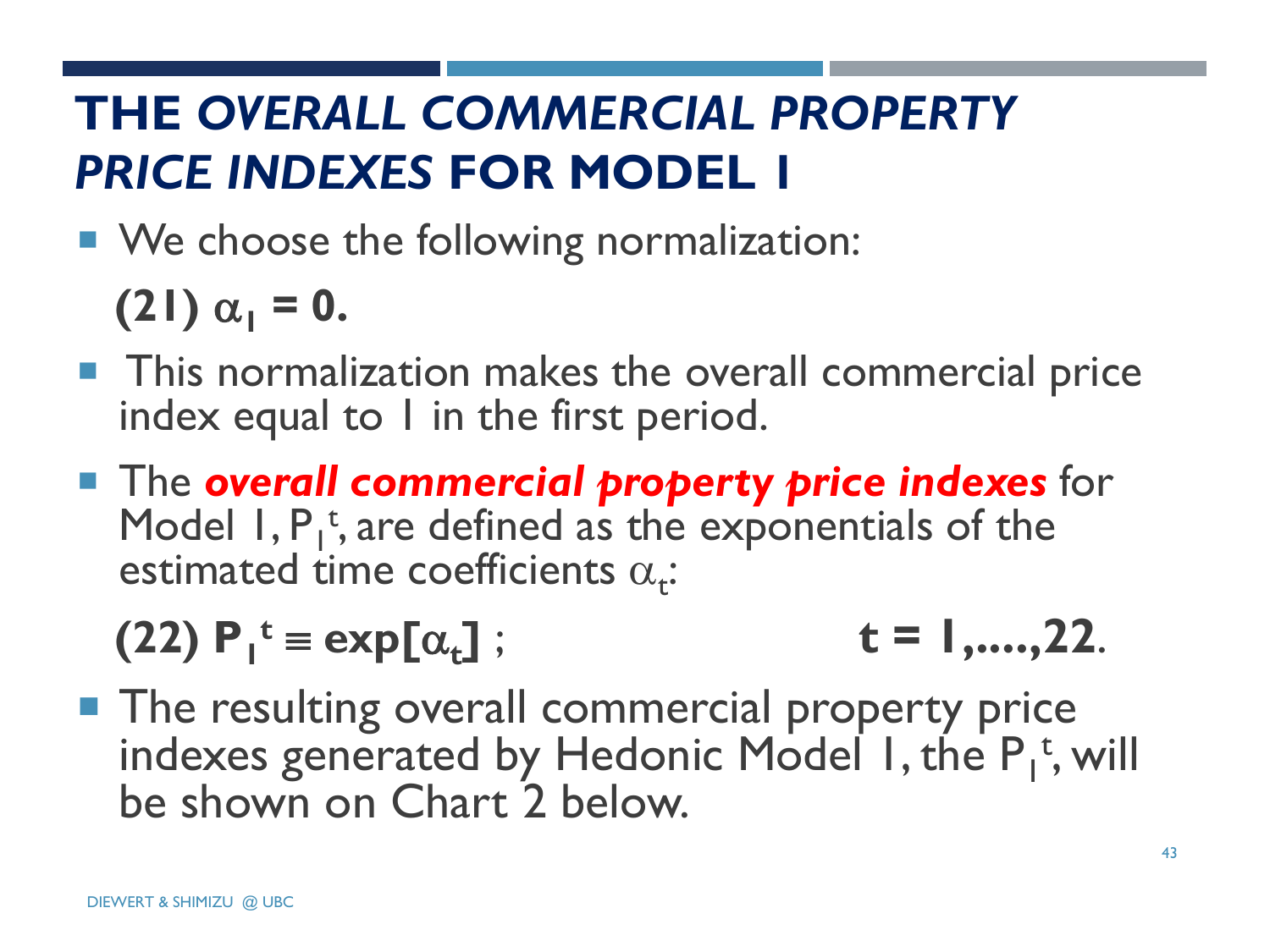# **THE** *OVERALL COMMERCIAL PROPERTY PRICE INDEXES* **FOR MODEL 1**

■ We choose the following normalization:

**(21)**  $\alpha_1 = 0$ .

- **This normalization makes the overall commercial price** index equal to  $l$  in the first period.
- **The overall commercial property price indexes** for Model  $I, P_1^t$ , are defined as the exponentials of the estimated time coefficients  $\alpha_t$ :

 $(22)$   $P_1^t \equiv \exp[\alpha_t]$ **]** ; **t = 1,....,22**.

**The resulting overall commercial property price** indexes generated by Hedonic Model 1, the  $P_1^t$ , will be shown on Chart 2 below.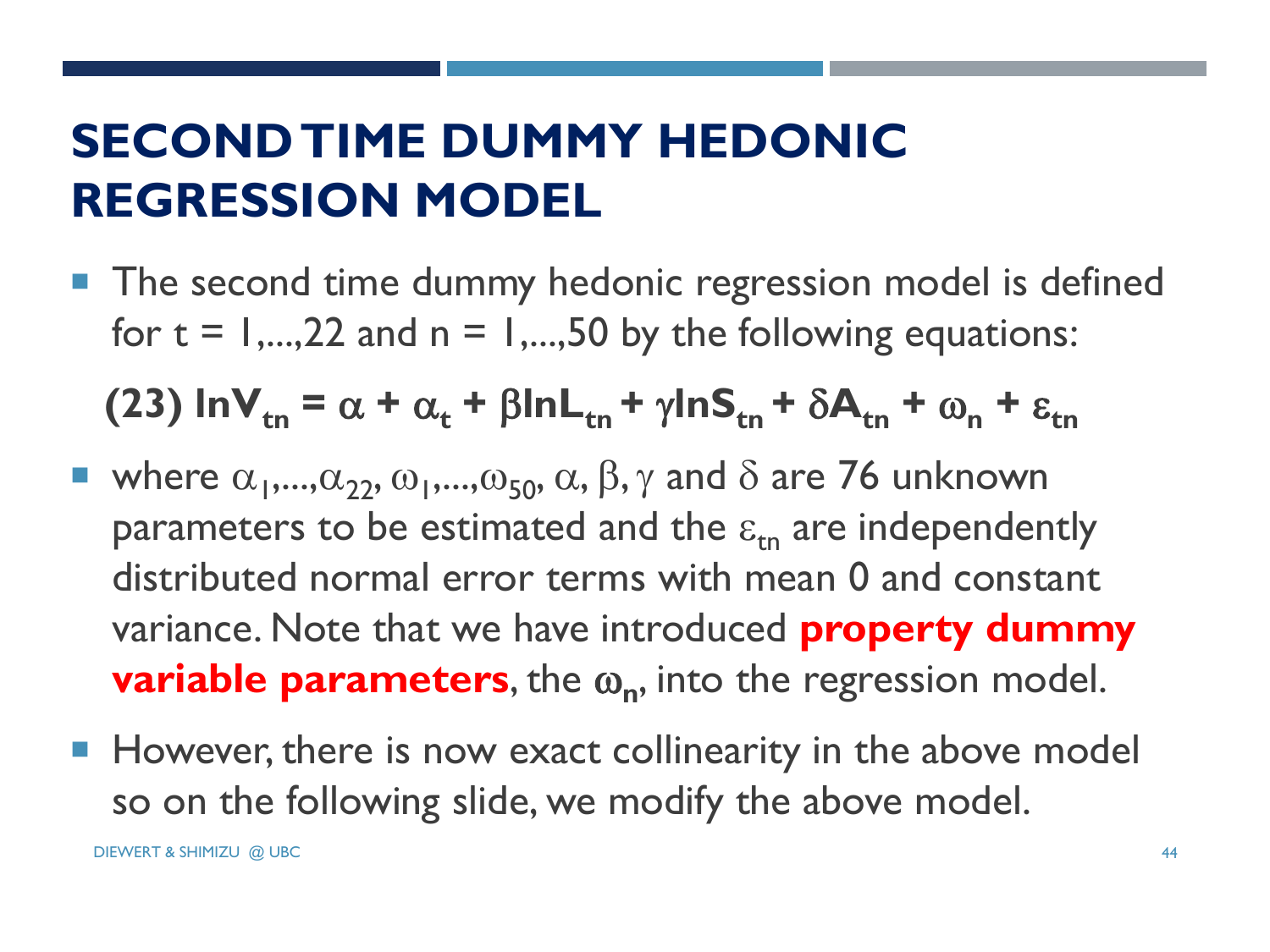# **SECOND TIME DUMMY HEDONIC REGRESSION MODEL**

**The second time dummy hedonic regression model is defined** for  $t = 1,...,22$  and  $n = 1,...,50$  by the following equations:

**(23)**  $\ln V_{tn} = \alpha + \alpha_t + \beta \ln L_{tn} + \gamma \ln S_{tn} + \delta A_{tn} + \omega_n + \epsilon_{tn}$ 

- where  $\alpha_1, ..., \alpha_{22}, \omega_1, ..., \omega_{50}, \alpha, \beta, \gamma$  and  $\delta$  are 76 unknown parameters to be estimated and the  $\varepsilon_{\rm in}$  are independently distributed normal error terms with mean 0 and constant variance. Note that we have introduced **property dummy variable parameters**, the  $\omega_n$ , into the regression model.
- **However, there is now exact collinearity in the above model** so on the following slide, we modify the above model.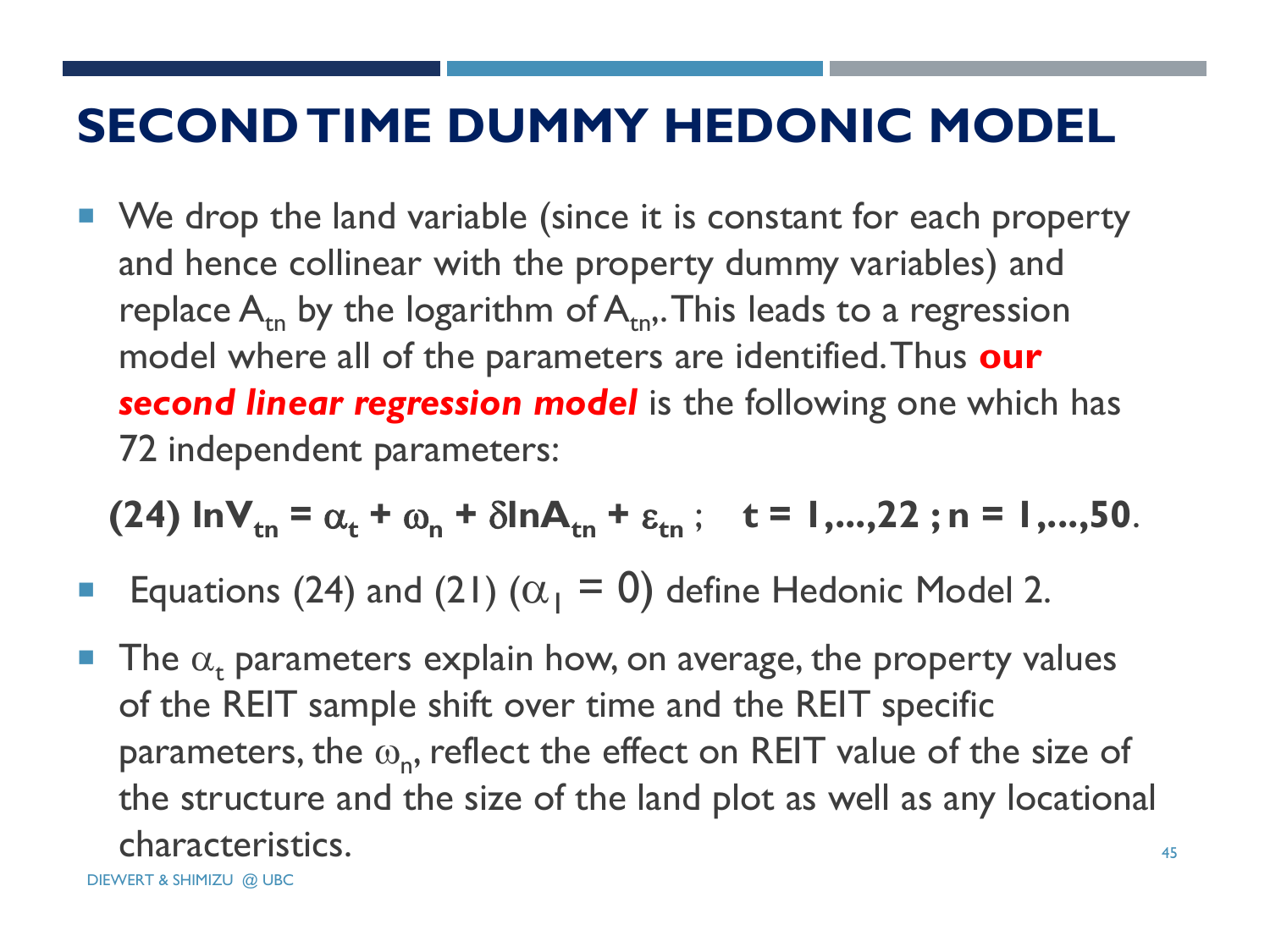#### **SECOND TIME DUMMY HEDONIC MODEL**

■ We drop the land variable (since it is constant for each property and hence collinear with the property dummy variables) and replace  $A_{t_n}$  by the logarithm of  $A_{t_n}$ . This leads to a regression model where all of the parameters are identified. Thus **our**  *second linear regression model* is the following one which has 72 independent parameters:

 $(24)$  lnV<sub>tn</sub> =  $\alpha_t$  +  $\omega_n$  +  $\delta$ lnA<sub>tn</sub> +  $\varepsilon_{tn}$ ; t = 1,...,22; n = 1,...,50.

- **Equations (24) and (21) (** $\alpha_1 = 0$ **) define Hedonic Model 2.**
- The  $\alpha_t$  parameters explain how, on average, the property values of the REIT sample shift over time and the REIT specific parameters, the  $\omega_{n}$ , reflect the effect on REIT value of the size of the structure and the size of the land plot as well as any locational characteristics.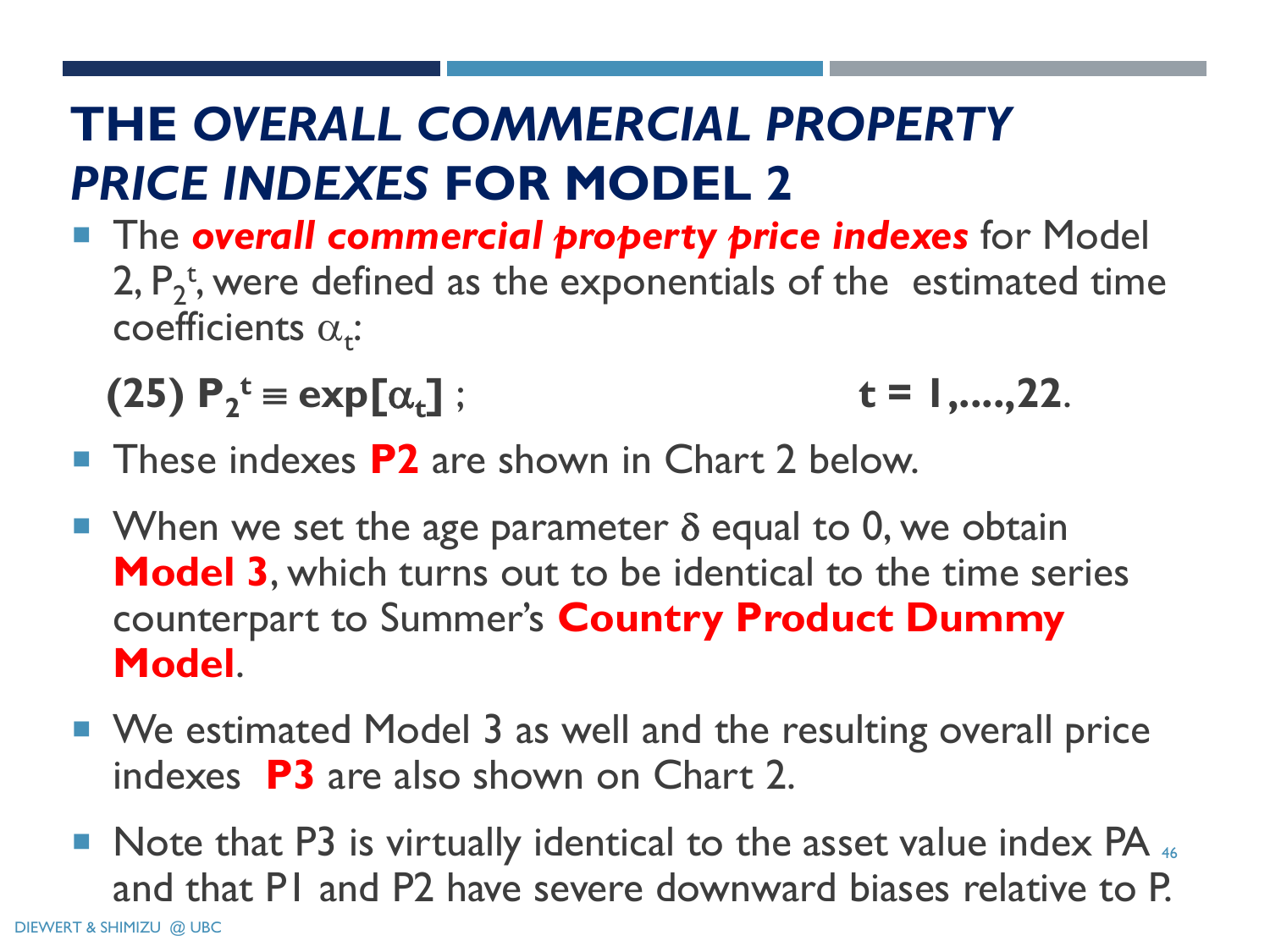# **THE** *OVERALL COMMERCIAL PROPERTY PRICE INDEXES* **FOR MODEL 2**

**The overall commercial property price indexes** for Model 2,  $P_2^t$ , were defined as the exponentials of the estimated time coefficients  $\alpha_{\mathbf{t}}$ :

(25) 
$$
P_2^t = exp[\alpha_t]
$$
;  $t = 1, ..., 22$ .

- These indexes **P2** are shown in Chart 2 below.
- When we set the age parameter  $\delta$  equal to 0, we obtain **Model 3**, which turns out to be identical to the time series counterpart to Summer's **Country Product Dummy Model**.
- We estimated Model 3 as well and the resulting overall price indexes **P3** are also shown on Chart 2.
- Note that P3 is virtually identical to the asset value index PA 46 and that P1 and P2 have severe downward biases relative to P.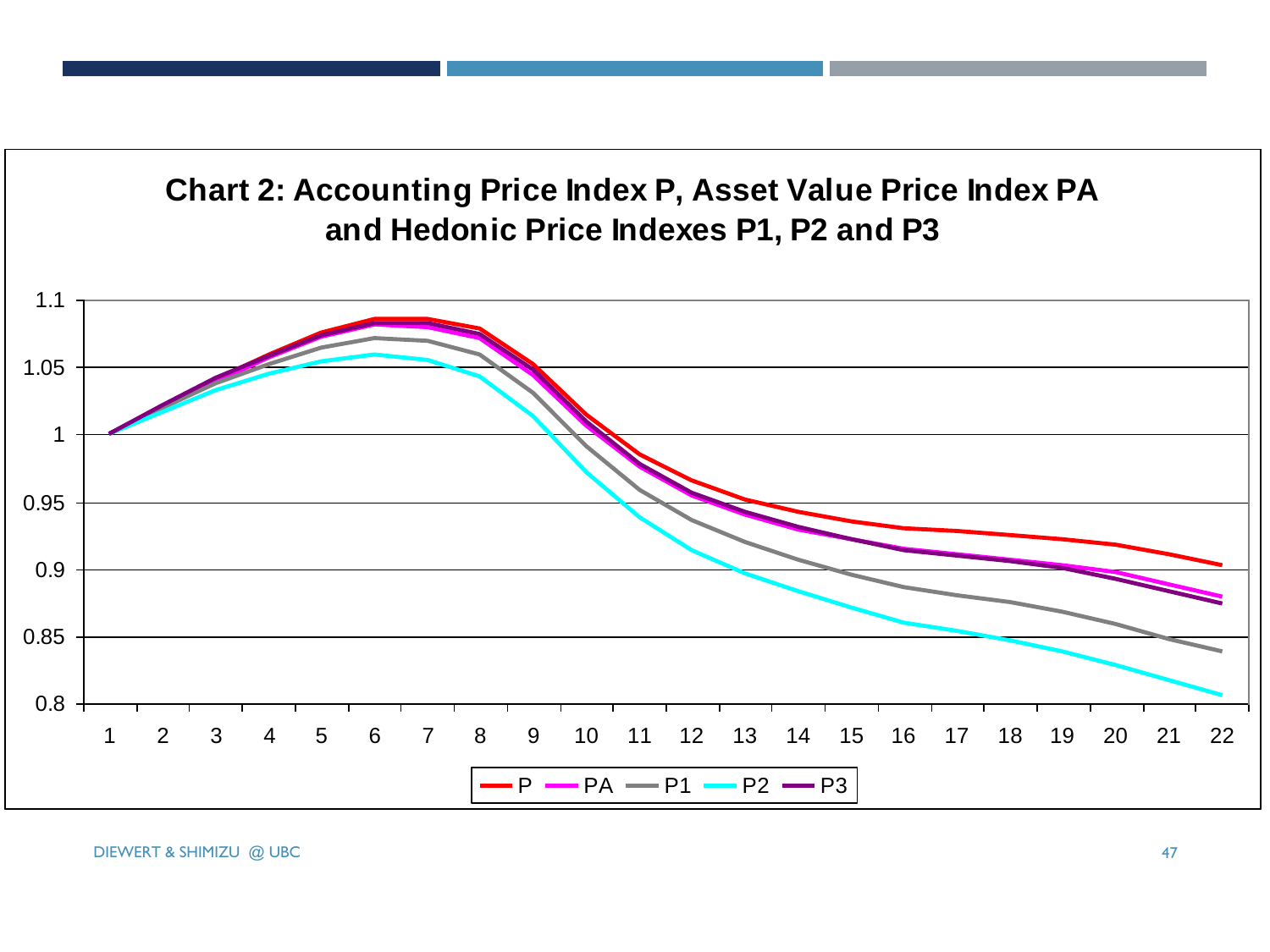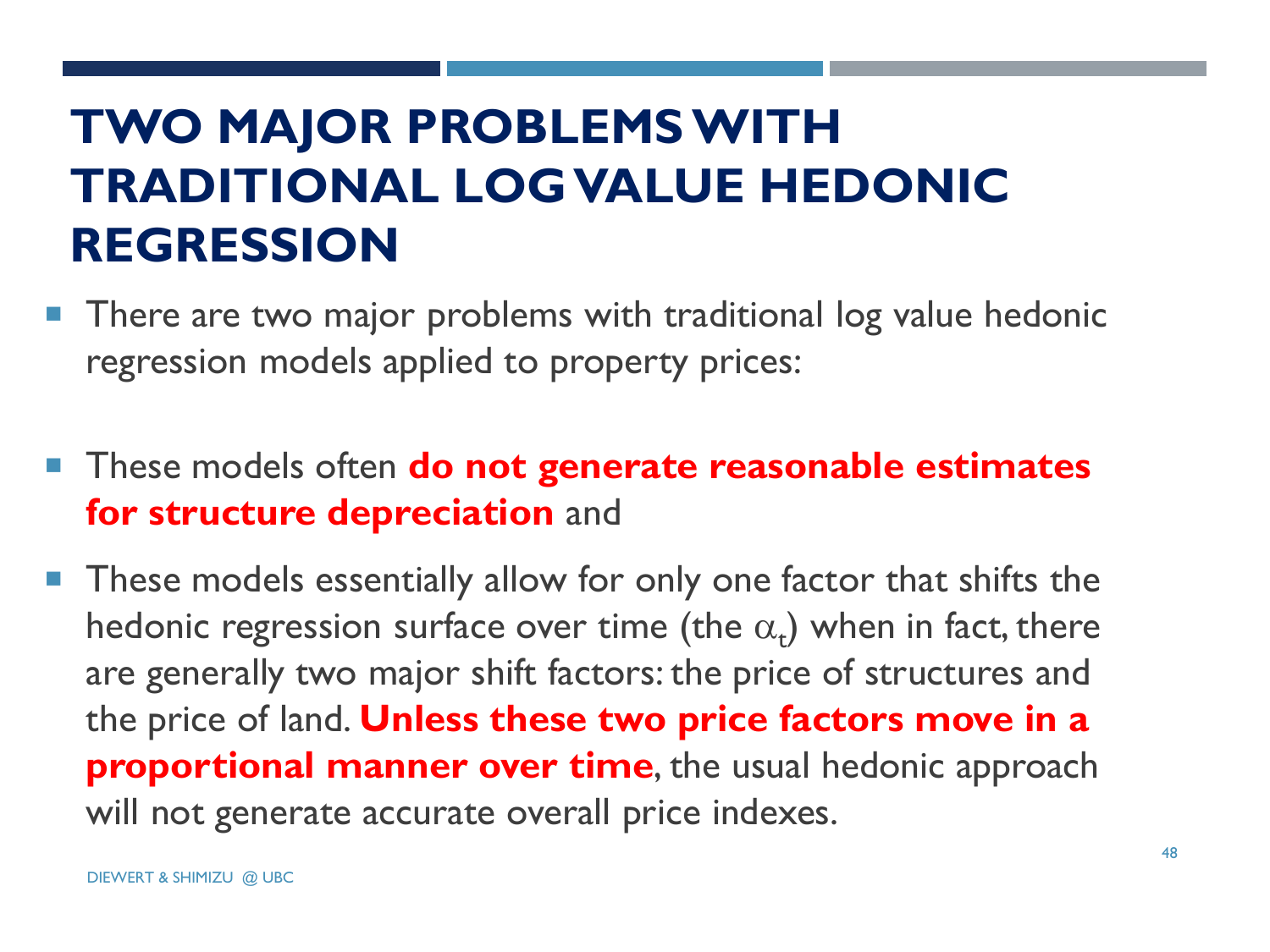# **TWO MAJOR PROBLEMS WITH TRADITIONAL LOG VALUE HEDONIC REGRESSION**

- **There are two major problems with traditional log value hedonic** regression models applied to property prices:
- **These models often do not generate reasonable estimates for structure depreciation** and
- **These models essentially allow for only one factor that shifts the** hedonic regression surface over time (the  $\alpha_{\rm t}$ ) when in fact, there are generally two major shift factors: the price of structures and the price of land. **Unless these two price factors move in a proportional manner over time**, the usual hedonic approach will not generate accurate overall price indexes.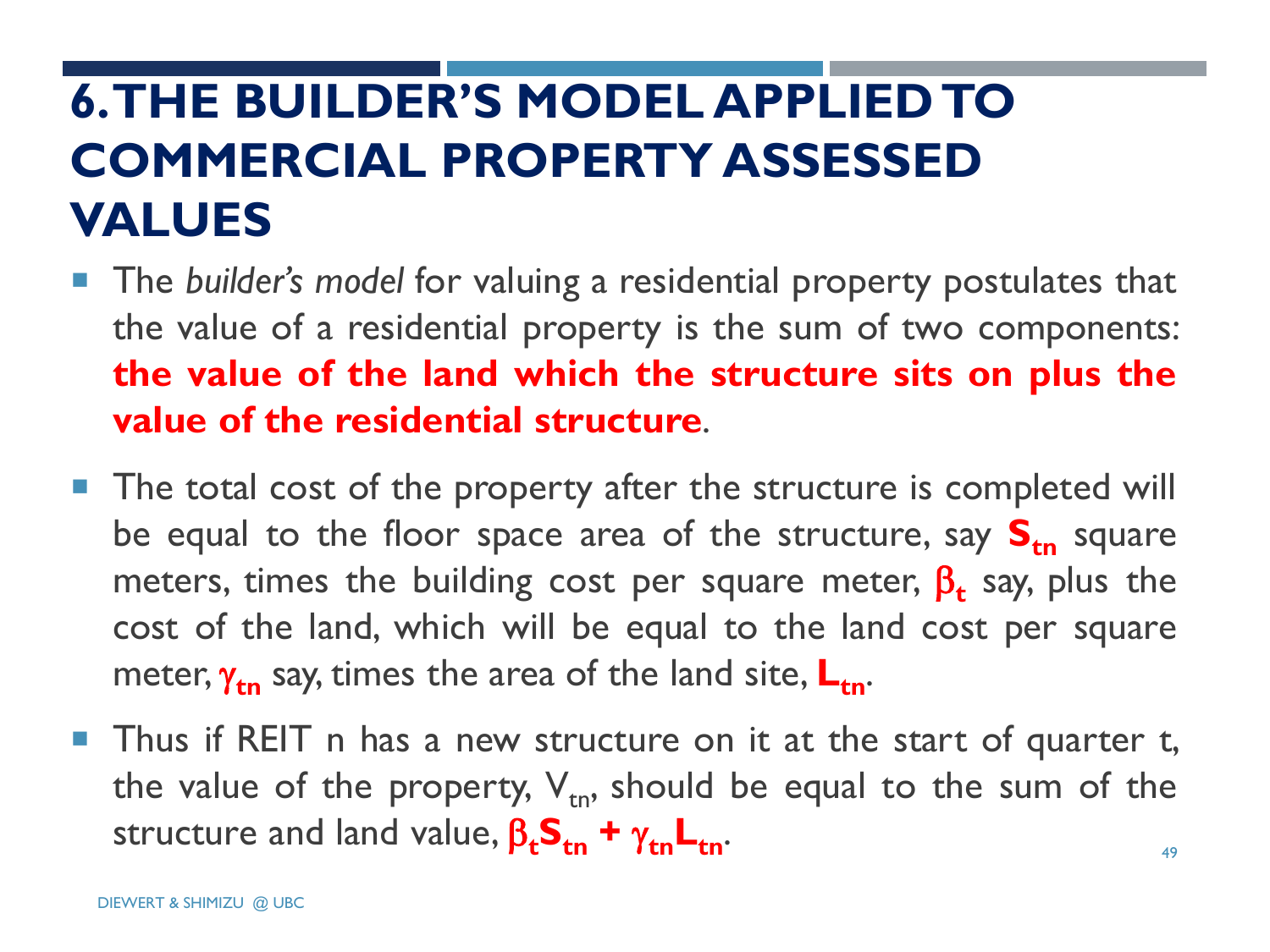# **6. THE BUILDER'S MODEL APPLIED TO COMMERCIAL PROPERTY ASSESSED VALUES**

- The *builder's model* for valuing a residential property postulates that the value of a residential property is the sum of two components: **the value of the land which the structure sits on plus the value of the residential structure**.
- **The total cost of the property after the structure is completed will** be equal to the floor space area of the structure, say  $S_{tn}$  square meters, times the building cost per square meter,  $\boldsymbol{\beta_t}$  say, plus the cost of the land, which will be equal to the land cost per square meter,  $\gamma_{tn}$  say, times the area of the land site,  $L_{tn}$ .
- 49 **Thus if REIT** n has a new structure on it at the start of quarter t, the value of the property,  $V_{tn}$ , should be equal to the sum of the structure and land value,  $\beta_t S_{tn} + \gamma_{tn} L_{tn}$ .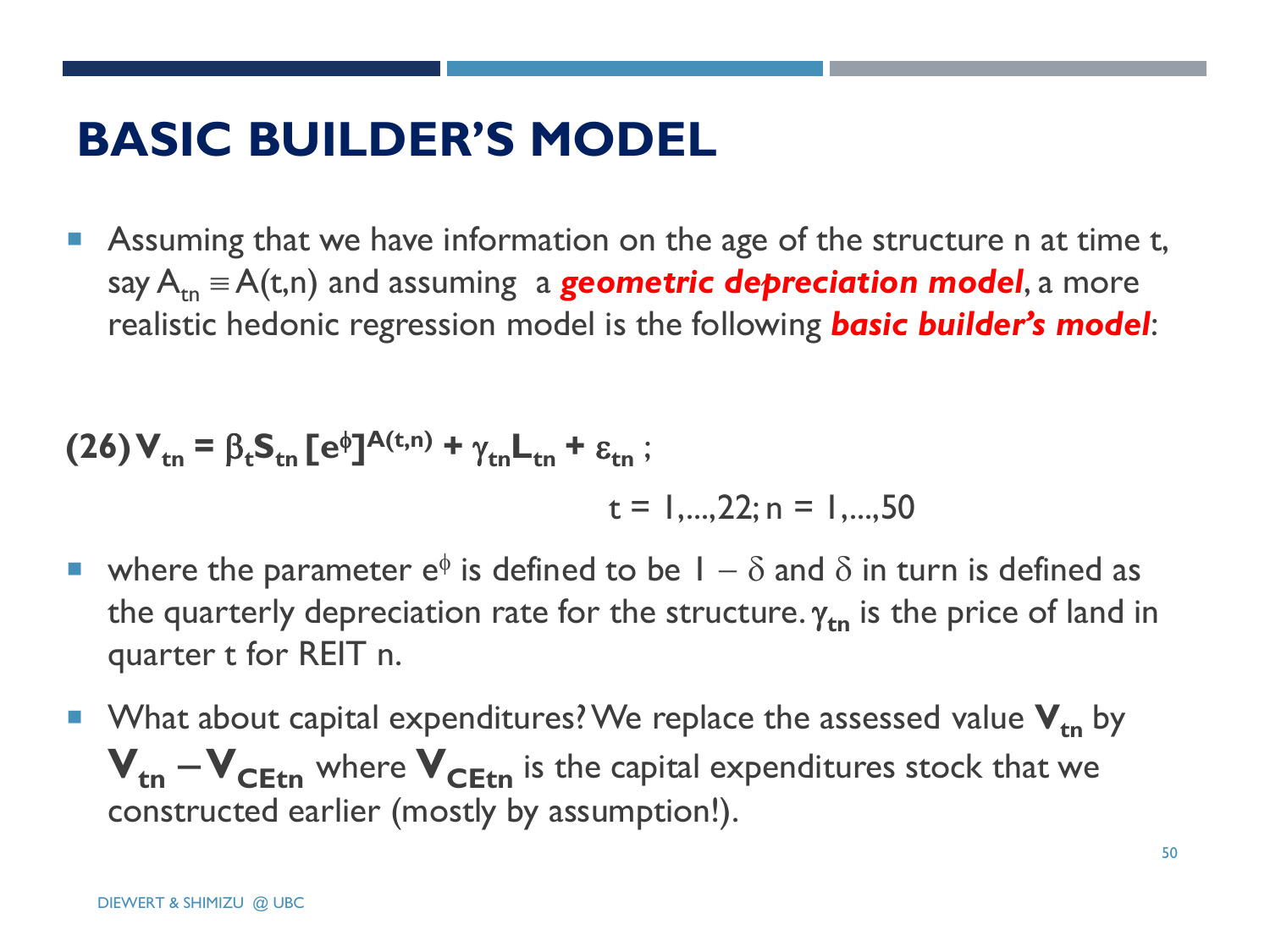# **BASIC BUILDER'S MODEL**

 Assuming that we have information on the age of the structure n at time t, say  $A_{tn} \equiv A(t,n)$  and assuming a **geometric depreciation model**, a more realistic hedonic regression model is the following *basic builder's model*:

$$
(26)\mathbf{V}_{\mathsf{tn}} = \beta_{\mathsf{t}} \mathbf{S}_{\mathsf{tn}} \left[ e^{\phi} \right]^{A(\mathsf{t},\mathsf{n})} + \gamma_{\mathsf{tn}} \mathbf{L}_{\mathsf{tn}} + \varepsilon_{\mathsf{tn}} \, ;
$$

 $t = 1$ ...., 22; n = 1,..., 50

- where the parameter  $e^{\phi}$  is defined to be  $1 \delta$  and  $\delta$  in turn is defined as the quarterly depreciation rate for the structure.  $\gamma_{\text{tn}}$  is the price of land in quarter t for REIT n.
- What about capital expenditures? We replace the assessed value  $V_{tn}$  by  $V_{tn} - V_{C E f n}$  where  $V_{C E f n}$  is the capital expenditures stock that we constructed earlier (mostly by assumption!).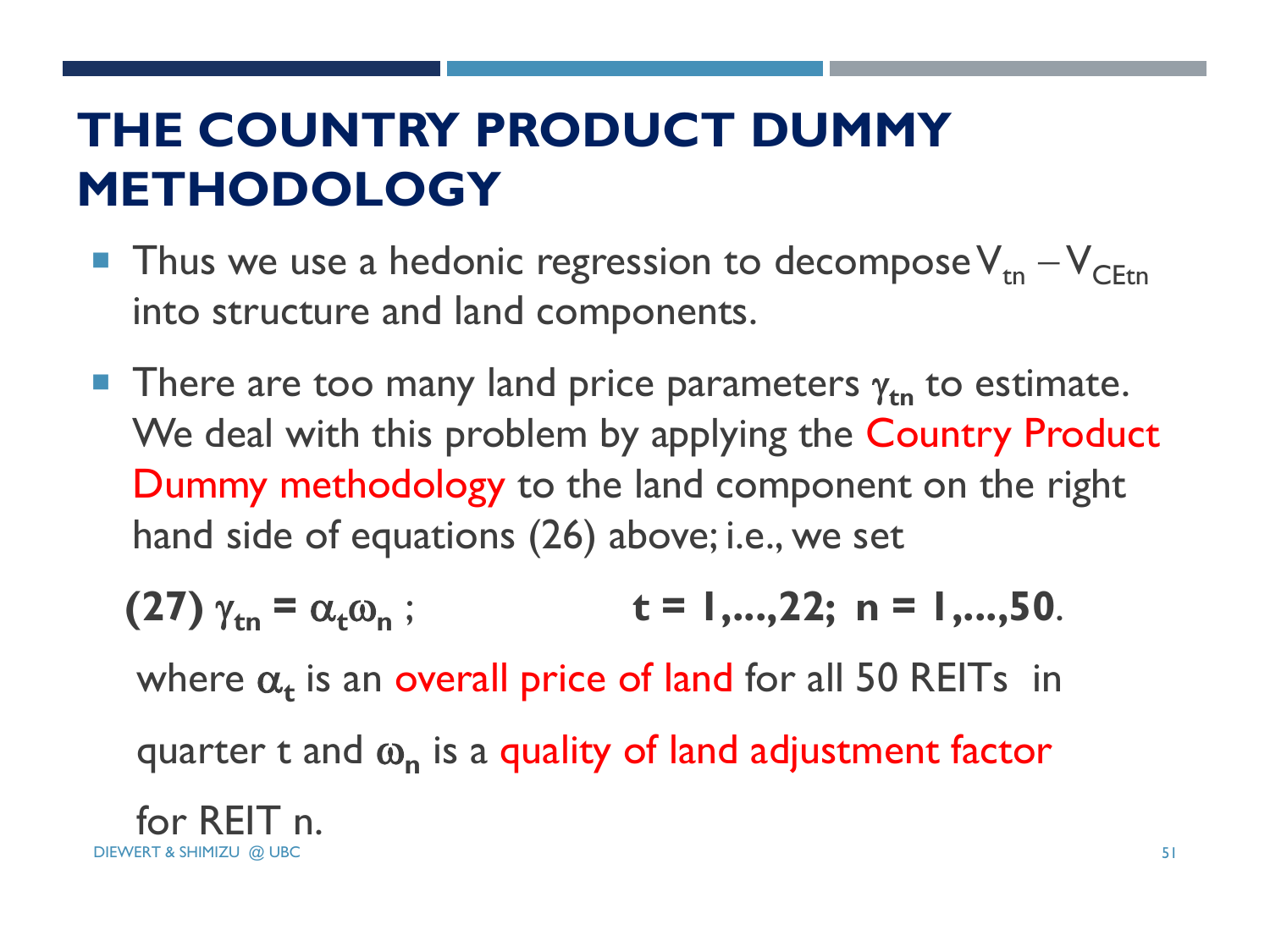# **THE COUNTRY PRODUCT DUMMY METHODOLOGY**

- **Thus we use a hedonic regression to decompose**  $V_{tn} V_{CFtn}$ into structure and land components.
- **There are too many land price parameters**  $\gamma_{tn}$  **to estimate.** We deal with this problem by applying the Country Product Dummy methodology to the land component on the right hand side of equations (26) above; i.e., we set

(27) 
$$
\gamma_{\text{tn}} = \alpha_{\text{t}} \omega_{\text{n}}
$$
; t = 1,...,22; n = 1,...,50.

where  $\alpha_t$  is an overall price of land for all 50 REITs in

quarter t and  $\omega_n$  is a quality of land adjustment factor

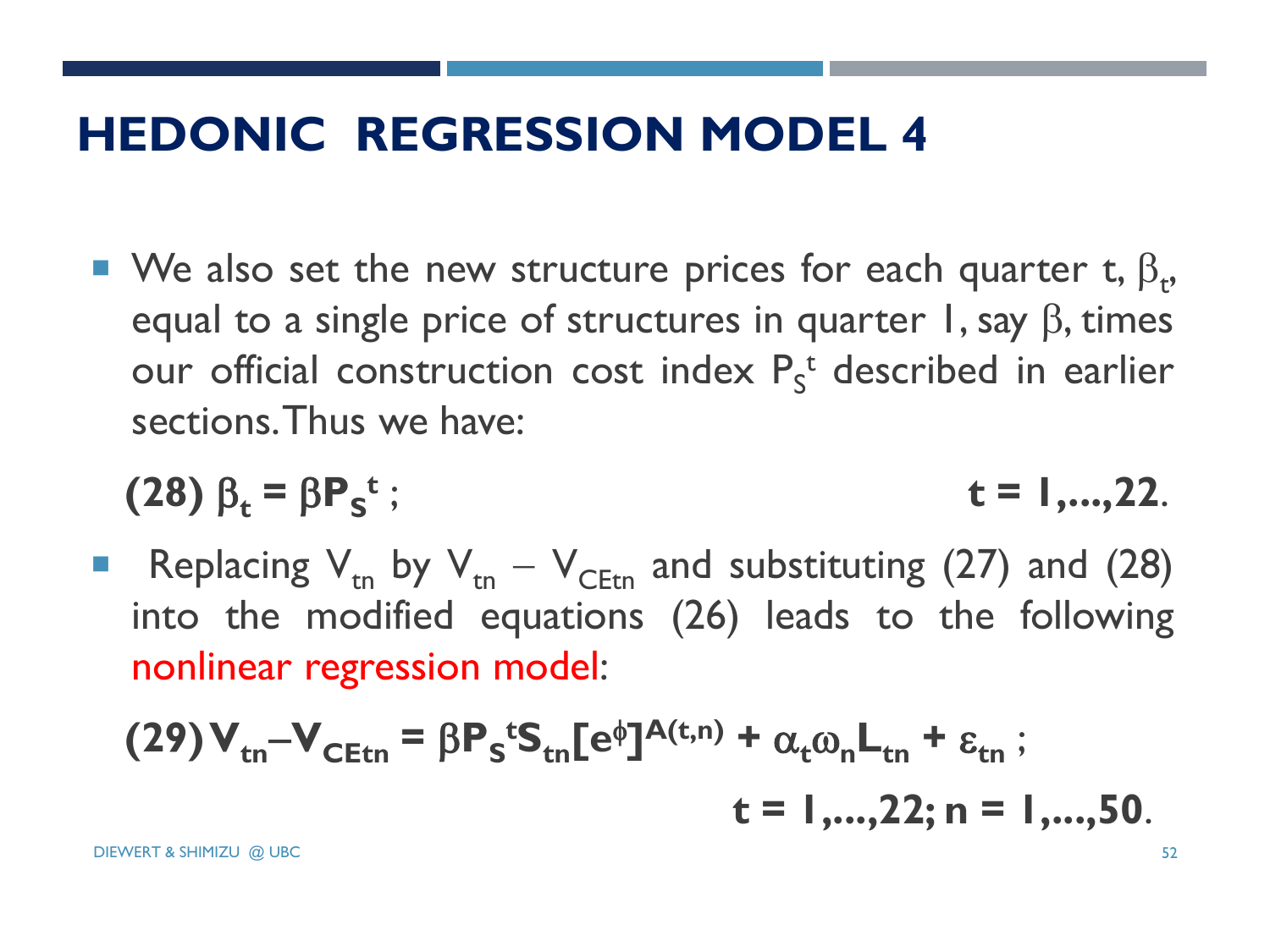## **HEDONIC REGRESSION MODEL 4**

• We also set the new structure prices for each quarter t,  $\beta_t$ , equal to a single price of structures in quarter 1, say  $\beta$ , times our official construction cost index  $P_S^t$  described in earlier sections.Thus we have:

$$
(28) \beta_t = \beta P_s^t; \qquad t = 1,...,22.
$$

Replacing  $V_{tn}$  by  $V_{tn} - V_{CEt}$  and substituting (27) and (28) into the modified equations (26) leads to the following nonlinear regression model:

$$
(29) V_{\text{tn}} - V_{\text{CEtn}} = \beta P_s^t S_{\text{tn}} [e^{\phi}]^{A(t,n)} + \alpha_t \omega_n L_{\text{tn}} + \varepsilon_{\text{tn}} ;
$$
  

$$
t = 1,...,22; n = 1,...,50.
$$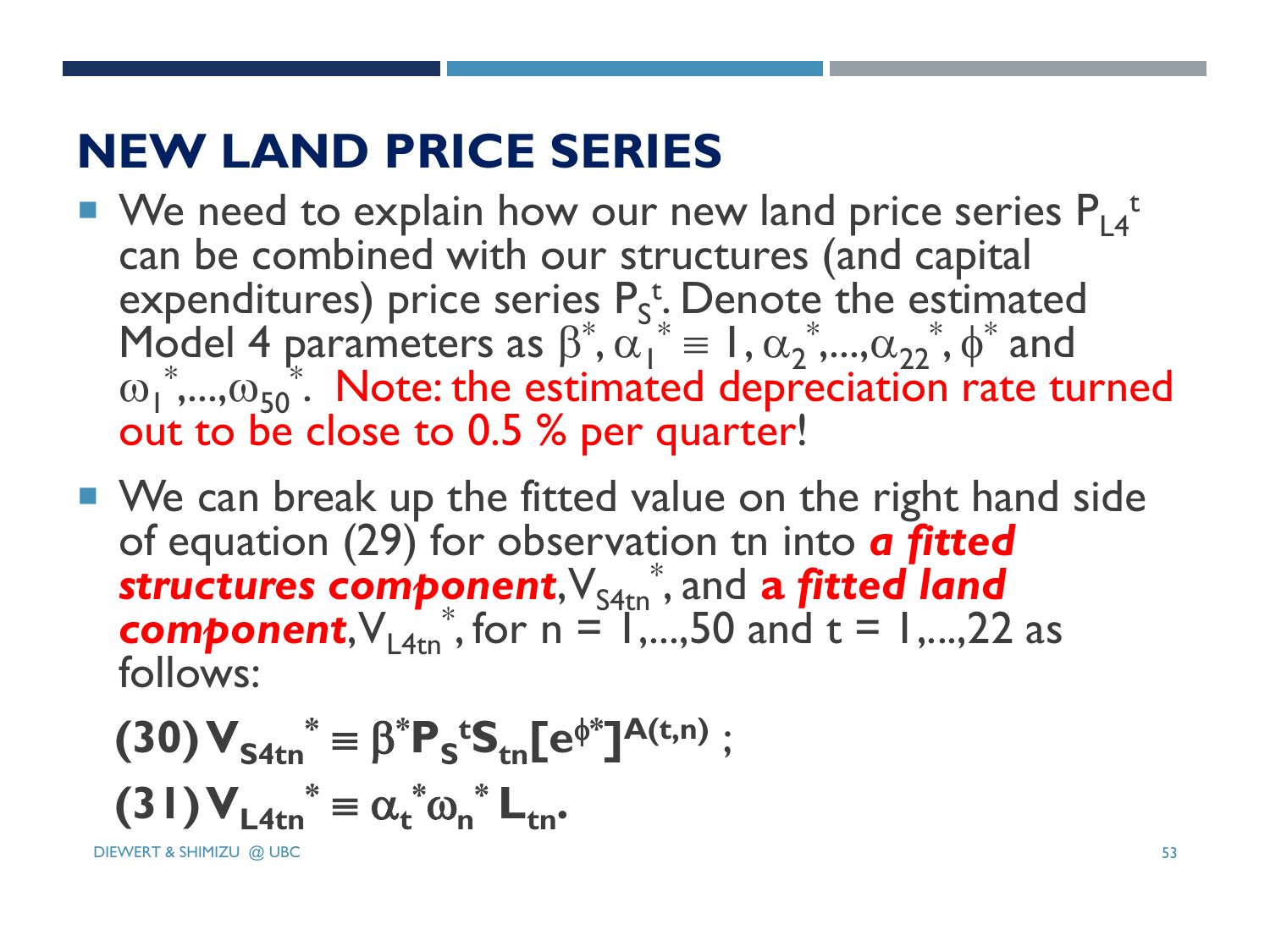# **NEW LAND PRICE SERIES**

- $\blacksquare$  We need to explain how our new land price series  $\mathsf{P}_{\mathsf{L4}}$ <sup>t</sup> can be combined with our structures (and capital expenditures) price series  $P_s^t$ . Denote the estimated Model 4 parameters as  $\beta^*, \alpha_1^* = 1, \alpha_2^*, ..., \alpha_{22}^*, \phi^*$  and  $\omega_1$ <sup>\*</sup>,..., $\omega_{50}$ <sup>\*</sup>. Note: the estimated depreciation rate turned out to be close to 0.5 % per quarter!
- We can break up the fitted value on the right hand side of equation (29) for observation tn into *a fitted*  structures component,  $V_{\text{S4tn}}^*$ , and a fitted land **component**,  $V_{L4tn}^*$ , for  $n = 1, \ldots, 50$  and  $t = 1, \ldots, 22$  as follows:

$$
(30) V_{S4tn}^* = \beta^* P_S^t S_{tn} [e^{\phi^*}]^{A(t,n)} ;
$$

$$
(31) V_{L4tn}^* = \alpha_t^* \omega_n^* L_{tn}.
$$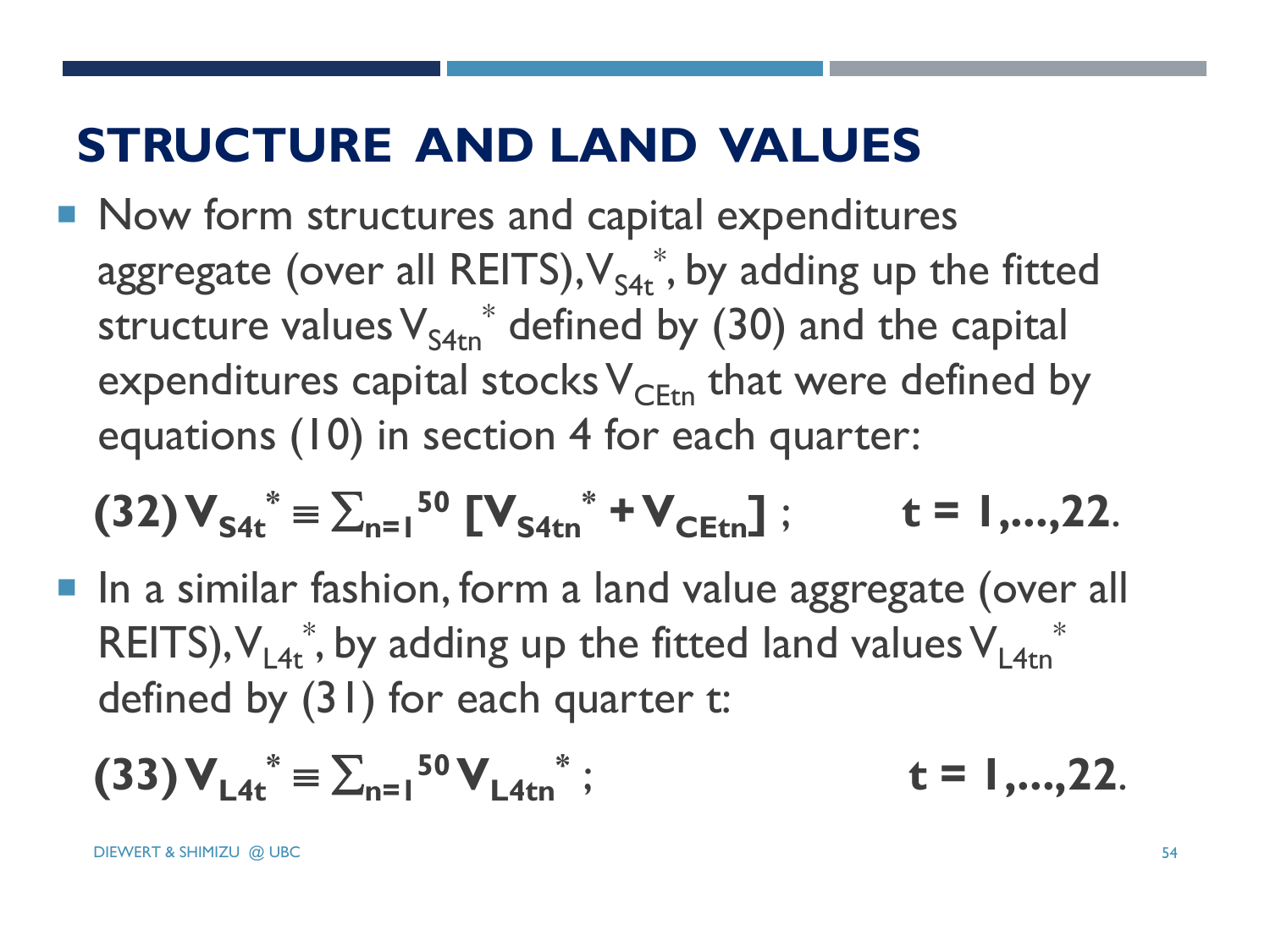# **STRUCTURE AND LAND VALUES**

Now form structures and capital expenditures aggregate (over all REITS), $\mathsf{V}_{\mathsf{S4t}}^*$ , by adding up the fitted structure values $\mathsf{V_{S4tn}}^*$  defined by (30) and the capital expenditures capital stocks  $V_{CFtn}$  that were defined by equations (10) in section 4 for each quarter:

$$
(32) V_{S4t}^* = \sum_{n=1}^{50} [V_{S4tn}^* + V_{CEt}]; \qquad t = 1,...,22.
$$

■ In a similar fashion, form a land value aggregate (over all REITS),  $V_{L4t}^*$ , by adding up the fitted land values  $V_{L4tn}^*$ defined by (31) for each quarter t:

$$
(33) V_{L4t}^* = \sum_{n=1}^{50} V_{L4tn}^* ; \qquad t = 1,...,22.
$$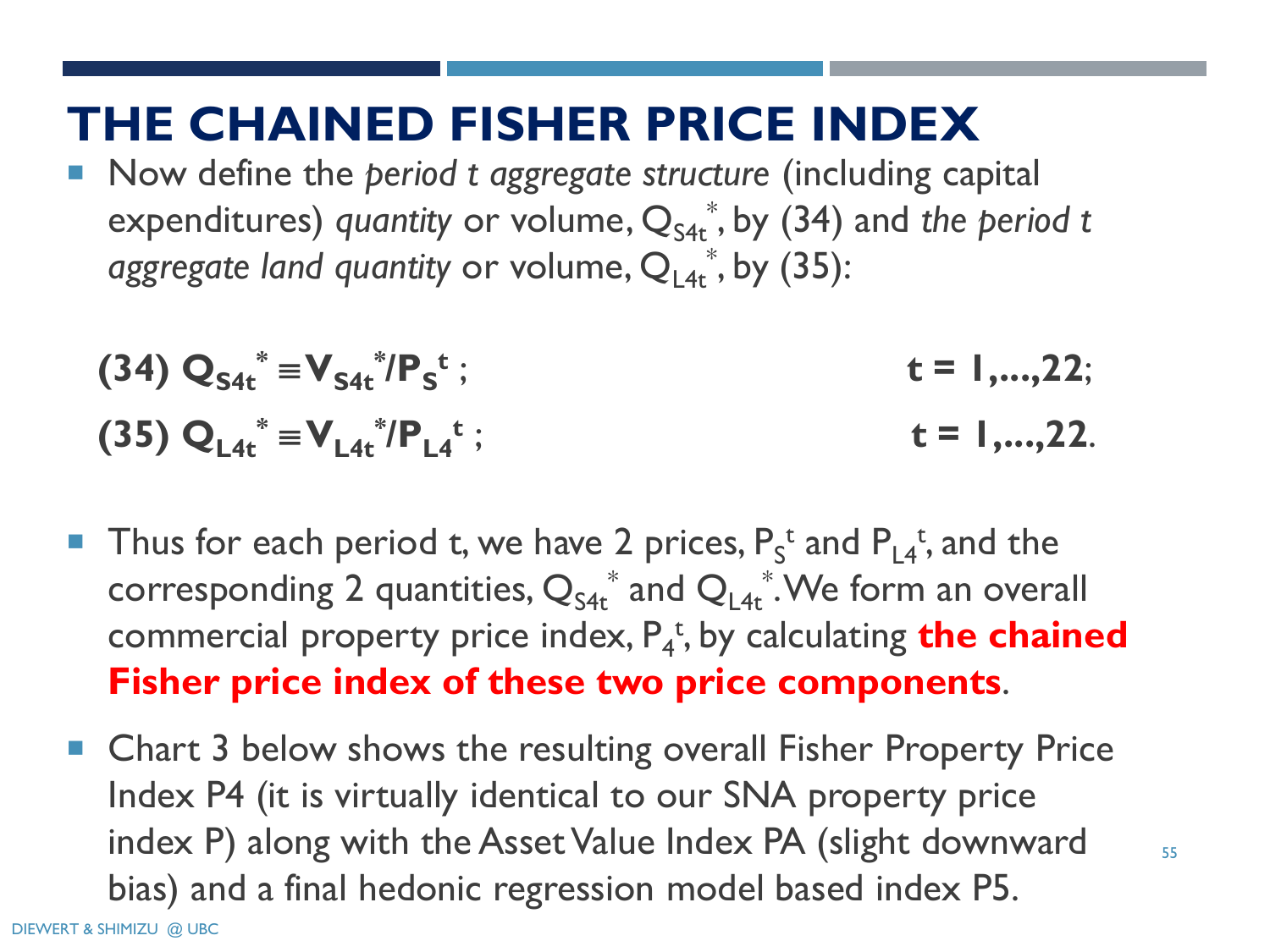#### **THE CHAINED FISHER PRICE INDEX**

 Now define the *period t aggregate structure* (including capital expenditures) *quantity* or volume,  $Q_{S4t}^*$ , by (34) and *the period t* aggregate land quantity or volume, Q<sub>L4t</sub>\*, by (35):

(34) 
$$
Q_{S4t}^* = V_{S4t}^* / P_S^t
$$
;  
\n(35)  $Q_{L4t}^* = V_{L4t}^* / P_{L4}^t$ ;  
\n $t = 1,...,22$ .

- **Thus for each period t, we have 2 prices,**  $P_s^t$  **and**  $P_{L4}^t$ **, and the** corresponding 2 quantities,  $Q_{S4t}^*$  and  $Q_{L4t}^*$ . We form an overall commercial property price index,  $P_4^{\ t}$ , by calculating **the chained Fisher price index of these two price components**.
- Chart 3 below shows the resulting overall Fisher Property Price Index P4 (it is virtually identical to our SNA property price index P) along with the Asset Value Index PA (slight downward bias) and a final hedonic regression model based index P5.

55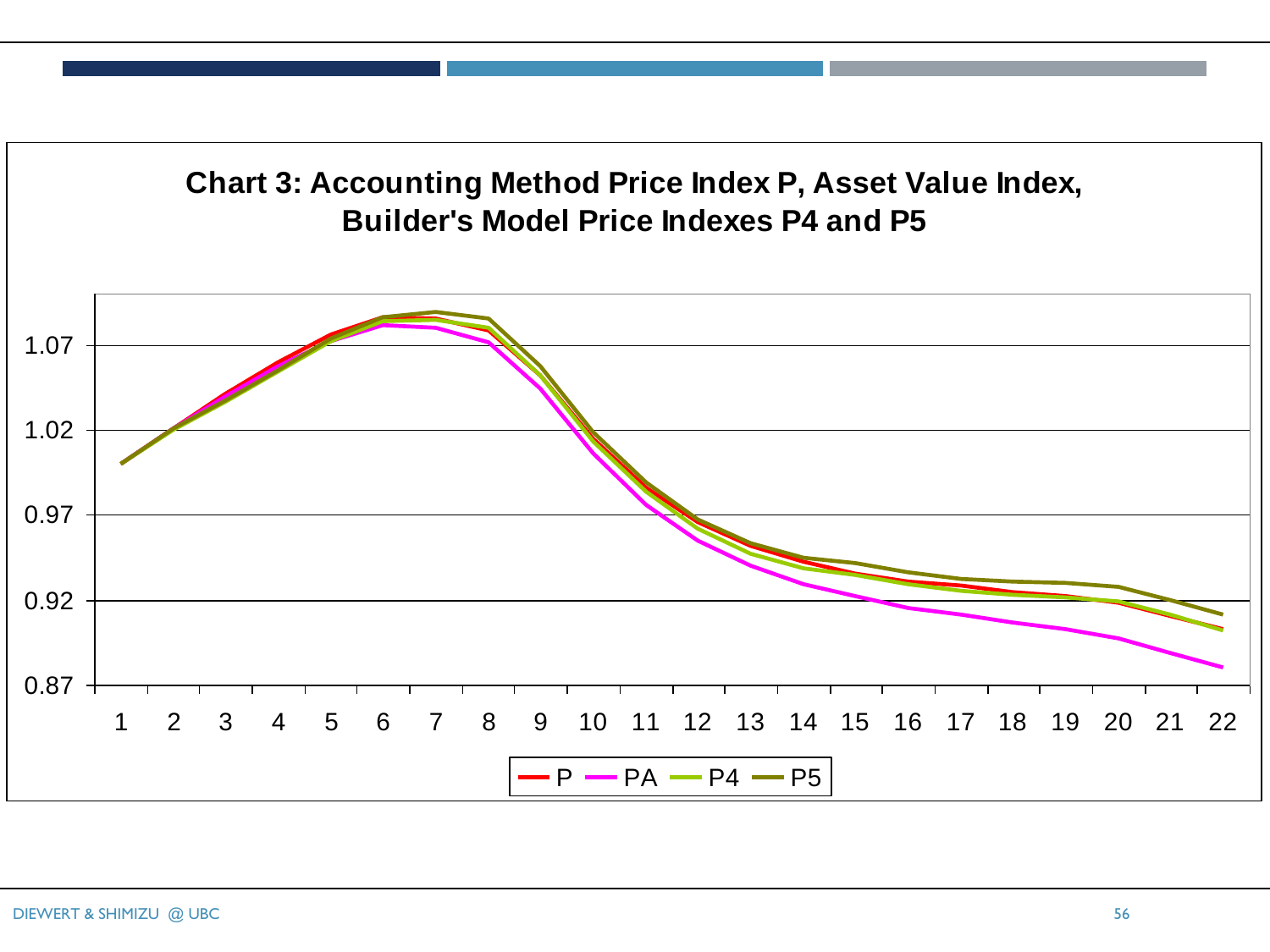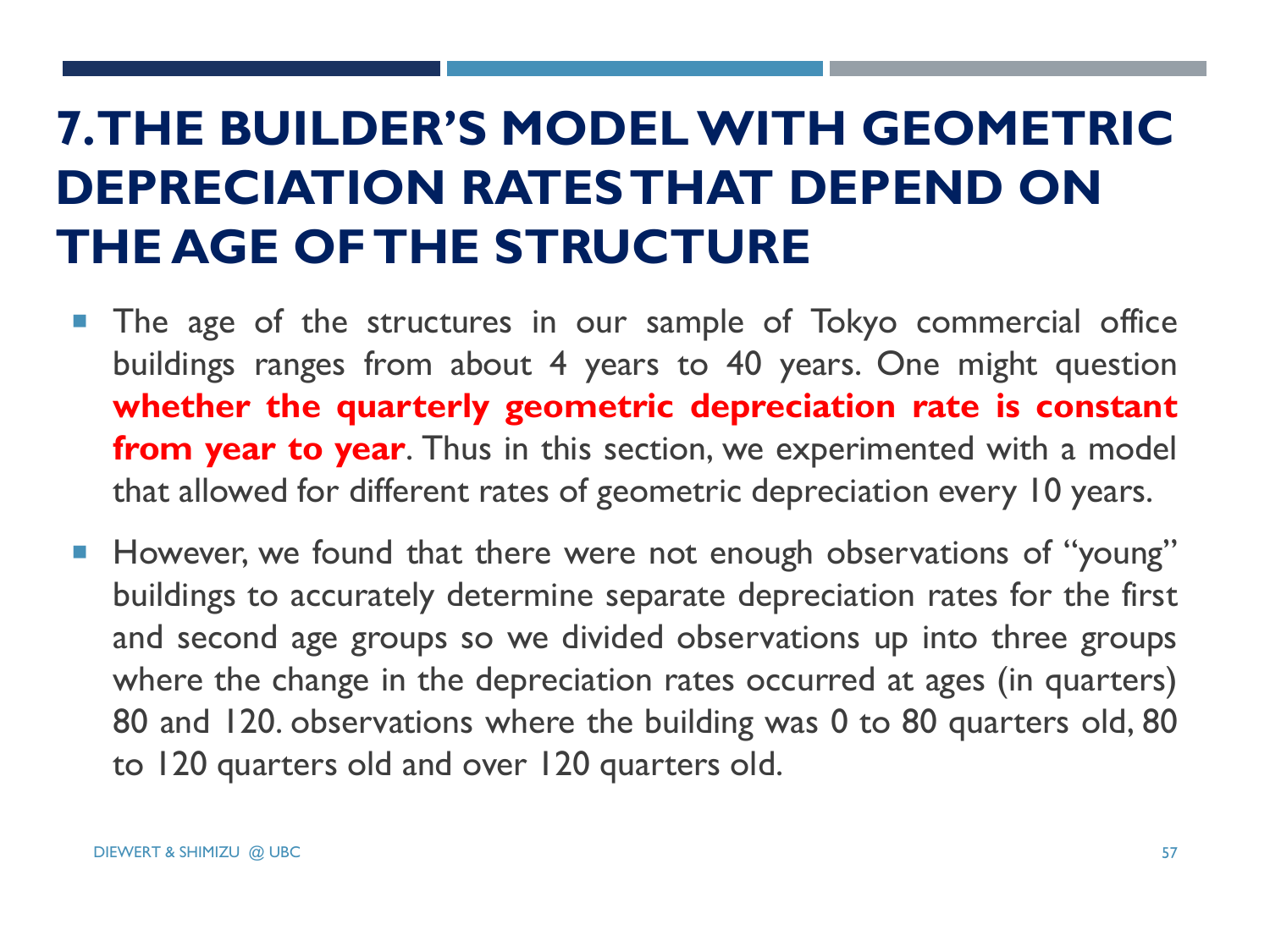# **7. THE BUILDER'S MODEL WITH GEOMETRIC DEPRECIATION RATES THAT DEPEND ON THE AGE OF THE STRUCTURE**

- **The age of the structures in our sample of Tokyo commercial office** buildings ranges from about 4 years to 40 years. One might question **whether the quarterly geometric depreciation rate is constant from year to year**. Thus in this section, we experimented with a model that allowed for different rates of geometric depreciation every 10 years.
- However, we found that there were not enough observations of "young" buildings to accurately determine separate depreciation rates for the first and second age groups so we divided observations up into three groups where the change in the depreciation rates occurred at ages (in quarters) 80 and 120. observations where the building was 0 to 80 quarters old, 80 to 120 quarters old and over 120 quarters old.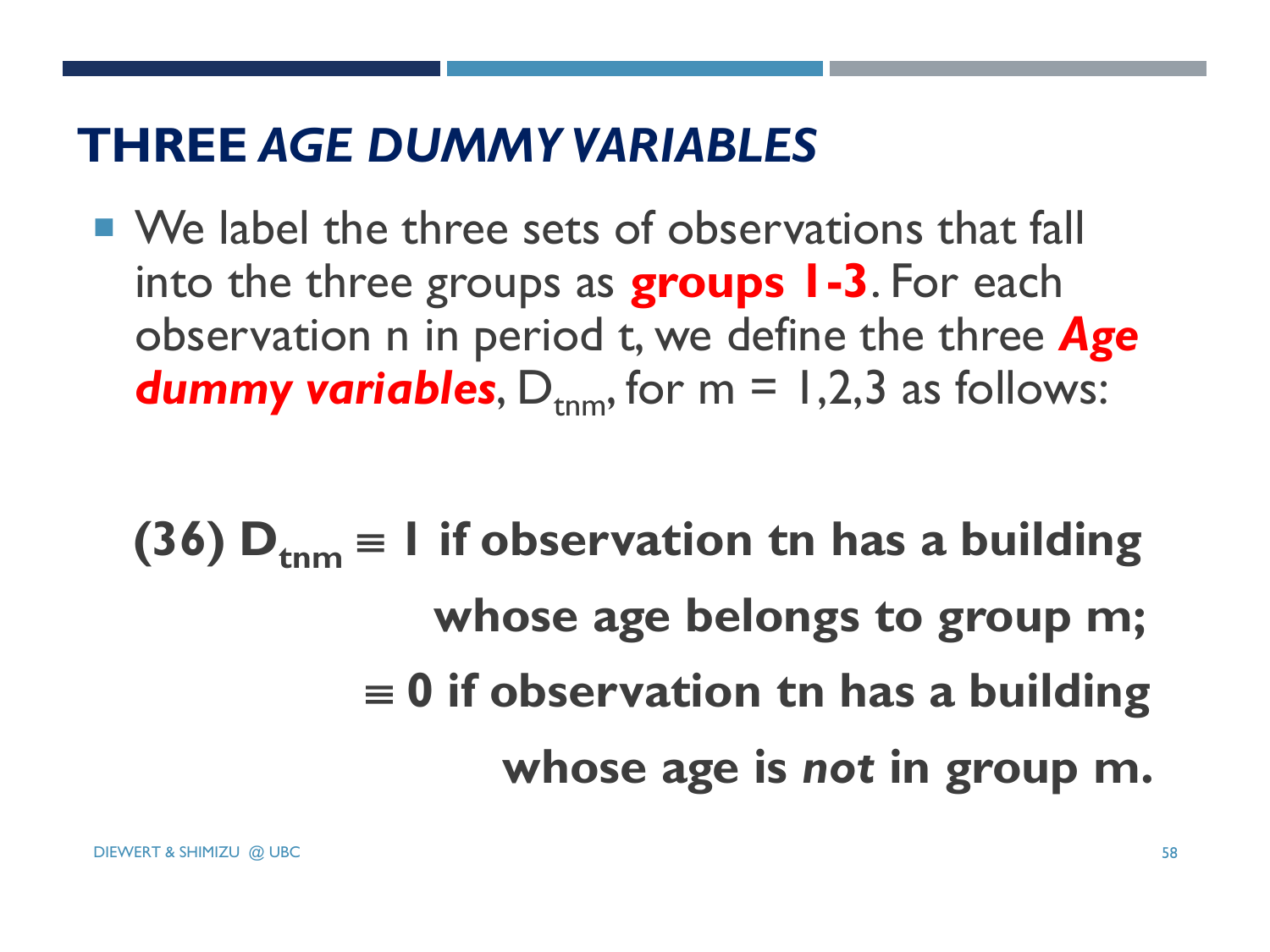#### **THREE** *AGE DUMMY VARIABLES*

- We label the three sets of observations that fall into the three groups as **groups 1-3**. For each observation n in period t, we define the three *Age*  **dummy variables**,  $D_{\text{rnm}}$ , for  $m = 1,2,3$  as follows:
	- **(36)**  $D_{\text{tnm}} = 1$  if observation tn has a building  **whose age belongs to group m;**  $\equiv$  0 if observation tn has a building  **whose age is** *not* **in group m.**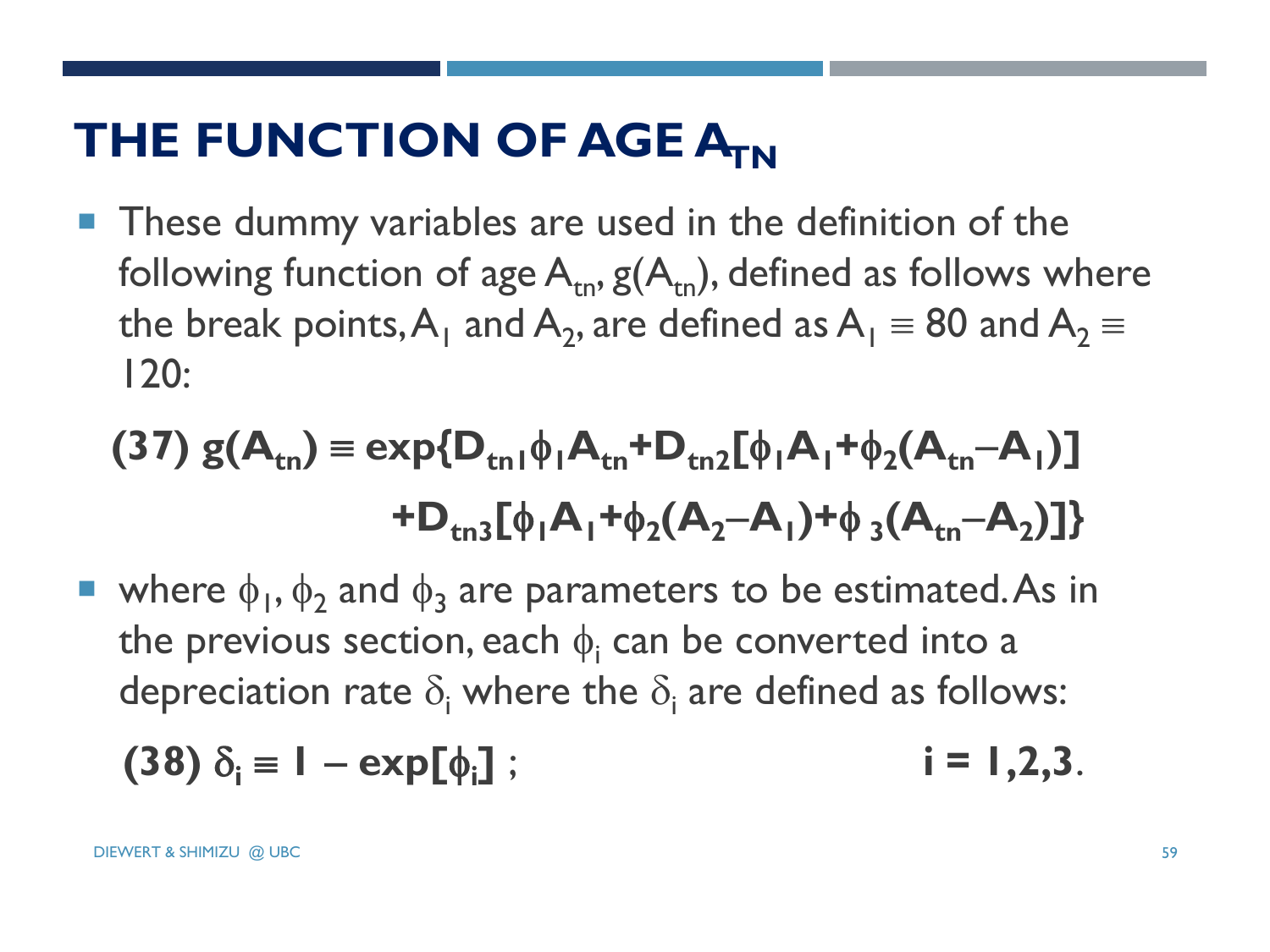# **THE FUNCTION OF AGE A<sub>TN</sub>**

**These dummy variables are used in the definition of the** following function of age  $A_{tn}$ ,  $g(A_{tn})$ , defined as follows where the break points, $A_1$  and  $A_2$ , are defined as  $A_1 \equiv 80$  and  $A_2 \equiv$ 120:

$$
(37) g(Atn) = exp{Dtn1 \phi1Atn + Dtn2[ \phi1A1 + \phi2(Atn - A1)]
$$
  
+ D<sub>tn3</sub>[ \phi<sub>1</sub>A<sub>1</sub> + \phi<sub>2</sub>(A<sub>2</sub> - A<sub>1</sub>) + \phi<sub>3</sub>(A<sub>tn</sub> - A<sub>2</sub>)]}

• where  $\phi_1$ ,  $\phi_2$  and  $\phi_3$  are parameters to be estimated. As in the previous section, each  $\phi_{\mathsf{i}}$  can be converted into a depreciation rate  $\delta_i$  where the  $\delta_i$  are defined as follows:

$$
(38) \delta_i \equiv 1 - \exp[\phi_i]; \qquad i = 1, 2, 3.
$$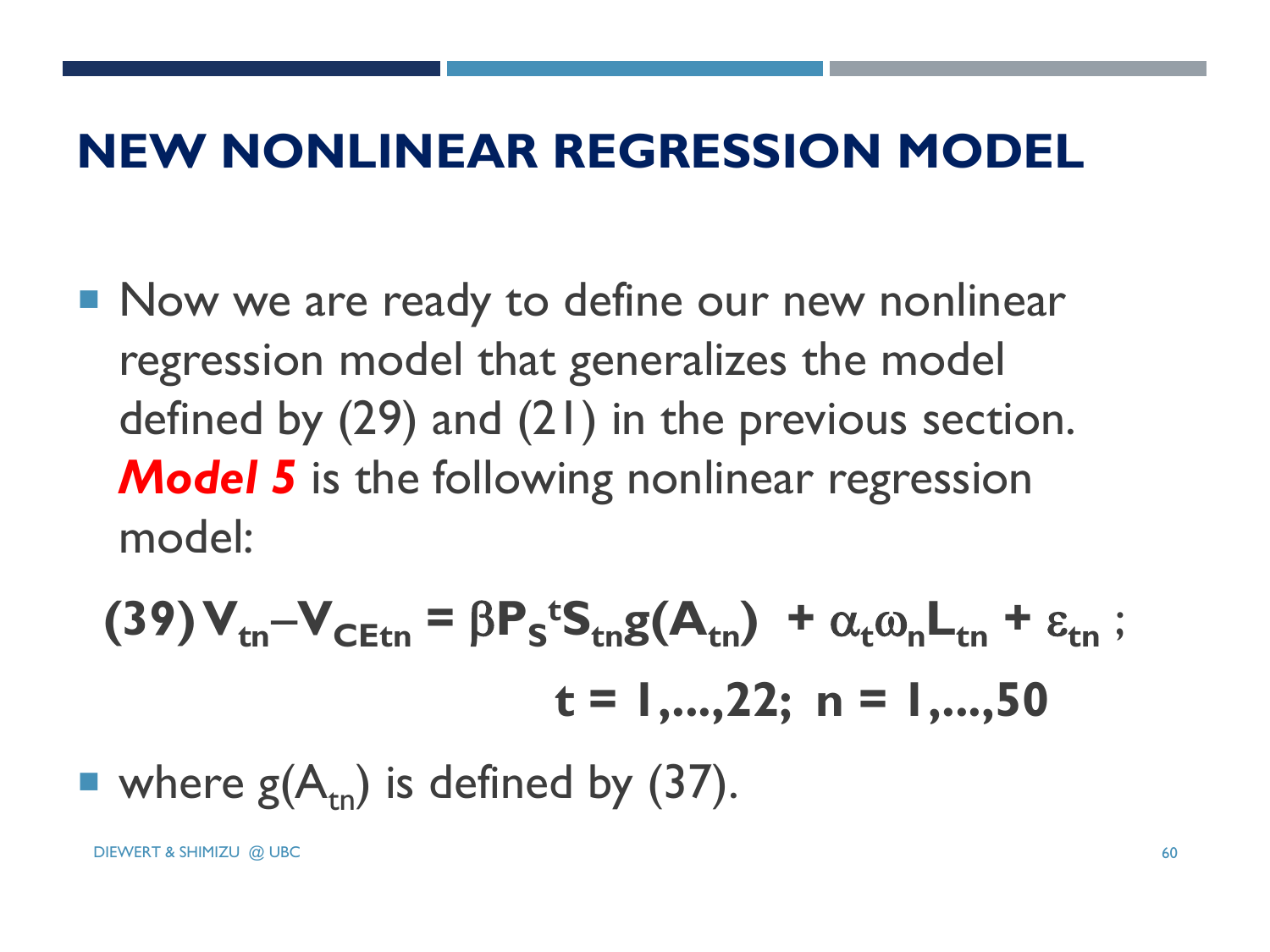#### **NEW NONLINEAR REGRESSION MODEL**

Now we are ready to define our new nonlinear regression model that generalizes the model defined by (29) and (21) in the previous section. **Model 5** is the following nonlinear regression model:

(39) 
$$
V_{\text{tn}}-V_{\text{CEtn}} = \beta P_s^{t}S_{\text{tn}}g(A_{\text{tn}}) + \alpha_{t}\omega_{n}L_{\text{tn}} + \varepsilon_{\text{tn}}
$$
;  
\n $t = 1,...,22; n = 1,...,50$   
\nwhere  $g(A_{\text{tn}})$  is defined by (37).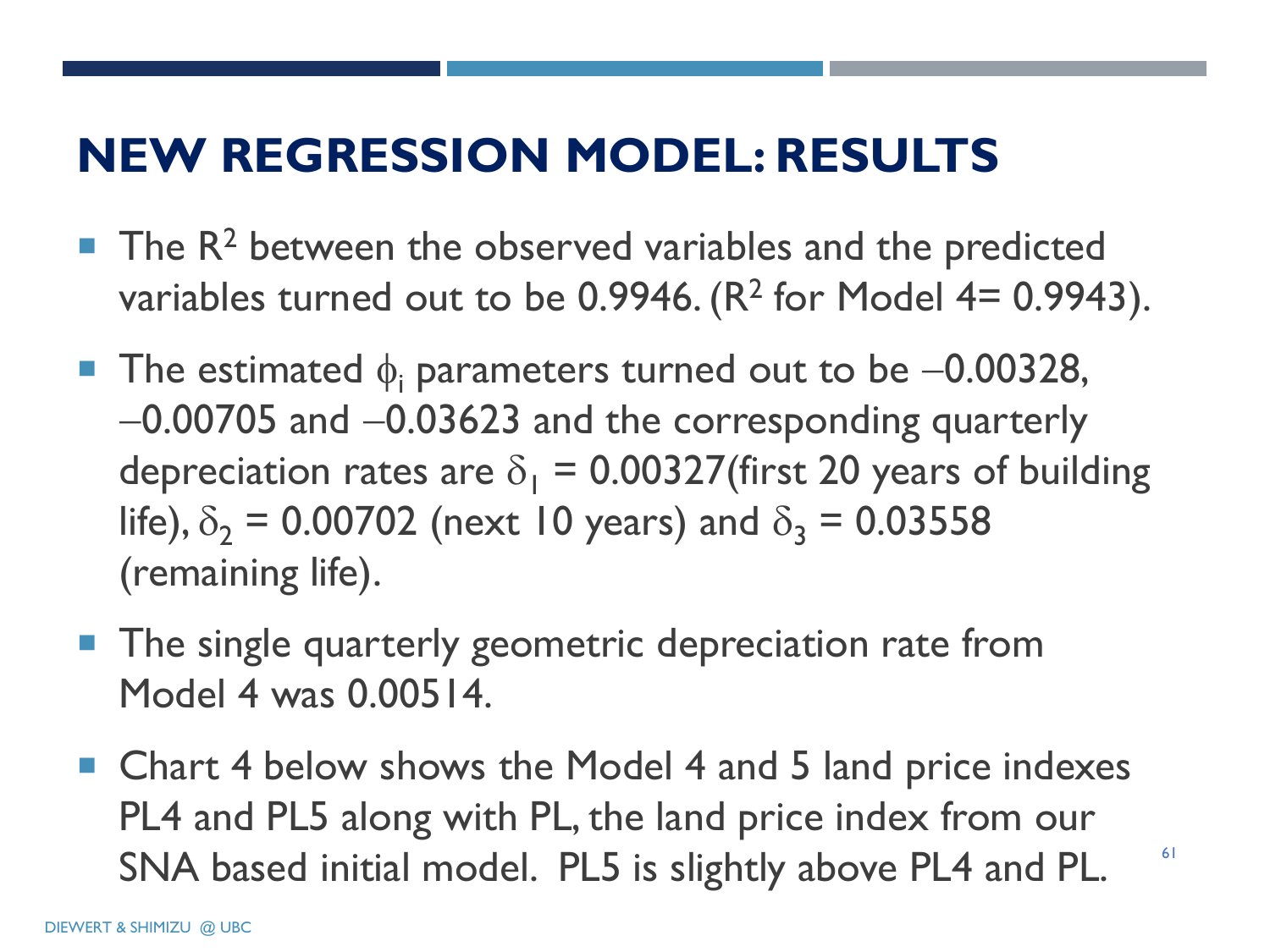# **NEW REGRESSION MODEL: RESULTS**

- $\blacksquare$  The R<sup>2</sup> between the observed variables and the predicted variables turned out to be 0.9946.  $(R^2$  for Model 4= 0.9943).
- **The estimated**  $\phi_i$  **parameters turned out to be -0.00328,**  $-0.00705$  and  $-0.03623$  and the corresponding quarterly depreciation rates are  $\delta_1 = 0.00327$ (first 20 years of building life),  $\delta_2$  = 0.00702 (next 10 years) and  $\delta_3$  = 0.03558 (remaining life).
- **The single quarterly geometric depreciation rate from** Model 4 was 0.00514.
- Chart 4 below shows the Model 4 and 5 land price indexes PL4 and PL5 along with PL, the land price index from our SNA based initial model. PL5 is slightly above PL4 and PL.

61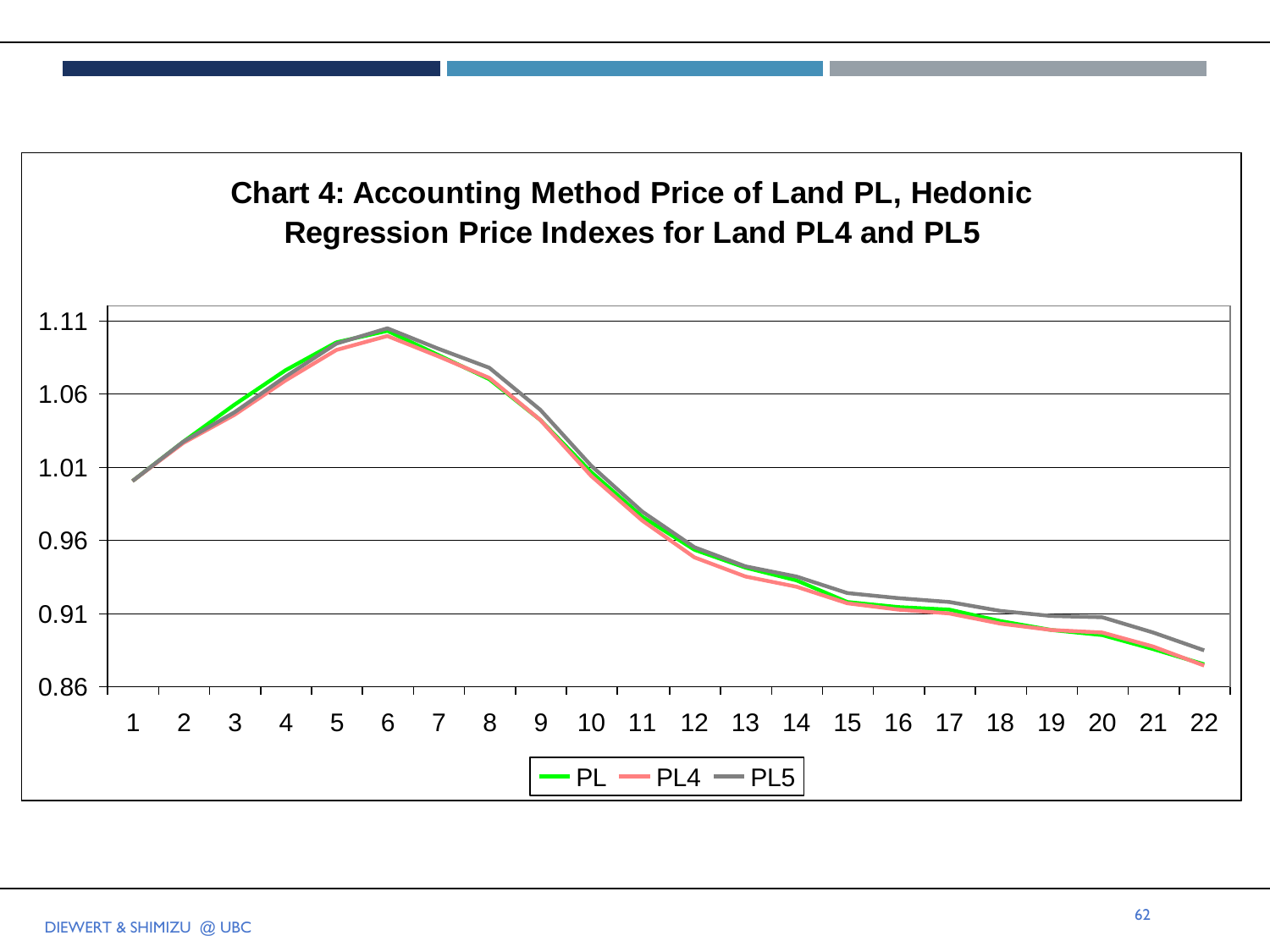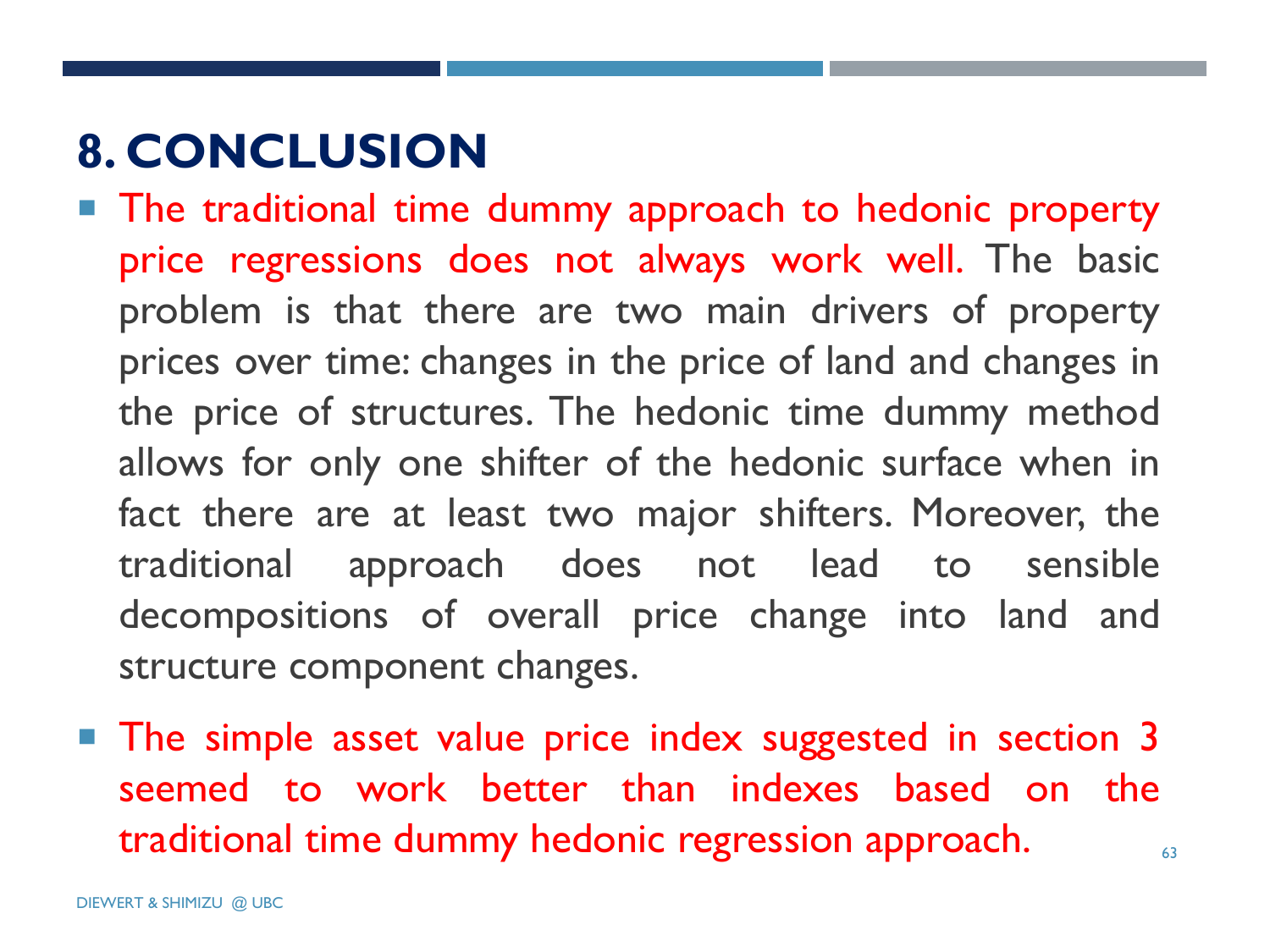# **8. CONCLUSION**

- **The traditional time dummy approach to hedonic property** price regressions does not always work well. The basic problem is that there are two main drivers of property prices over time: changes in the price of land and changes in the price of structures. The hedonic time dummy method allows for only one shifter of the hedonic surface when in fact there are at least two major shifters. Moreover, the traditional approach does not lead to sensible decompositions of overall price change into land and structure component changes.
- **The simple asset value price index suggested in section 3** seemed to work better than indexes based on the traditional time dummy hedonic regression approach.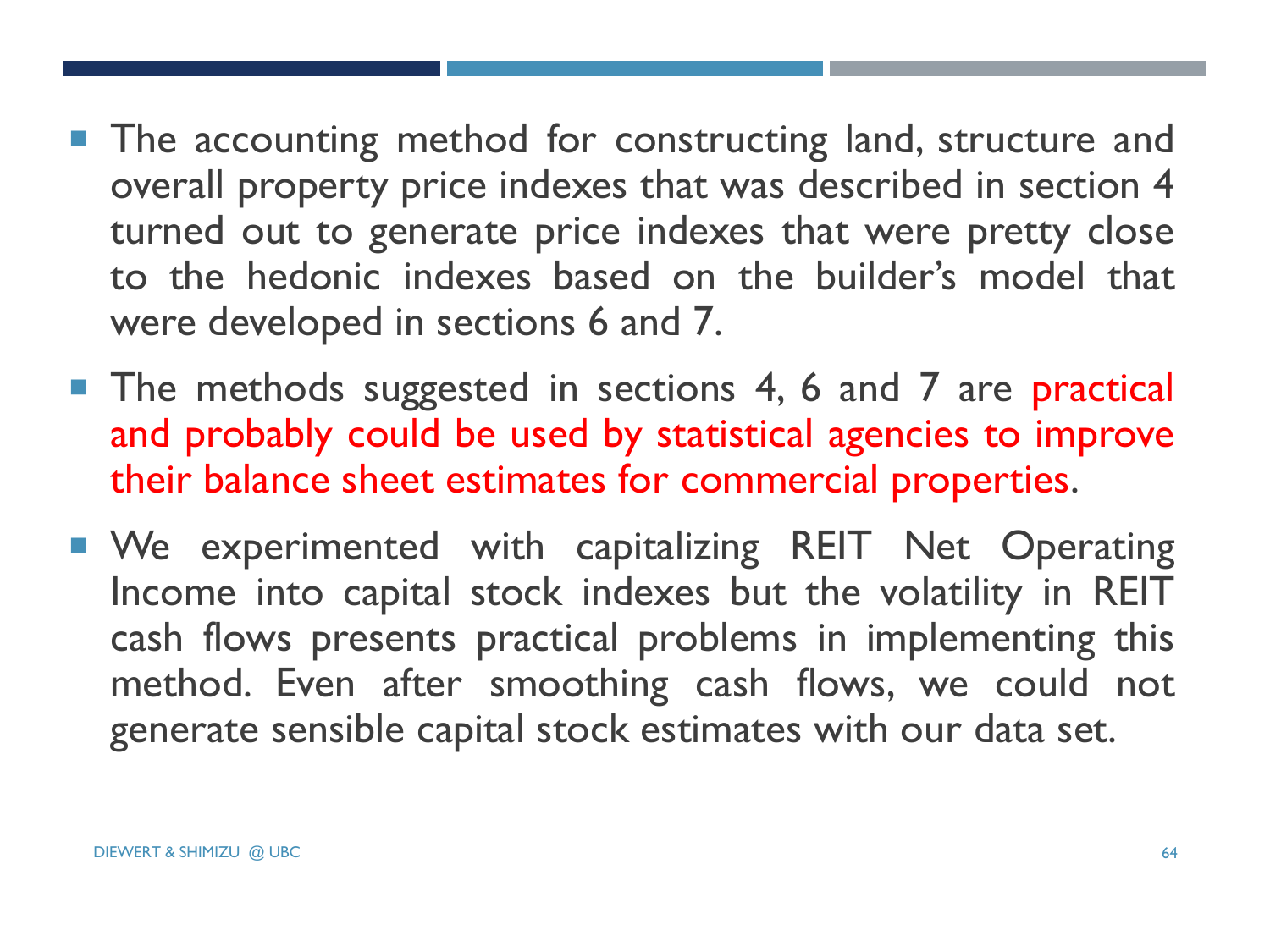- **The accounting method for constructing land, structure and** overall property price indexes that was described in section 4 turned out to generate price indexes that were pretty close to the hedonic indexes based on the builder's model that were developed in sections 6 and 7.
- **The methods suggested in sections 4, 6 and 7 are practical** and probably could be used by statistical agencies to improve their balance sheet estimates for commercial properties.
- **We experimented with capitalizing REIT Net Operating** Income into capital stock indexes but the volatility in REIT cash flows presents practical problems in implementing this method. Even after smoothing cash flows, we could not generate sensible capital stock estimates with our data set.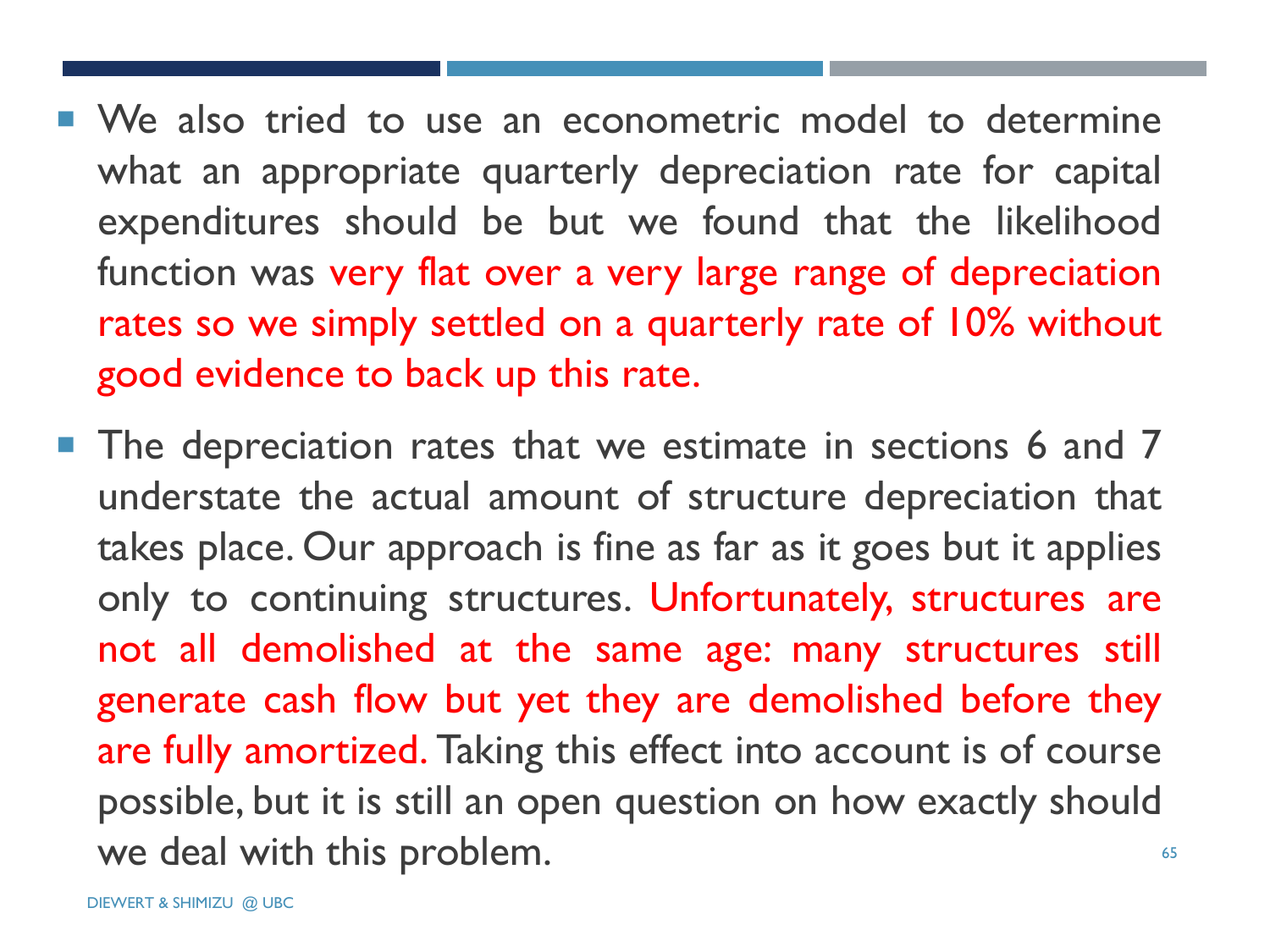- We also tried to use an econometric model to determine what an appropriate quarterly depreciation rate for capital expenditures should be but we found that the likelihood function was very flat over a very large range of depreciation rates so we simply settled on a quarterly rate of 10% without good evidence to back up this rate.
- **The depreciation rates that we estimate in sections 6 and 7** understate the actual amount of structure depreciation that takes place. Our approach is fine as far as it goes but it applies only to continuing structures. Unfortunately, structures are not all demolished at the same age: many structures still generate cash flow but yet they are demolished before they are fully amortized. Taking this effect into account is of course possible, but it is still an open question on how exactly should we deal with this problem.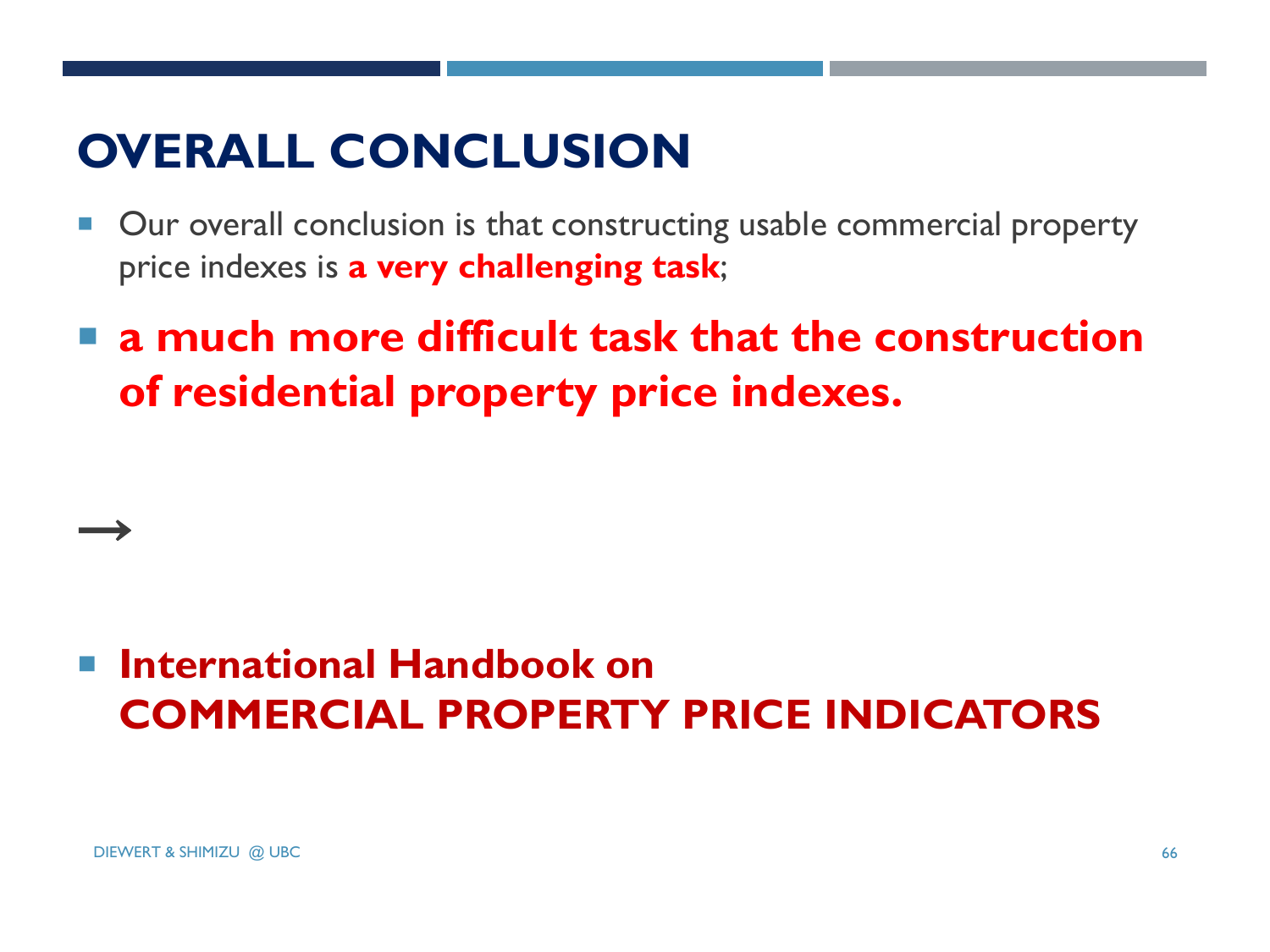#### **OVERALL CONCLUSION**

- Our overall conclusion is that constructing usable commercial property price indexes is **a very challenging task**;
- **a much more difficult task that the construction of residential property price indexes.**

#### **International Handbook on COMMERCIAL PROPERTY PRICE INDICATORS**

 $\rightarrow$